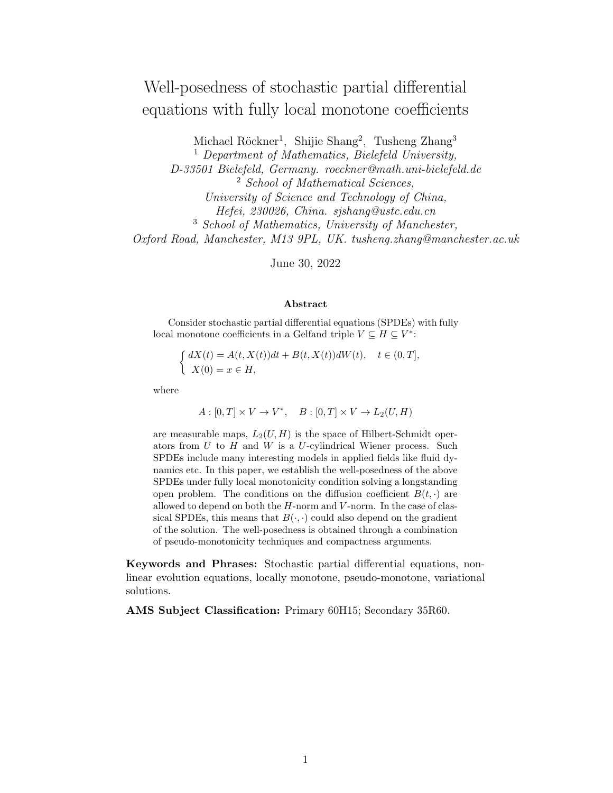# Well-posedness of stochastic partial differential equations with fully local monotone coefficients

Michael Röckner<sup>1</sup>, Shijie Shang<sup>2</sup>, Tusheng Zhang<sup>3</sup>

 $<sup>1</sup>$  Department of Mathematics, Bielefeld University,</sup> D-33501 Bielefeld, Germany. roeckner@math.uni-bielefeld.de <sup>2</sup> School of Mathematical Sciences, University of Science and Technology of China, Hefei, 230026, China. sjshang@ustc.edu.cn <sup>3</sup> School of Mathematics, University of Manchester, Oxford Road, Manchester, M13 9PL, UK. tusheng.zhang@manchester.ac.uk

June 30, 2022

#### Abstract

Consider stochastic partial differential equations (SPDEs) with fully local monotone coefficients in a Gelfand triple  $V \subseteq H \subseteq V^*$ :

$$
\begin{cases} dX(t) = A(t, X(t))dt + B(t, X(t))dW(t), \quad t \in (0, T],\\ X(0) = x \in H, \end{cases}
$$

where

$$
A: [0, T] \times V \to V^*, \quad B: [0, T] \times V \to L_2(U, H)
$$

are measurable maps,  $L_2(U, H)$  is the space of Hilbert-Schmidt operators from  $U$  to  $H$  and  $W$  is a  $U$ -cylindrical Wiener process. Such SPDEs include many interesting models in applied fields like fluid dynamics etc. In this paper, we establish the well-posedness of the above SPDEs under fully local monotonicity condition solving a longstanding open problem. The conditions on the diffusion coefficient  $B(t, \cdot)$  are allowed to depend on both the  $H$ -norm and  $V$ -norm. In the case of classical SPDEs, this means that  $B(\cdot, \cdot)$  could also depend on the gradient of the solution. The well-posedness is obtained through a combination of pseudo-monotonicity techniques and compactness arguments.

Keywords and Phrases: Stochastic partial differential equations, nonlinear evolution equations, locally monotone, pseudo-monotone, variational solutions.

AMS Subject Classification: Primary 60H15; Secondary 35R60.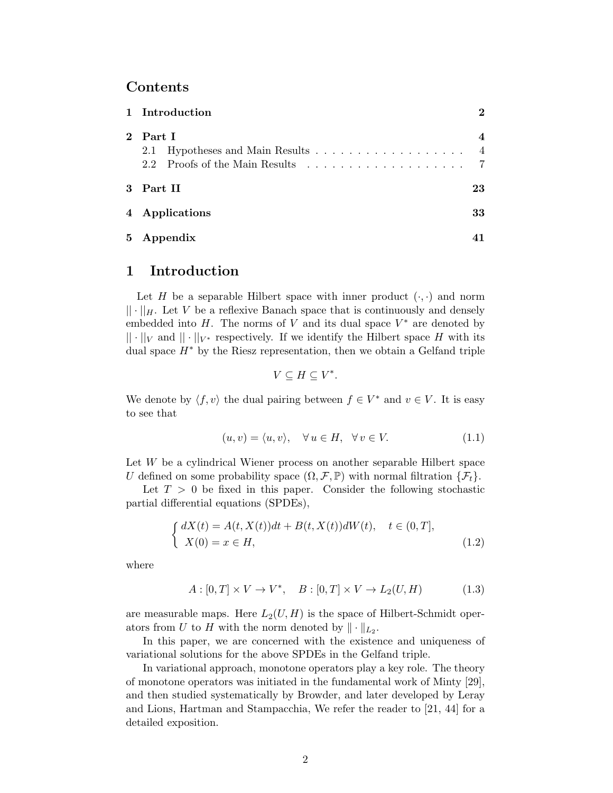### Contents

| 1 Introduction                             | $\mathbf 2$           |
|--------------------------------------------|-----------------------|
| 2 Part I<br>2.2 Proofs of the Main Results | $\overline{4}$<br>- 7 |
| 3 Part II                                  | 23                    |
| 4 Applications                             | 33                    |
| 5 Appendix                                 |                       |

# <span id="page-1-0"></span>1 Introduction

Let H be a separable Hilbert space with inner product  $(\cdot, \cdot)$  and norm  $|| \cdot ||_H$ . Let V be a reflexive Banach space that is continuously and densely embedded into  $H$ . The norms of  $V$  and its dual space  $V^*$  are denoted by  $|| \cdot ||_V$  and  $|| \cdot ||_{V^*}$  respectively. If we identify the Hilbert space H with its dual space  $H^*$  by the Riesz representation, then we obtain a Gelfand triple

$$
V\subseteq H\subseteq V^*.
$$

We denote by  $\langle f, v \rangle$  the dual pairing between  $f \in V^*$  and  $v \in V$ . It is easy to see that

$$
(u, v) = \langle u, v \rangle, \quad \forall u \in H, \quad \forall v \in V. \tag{1.1}
$$

Let W be a cylindrical Wiener process on another separable Hilbert space U defined on some probability space  $(\Omega, \mathcal{F}, \mathbb{P})$  with normal filtration  $\{\mathcal{F}_t\}.$ 

Let  $T > 0$  be fixed in this paper. Consider the following stochastic partial differential equations (SPDEs),

$$
\begin{cases} dX(t) = A(t, X(t))dt + B(t, X(t))dW(t), & t \in (0, T], \\ X(0) = x \in H, \end{cases}
$$
\n(1.2)

<span id="page-1-1"></span>where

$$
A: [0, T] \times V \to V^*, \quad B: [0, T] \times V \to L_2(U, H) \tag{1.3}
$$

are measurable maps. Here  $L_2(U, H)$  is the space of Hilbert-Schmidt operators from U to H with the norm denoted by  $\|\cdot\|_{L_2}$ .

In this paper, we are concerned with the existence and uniqueness of variational solutions for the above SPDEs in the Gelfand triple.

In variational approach, monotone operators play a key role. The theory of monotone operators was initiated in the fundamental work of Minty [\[29\]](#page-43-0), and then studied systematically by Browder, and later developed by Leray and Lions, Hartman and Stampacchia, We refer the reader to [\[21,](#page-43-1) [44\]](#page-44-0) for a detailed exposition.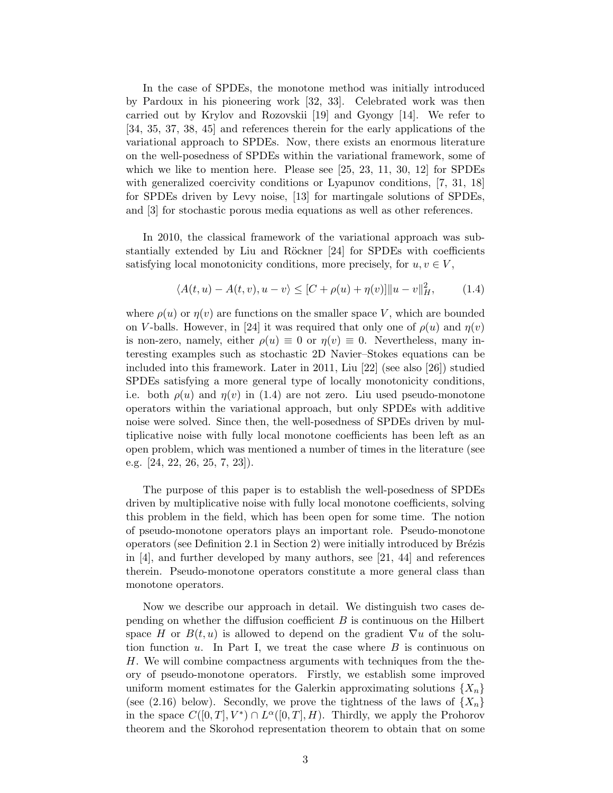In the case of SPDEs, the monotone method was initially introduced by Pardoux in his pioneering work [\[32,](#page-44-1) [33\]](#page-44-2). Celebrated work was then carried out by Krylov and Rozovskii [\[19\]](#page-43-2) and Gyongy [\[14\]](#page-43-3). We refer to [\[34,](#page-44-3) [35,](#page-44-4) [37,](#page-44-5) [38,](#page-44-6) [45\]](#page-44-7) and references therein for the early applications of the variational approach to SPDEs. Now, there exists an enormous literature on the well-posedness of SPDEs within the variational framework, some of which we like to mention here. Please see [\[25,](#page-43-4) [23,](#page-43-5) [11,](#page-42-0) [30,](#page-43-6) [12\]](#page-42-1) for SPDEs with generalized coercivity conditions or Lyapunov conditions, [\[7,](#page-42-2) [31,](#page-44-8) [18\]](#page-43-7) for SPDEs driven by Levy noise, [\[13\]](#page-43-8) for martingale solutions of SPDEs, and [\[3\]](#page-42-3) for stochastic porous media equations as well as other references.

In 2010, the classical framework of the variational approach was sub-stantially extended by Liu and Röckner [\[24\]](#page-43-9) for SPDEs with coefficients satisfying local monotonicity conditions, more precisely, for  $u, v \in V$ ,

<span id="page-2-0"></span>
$$
\langle A(t, u) - A(t, v), u - v \rangle \le [C + \rho(u) + \eta(v)] \|u - v\|_{H}^{2}, \qquad (1.4)
$$

where  $\rho(u)$  or  $\eta(v)$  are functions on the smaller space V, which are bounded on V-balls. However, in [\[24\]](#page-43-9) it was required that only one of  $\rho(u)$  and  $\eta(v)$ is non-zero, namely, either  $\rho(u) \equiv 0$  or  $\eta(v) \equiv 0$ . Nevertheless, many interesting examples such as stochastic 2D Navier–Stokes equations can be included into this framework. Later in 2011, Liu [\[22\]](#page-43-10) (see also [\[26\]](#page-43-11)) studied SPDEs satisfying a more general type of locally monotonicity conditions, i.e. both  $\rho(u)$  and  $\eta(v)$  in [\(1.4\)](#page-2-0) are not zero. Liu used pseudo-monotone operators within the variational approach, but only SPDEs with additive noise were solved. Since then, the well-posedness of SPDEs driven by multiplicative noise with fully local monotone coefficients has been left as an open problem, which was mentioned a number of times in the literature (see e.g. [\[24,](#page-43-9) [22,](#page-43-10) [26,](#page-43-11) [25,](#page-43-4) [7,](#page-42-2) [23\]](#page-43-5)).

The purpose of this paper is to establish the well-posedness of SPDEs driven by multiplicative noise with fully local monotone coefficients, solving this problem in the field, which has been open for some time. The notion of pseudo-monotone operators plays an important role. Pseudo-monotone operators (see Definition [2.1](#page-3-2) in Section [2\)](#page-3-0) were initially introduced by Brézis in [\[4\]](#page-42-4), and further developed by many authors, see [\[21,](#page-43-1) [44\]](#page-44-0) and references therein. Pseudo-monotone operators constitute a more general class than monotone operators.

Now we describe our approach in detail. We distinguish two cases depending on whether the diffusion coefficient  $B$  is continuous on the Hilbert space H or  $B(t, u)$  is allowed to depend on the gradient  $\nabla u$  of the solution function  $u$ . In Part I, we treat the case where  $B$  is continuous on H. We will combine compactness arguments with techniques from the theory of pseudo-monotone operators. Firstly, we establish some improved uniform moment estimates for the Galerkin approximating solutions  $\{X_n\}$ (see [\(2.16\)](#page-6-1) below). Secondly, we prove the tightness of the laws of  $\{X_n\}$ in the space  $C([0,T], V^*) \cap L^{\alpha}([0,T], H)$ . Thirdly, we apply the Prohorov theorem and the Skorohod representation theorem to obtain that on some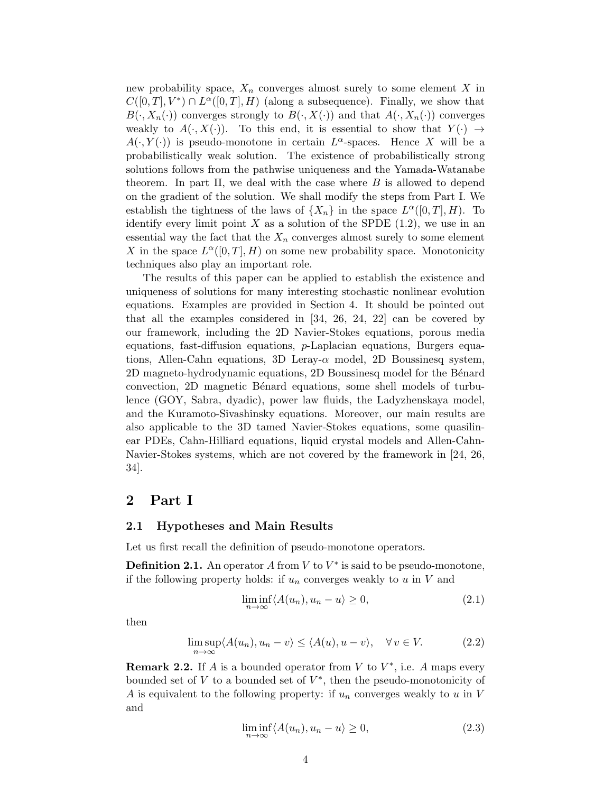new probability space,  $X_n$  converges almost surely to some element X in  $C([0,T], V^*) \cap L^{\alpha}([0,T], H)$  (along a subsequence). Finally, we show that  $B(\cdot, X_n(\cdot))$  converges strongly to  $B(\cdot, X(\cdot))$  and that  $A(\cdot, X_n(\cdot))$  converges weakly to  $A(\cdot, X(\cdot))$ . To this end, it is essential to show that  $Y(\cdot) \rightarrow$  $A(\cdot, Y(\cdot))$  is pseudo-monotone in certain  $L^{\alpha}$ -spaces. Hence X will be a probabilistically weak solution. The existence of probabilistically strong solutions follows from the pathwise uniqueness and the Yamada-Watanabe theorem. In part II, we deal with the case where  $B$  is allowed to depend on the gradient of the solution. We shall modify the steps from Part I. We establish the tightness of the laws of  $\{X_n\}$  in the space  $L^{\alpha}([0,T], H)$ . To identify every limit point X as a solution of the SPDE  $(1.2)$ , we use in an essential way the fact that the  $X_n$  converges almost surely to some element X in the space  $L^{\alpha}([0,T], H)$  on some new probability space. Monotonicity techniques also play an important role.

The results of this paper can be applied to establish the existence and uniqueness of solutions for many interesting stochastic nonlinear evolution equations. Examples are provided in Section [4.](#page-32-0) It should be pointed out that all the examples considered in [\[34,](#page-44-3) [26,](#page-43-11) [24,](#page-43-9) [22\]](#page-43-10) can be covered by our framework, including the 2D Navier-Stokes equations, porous media equations, fast-diffusion equations,  $p$ -Laplacian equations, Burgers equations, Allen-Cahn equations, 3D Leray- $\alpha$  model, 2D Boussinesq system, 2D magneto-hydrodynamic equations, 2D Boussinesq model for the Bénard convection, 2D magnetic B´enard equations, some shell models of turbulence (GOY, Sabra, dyadic), power law fluids, the Ladyzhenskaya model, and the Kuramoto-Sivashinsky equations. Moreover, our main results are also applicable to the 3D tamed Navier-Stokes equations, some quasilinear PDEs, Cahn-Hilliard equations, liquid crystal models and Allen-Cahn-Navier-Stokes systems, which are not covered by the framework in [\[24,](#page-43-9) [26,](#page-43-11) [34\]](#page-44-3).

### <span id="page-3-0"></span>2 Part I

#### <span id="page-3-1"></span>2.1 Hypotheses and Main Results

Let us first recall the definition of pseudo-monotone operators.

<span id="page-3-2"></span>**Definition 2.1.** An operator A from  $V$  to  $V^*$  is said to be pseudo-monotone, if the following property holds: if  $u_n$  converges weakly to u in V and

$$
\liminf_{n \to \infty} \langle A(u_n), u_n - u \rangle \ge 0,
$$
\n(2.1)

then

$$
\limsup_{n \to \infty} \langle A(u_n), u_n - v \rangle \le \langle A(u), u - v \rangle, \quad \forall v \in V. \tag{2.2}
$$

<span id="page-3-3"></span>**Remark 2.2.** If A is a bounded operator from V to  $V^*$ , i.e. A maps every bounded set of  $V$  to a bounded set of  $V^*$ , then the pseudo-monotonicity of A is equivalent to the following property: if  $u_n$  converges weakly to u in V and

$$
\liminf_{n \to \infty} \langle A(u_n), u_n - u \rangle \ge 0,
$$
\n(2.3)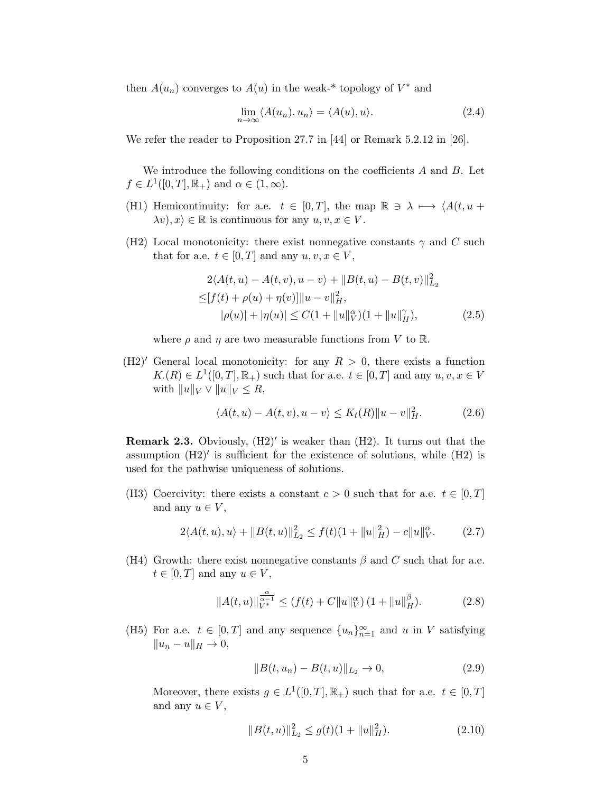then  $A(u_n)$  converges to  $A(u)$  in the weak-\* topology of  $V^*$  and

$$
\lim_{n \to \infty} \langle A(u_n), u_n \rangle = \langle A(u), u \rangle. \tag{2.4}
$$

We refer the reader to Proposition 27.7 in [\[44\]](#page-44-0) or Remark 5.2.12 in [\[26\]](#page-43-11).

We introduce the following conditions on the coefficients  $A$  and  $B$ . Let  $f \in L^1([0,T], \mathbb{R}_+)$  and  $\alpha \in (1, \infty)$ .

- (H1) Hemicontinuity: for a.e.  $t \in [0, T]$ , the map  $\mathbb{R} \ni \lambda \mapsto \langle A(t, u +$  $\lambda v, x \rangle \in \mathbb{R}$  is continuous for any  $u, v, x \in V$ .
- (H2) Local monotonicity: there exist nonnegative constants  $\gamma$  and C such that for a.e.  $t \in [0, T]$  and any  $u, v, x \in V$ ,

$$
2\langle A(t, u) - A(t, v), u - v \rangle + ||B(t, u) - B(t, v)||_{L_2}^2
$$
  
\n
$$
\leq [f(t) + \rho(u) + \eta(v)] ||u - v||_H^2,
$$
  
\n
$$
|\rho(u)| + |\eta(u)| \leq C(1 + ||u||_V^{\alpha})(1 + ||u||_H^{\gamma}),
$$
\n(2.5)

where  $\rho$  and  $\eta$  are two measurable functions from V to R.

 $(H2)'$  General local monotonicity: for any  $R > 0$ , there exists a function  $K(R) \in L^1([0,T], \mathbb{R}_+)$  such that for a.e.  $t \in [0,T]$  and any  $u, v, x \in V$ with  $||u||_V \vee ||u||_V \leq R$ ,

$$
\langle A(t, u) - A(t, v), u - v \rangle \le K_t(R) \|u - v\|_H^2.
$$
 (2.6)

**Remark 2.3.** Obviously,  $(H2)'$  is weaker than  $(H2)$ . It turns out that the assumption (H2)′ is sufficient for the existence of solutions, while (H2) is used for the pathwise uniqueness of solutions.

(H3) Coercivity: there exists a constant  $c > 0$  such that for a.e.  $t \in [0, T]$ and any  $u \in V$ ,

$$
2\langle A(t, u), u \rangle + \|B(t, u)\|_{L_2}^2 \le f(t)(1 + \|u\|_{H}^2) - c\|u\|_{V}^{\alpha}.
$$
 (2.7)

(H4) Growth: there exist nonnegative constants  $\beta$  and C such that for a.e.  $t \in [0, T]$  and any  $u \in V$ ,

$$
||A(t, u)||_{V^*}^{\frac{\alpha}{\alpha - 1}} \le (f(t) + C||u||_V^{\alpha}) \left(1 + ||u||_H^{\beta}\right).
$$
 (2.8)

(H5) For a.e.  $t \in [0, T]$  and any sequence  $\{u_n\}_{n=1}^{\infty}$  and u in V satisfying  $||u_n - u||_H \to 0,$ 

$$
||B(t, u_n) - B(t, u)||_{L_2} \to 0,
$$
\n(2.9)

Moreover, there exists  $g \in L^1([0,T], \mathbb{R}_+)$  such that for a.e.  $t \in [0,T]$ and any  $u \in V$ ,

$$
||B(t, u)||_{L_2}^2 \le g(t)(1 + ||u||_H^2).
$$
 (2.10)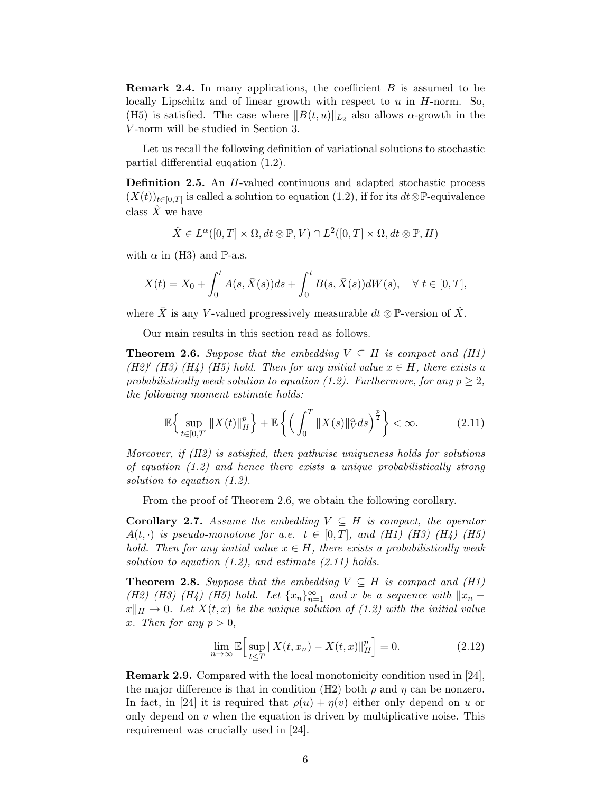**Remark 2.4.** In many applications, the coefficient  $B$  is assumed to be locally Lipschitz and of linear growth with respect to  $u$  in  $H$ -norm. So, (H5) is satisfied. The case where  $||B(t, u)||_{L_2}$  also allows  $\alpha$ -growth in the V -norm will be studied in Section [3.](#page-22-0)

Let us recall the following definition of variational solutions to stochastic partial differential euqation [\(1.2\)](#page-1-1).

Definition 2.5. An H-valued continuous and adapted stochastic process  $(X(t))_{t\in[0,T]}$  is called a solution to equation [\(1.2\)](#page-1-1), if for its  $dt\otimes\mathbb{P}$ -equivalence class  $\hat{X}$  we have

$$
\hat{X} \in L^{\alpha}([0,T] \times \Omega, dt \otimes \mathbb{P}, V) \cap L^{2}([0,T] \times \Omega, dt \otimes \mathbb{P}, H)
$$

with  $\alpha$  in (H3) and P-a.s.

$$
X(t) = X_0 + \int_0^t A(s, \bar{X}(s))ds + \int_0^t B(s, \bar{X}(s))dW(s), \quad \forall \ t \in [0, T],
$$

where  $\bar{X}$  is any V-valued progressively measurable  $dt \otimes \mathbb{P}$ -version of  $\hat{X}$ .

Our main results in this section read as follows.

<span id="page-5-0"></span>**Theorem 2.6.** Suppose that the embedding  $V \subseteq H$  is compact and (H1) (H2)<sup>'</sup> (H3) (H4) (H5) hold. Then for any initial value  $x \in H$ , there exists a probabilistically weak solution to equation [\(1.2\)](#page-1-1). Furthermore, for any  $p \geq 2$ , the following moment estimate holds:

<span id="page-5-1"></span>
$$
\mathbb{E}\Big\{\sup_{t\in[0,T]}\|X(t)\|_{H}^{p}\Big\}+\mathbb{E}\left\{\Big(\int_{0}^{T}\|X(s)\|_{V}^{\alpha}ds\Big)^{\frac{p}{2}}\right\}<\infty.\tag{2.11}
$$

Moreover, if (H2) is satisfied, then pathwise uniqueness holds for solutions of equation  $(1.2)$  and hence there exists a unique probabilistically strong solution to equation [\(1.2\)](#page-1-1).

From the proof of Theorem [2.6,](#page-5-0) we obtain the following corollary.

<span id="page-5-3"></span>**Corollary 2.7.** Assume the embedding  $V \subseteq H$  is compact, the operator  $A(t, \cdot)$  is pseudo-monotone for a.e.  $t \in [0, T]$ , and (H1) (H3) (H4) (H5) hold. Then for any initial value  $x \in H$ , there exists a probabilistically weak solution to equation  $(1.2)$ , and estimate  $(2.11)$  holds.

<span id="page-5-2"></span>**Theorem 2.8.** Suppose that the embedding  $V \subseteq H$  is compact and (H1) (H2) (H3) (H4) (H5) hold. Let  $\{x_n\}_{n=1}^{\infty}$  and x be a sequence with  $||x_n$  $x\Vert_H \to 0$ . Let  $X(t, x)$  be the unique solution of [\(1.2\)](#page-1-1) with the initial value x. Then for any  $p > 0$ ,

$$
\lim_{n \to \infty} \mathbb{E} \Big[ \sup_{t \le T} \| X(t, x_n) - X(t, x) \|_{H}^{p} \Big] = 0. \tag{2.12}
$$

Remark 2.9. Compared with the local monotonicity condition used in [\[24\]](#page-43-9), the major difference is that in condition (H2) both  $\rho$  and  $\eta$  can be nonzero. In fact, in [\[24\]](#page-43-9) it is required that  $\rho(u) + \eta(v)$  either only depend on u or only depend on  $v$  when the equation is driven by multiplicative noise. This requirement was crucially used in [\[24\]](#page-43-9).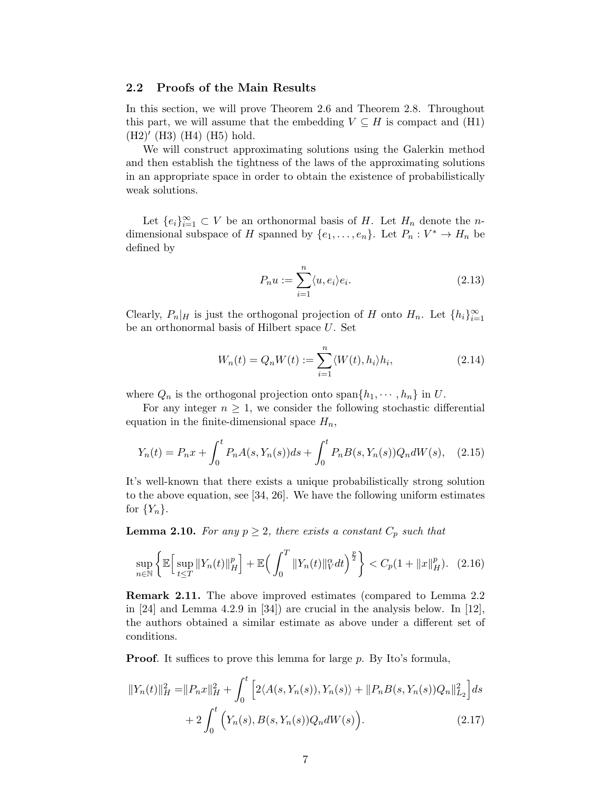#### <span id="page-6-0"></span>2.2 Proofs of the Main Results

In this section, we will prove Theorem [2.6](#page-5-0) and Theorem [2.8.](#page-5-2) Throughout this part, we will assume that the embedding  $V \subseteq H$  is compact and (H1) (H2)′ (H3) (H4) (H5) hold.

We will construct approximating solutions using the Galerkin method and then establish the tightness of the laws of the approximating solutions in an appropriate space in order to obtain the existence of probabilistically weak solutions.

Let  ${e_i}_{i=1}^{\infty} \subset V$  be an orthonormal basis of H. Let  $H_n$  denote the ndimensional subspace of H spanned by  $\{e_1, \ldots, e_n\}$ . Let  $P_n : V^* \to H_n$  be defined by

$$
P_n u := \sum_{i=1}^n \langle u, e_i \rangle e_i.
$$
\n(2.13)

Clearly,  $P_n|_H$  is just the orthogonal projection of H onto  $H_n$ . Let  $\{h_i\}_{i=1}^{\infty}$ be an orthonormal basis of Hilbert space U. Set

<span id="page-6-4"></span><span id="page-6-1"></span>
$$
W_n(t) = Q_n W(t) := \sum_{i=1}^n \langle W(t), h_i \rangle h_i,
$$
\n(2.14)

where  $Q_n$  is the orthogonal projection onto  $\text{span}\{h_1, \dots, h_n\}$  in U.

For any integer  $n \geq 1$ , we consider the following stochastic differential equation in the finite-dimensional space  $H_n$ ,

$$
Y_n(t) = P_n x + \int_0^t P_n A(s, Y_n(s)) ds + \int_0^t P_n B(s, Y_n(s)) Q_n dW(s), \quad (2.15)
$$

It's well-known that there exists a unique probabilistically strong solution to the above equation, see [\[34,](#page-44-3) [26\]](#page-43-11). We have the following uniform estimates for  ${Y_n}$ .

<span id="page-6-3"></span>**Lemma 2.10.** For any  $p \geq 2$ , there exists a constant  $C_p$  such that

$$
\sup_{n \in \mathbb{N}} \left\{ \mathbb{E} \Big[ \sup_{t \le T} \|Y_n(t)\|_H^p \Big] + \mathbb{E} \Big( \int_0^T \|Y_n(t)\|_V^\alpha dt \Big)^{\frac{p}{2}} \right\} < C_p (1 + \|x\|_H^p). \tag{2.16}
$$

Remark 2.11. The above improved estimates (compared to Lemma 2.2 in [\[24\]](#page-43-9) and Lemma 4.2.9 in [\[34\]](#page-44-3)) are crucial in the analysis below. In [\[12\]](#page-42-1), the authors obtained a similar estimate as above under a different set of conditions.

**Proof.** It suffices to prove this lemma for large p. By Ito's formula,

<span id="page-6-2"></span>
$$
||Y_n(t)||_H^2 = ||P_n x||_H^2 + \int_0^t \left[ 2\langle A(s, Y_n(s)), Y_n(s) \rangle + ||P_n B(s, Y_n(s))Q_n||_{L_2}^2 \right] ds
$$
  
+ 
$$
2 \int_0^t \left( Y_n(s), B(s, Y_n(s))Q_n dW(s) \right). \tag{2.17}
$$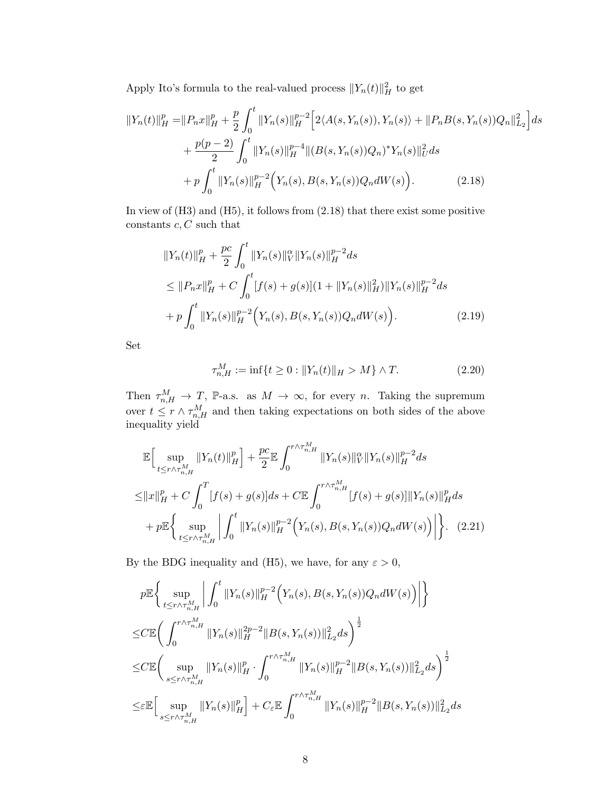Apply Ito's formula to the real-valued process  $||Y_n(t)||_H^2$  to get

$$
||Y_n(t)||_H^p = ||P_n x||_H^p + \frac{p}{2} \int_0^t ||Y_n(s)||_H^{p-2} \Big[ 2\langle A(s, Y_n(s)), Y_n(s) \rangle + ||P_n B(s, Y_n(s))Q_n||_{L_2}^2 \Big] ds + \frac{p(p-2)}{2} \int_0^t ||Y_n(s)||_H^{p-4} ||(B(s, Y_n(s))Q_n)^* Y_n(s)||_U^2 ds + p \int_0^t ||Y_n(s)||_H^{p-2} \Big(Y_n(s), B(s, Y_n(s))Q_n dW(s) \Big). \tag{2.18}
$$

In view of  $(H3)$  and  $(H5)$ , it follows from  $(2.18)$  that there exist some positive constants  $c, C$  such that

<span id="page-7-0"></span>
$$
||Y_n(t)||_H^p + \frac{pc}{2} \int_0^t ||Y_n(s)||_V^{\alpha} ||Y_n(s)||_H^{p-2} ds
$$
  
\n
$$
\leq ||P_n x||_H^p + C \int_0^t [f(s) + g(s)](1 + ||Y_n(s)||_H^2) ||Y_n(s)||_H^{p-2} ds
$$
  
\n
$$
+ p \int_0^t ||Y_n(s)||_H^{p-2} (Y_n(s), B(s, Y_n(s))Q_n dW(s)).
$$
\n(2.19)

Set

<span id="page-7-1"></span>
$$
\tau_{n,H}^M := \inf\{t \ge 0 : ||Y_n(t)||_H > M\} \wedge T. \tag{2.20}
$$

Then  $\tau_{n,H}^M \to T$ , P-a.s. as  $M \to \infty$ , for every n. Taking the supremum over  $t \leq r \wedge \tau_{n,H}^M$  and then taking expectations on both sides of the above inequality yield

$$
\mathbb{E}\Big[\sup_{t\leq r\wedge\tau_{n,H}^{M}}\|Y_{n}(t)\|_{H}^{p}\Big] + \frac{pc}{2}\mathbb{E}\int_{0}^{r\wedge\tau_{n,H}^{M}}\|Y_{n}(s)\|_{V}^{\alpha}\|Y_{n}(s)\|_{H}^{p-2}ds
$$
  
\n
$$
\leq \|x\|_{H}^{p} + C\int_{0}^{T}[f(s) + g(s)]ds + C\mathbb{E}\int_{0}^{r\wedge\tau_{n,H}^{M}}[f(s) + g(s)]\|Y_{n}(s)\|_{H}^{p}ds
$$
  
\n
$$
+ p\mathbb{E}\Big\{\sup_{t\leq r\wedge\tau_{n,H}^{M}}\Big|\int_{0}^{t}\|Y_{n}(s)\|_{H}^{p-2}\Big(Y_{n}(s), B(s,Y_{n}(s))Q_{n}dW(s)\Big)\Big|\Big\}.\tag{2.21}
$$

By the BDG inequality and (H5), we have, for any  $\varepsilon > 0$ ,

$$
p\mathbb{E}\left\{\sup_{t\leq r\wedge\tau_{n,H}^{M}}\left|\int_{0}^{t}\|Y_{n}(s)\|_{H}^{p-2}\left(Y_{n}(s),B(s,Y_{n}(s))Q_{n}dW(s)\right)\right|\right\}\leq C\mathbb{E}\left(\int_{0}^{r\wedge\tau_{n,H}^{M}}\|Y_{n}(s)\|_{H}^{2p-2}\|B(s,Y_{n}(s))\|_{L_{2}}^{2}ds\right)^{\frac{1}{2}}\leq C\mathbb{E}\left(\sup_{s\leq r\wedge\tau_{n,H}^{M}}\|Y_{n}(s)\|_{H}^{p}\cdot\int_{0}^{r\wedge\tau_{n,H}^{M}}\|Y_{n}(s)\|_{H}^{p-2}\|B(s,Y_{n}(s))\|_{L_{2}}^{2}ds\right)^{\frac{1}{2}}\leq \varepsilon\mathbb{E}\left[\sup_{s\leq r\wedge\tau_{n,H}^{M}}\|Y_{n}(s)\|_{H}^{p}\right]+C_{\varepsilon}\mathbb{E}\int_{0}^{r\wedge\tau_{n,H}^{M}}\|Y_{n}(s)\|_{H}^{p-2}\|B(s,Y_{n}(s))\|_{L_{2}}^{2}ds
$$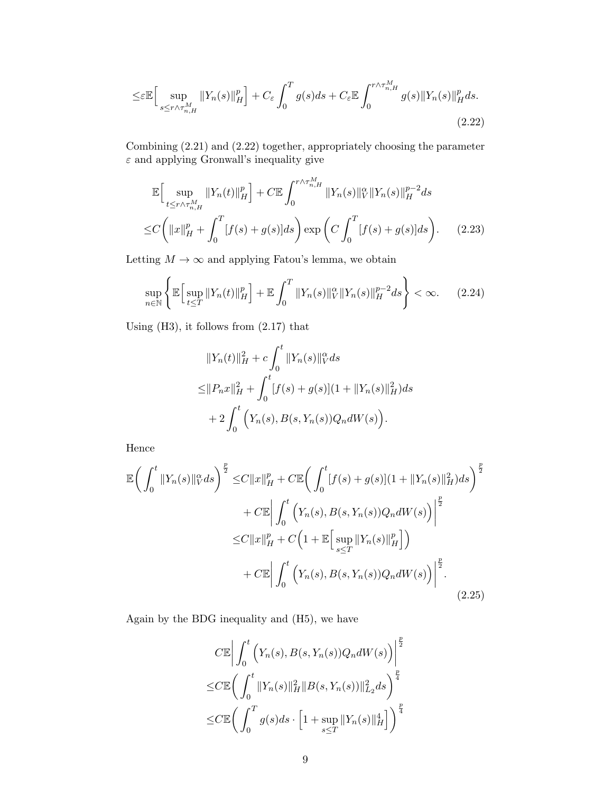$$
\leq \varepsilon \mathbb{E} \Big[ \sup_{s \leq r \wedge \tau_{n,H}^M} \|Y_n(s)\|_H^p \Big] + C_{\varepsilon} \int_0^T g(s) ds + C_{\varepsilon} \mathbb{E} \int_0^{r \wedge \tau_{n,H}^M} g(s) \|Y_n(s)\|_H^p ds. \tag{2.22}
$$

Combining [\(2.21\)](#page-7-1) and [\(2.22\)](#page-8-0) together, appropriately choosing the parameter  $\varepsilon$  and applying Gronwall's inequality give

<span id="page-8-0"></span>
$$
\mathbb{E}\Big[\sup_{t\leq r\wedge\tau_{n,H}^{M}}\|Y_{n}(t)\|_{H}^{p}\Big] + C\mathbb{E}\int_{0}^{r\wedge\tau_{n,H}^{M}}\|Y_{n}(s)\|_{V}^{\alpha}\|Y_{n}(s)\|_{H}^{p-2}ds
$$
  

$$
\leq C\Big(\|x\|_{H}^{p} + \int_{0}^{T}[f(s) + g(s)]ds\Big)\exp\Big(C\int_{0}^{T}[f(s) + g(s)]ds\Big).
$$
 (2.23)

Letting  $M \to \infty$  and applying Fatou's lemma, we obtain

$$
\sup_{n \in \mathbb{N}} \left\{ \mathbb{E} \Big[ \sup_{t \le T} \|Y_n(t)\|_H^p \Big] + \mathbb{E} \int_0^T \|Y_n(s)\|_V^\alpha \|Y_n(s)\|_H^{p-2} ds \right\} < \infty. \tag{2.24}
$$

Using (H3), it follows from [\(2.17\)](#page-6-2) that

<span id="page-8-1"></span>
$$
||Y_n(t)||_H^2 + c \int_0^t ||Y_n(s)||_V^\alpha ds
$$
  
\n
$$
\leq ||P_nx||_H^2 + \int_0^t [f(s) + g(s)](1 + ||Y_n(s)||_H^2) ds
$$
  
\n
$$
+ 2 \int_0^t \left(Y_n(s), B(s, Y_n(s))Q_n dW(s)\right).
$$

Hence

$$
\mathbb{E}\left(\int_{0}^{t} \|Y_{n}(s)\|_{V}^{\alpha}ds\right)^{\frac{p}{2}} \leq C\|x\|_{H}^{p} + C\mathbb{E}\left(\int_{0}^{t} [f(s) + g(s)](1 + \|Y_{n}(s)\|_{H}^{2})ds\right)^{\frac{p}{2}} \n+ C\mathbb{E}\left|\int_{0}^{t} \left(Y_{n}(s), B(s, Y_{n}(s))Q_{n}dW(s)\right)\right|^{\frac{p}{2}} \n\leq C\|x\|_{H}^{p} + C\left(1 + \mathbb{E}\left[\sup_{s\leq T} \|Y_{n}(s)\|_{H}^{p}\right]\right) \n+ C\mathbb{E}\left|\int_{0}^{t} \left(Y_{n}(s), B(s, Y_{n}(s))Q_{n}dW(s)\right)\right|^{\frac{p}{2}}.
$$
\n(2.25)

Again by the BDG inequality and (H5), we have

$$
C \mathbb{E} \left| \int_0^t \left( Y_n(s), B(s, Y_n(s)) Q_n dW(s) \right) \right|^{\frac{p}{2}}
$$
  
\n
$$
\leq C \mathbb{E} \left( \int_0^t \|Y_n(s)\|_H^2 \|B(s, Y_n(s))\|_{L_2}^2 ds \right)^{\frac{p}{4}}
$$
  
\n
$$
\leq C \mathbb{E} \left( \int_0^T g(s) ds \cdot \left[ 1 + \sup_{s \leq T} \|Y_n(s)\|_H^4 \right] \right)^{\frac{p}{4}}
$$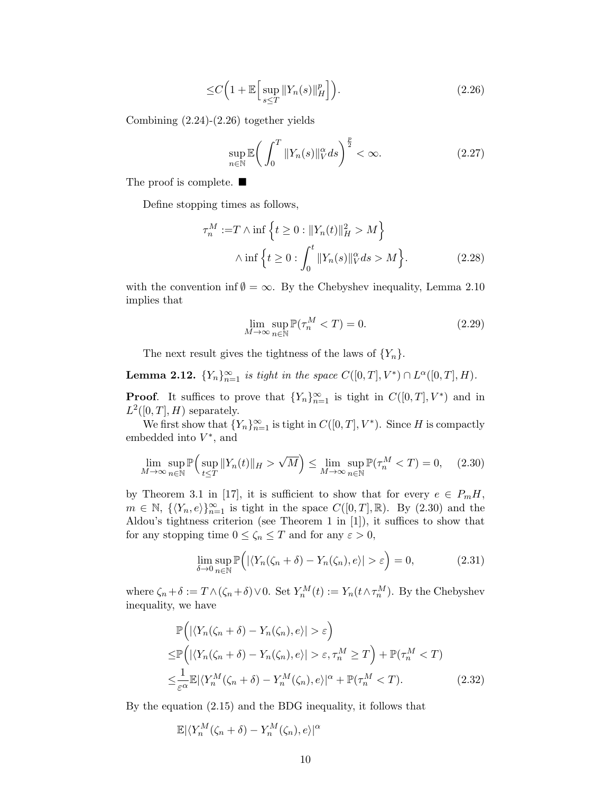$$
\leq C \left( 1 + \mathbb{E} \left[ \sup_{s \leq T} \| Y_n(s) \|_H^p \right] \right). \tag{2.26}
$$

Combining [\(2.24\)](#page-8-1)-[\(2.26\)](#page-9-0) together yields

<span id="page-9-0"></span>
$$
\sup_{n \in \mathbb{N}} \mathbb{E} \bigg( \int_0^T \|Y_n(s)\|_V^\alpha ds \bigg)^{\frac{p}{2}} < \infty. \tag{2.27}
$$

The proof is complete. ■

Define stopping times as follows,

$$
\tau_n^M := T \wedge \inf \left\{ t \ge 0 : ||Y_n(t)||_H^2 > M \right\}
$$

$$
\wedge \inf \left\{ t \ge 0 : \int_0^t ||Y_n(s)||_V^\alpha ds > M \right\}.
$$
 (2.28)

with the convention inf  $\emptyset = \infty$ . By the Chebyshev inequality, Lemma [2.10](#page-6-3) implies that

<span id="page-9-2"></span><span id="page-9-1"></span>
$$
\lim_{M \to \infty} \sup_{n \in \mathbb{N}} \mathbb{P}(\tau_n^M < T) = 0. \tag{2.29}
$$

The next result gives the tightness of the laws of  $\{Y_n\}$ .

<span id="page-9-5"></span>**Lemma 2.12.**  ${Y_n}_{n=1}^{\infty}$  is tight in the space  $C([0,T], V^*) \cap L^{\alpha}([0,T], H)$ . **Proof.** It suffices to prove that  ${Y_n}_{n=1}^{\infty}$  is tight in  $C([0,T], V^*)$  and in

 $L^2([0,T], H)$  separately.

We first show that  ${Y_n}_{n=1}^{\infty}$  is tight in  $C([0, T], V^*)$ . Since H is compactly embedded into  $V^*$ , and

$$
\lim_{M \to \infty} \sup_{n \in \mathbb{N}} \mathbb{P}\Big(\sup_{t \le T} \|Y_n(t)\|_{H} > \sqrt{M}\Big) \le \lim_{M \to \infty} \sup_{n \in \mathbb{N}} \mathbb{P}(\tau_n^M < T) = 0,\tag{2.30}
$$

by Theorem 3.1 in [\[17\]](#page-43-12), it is sufficient to show that for every  $e \in P_m H$ ,  $m \in \mathbb{N}, \ \{\langle Y_n, e \rangle\}_{n=1}^{\infty}$  is tight in the space  $C([0, T], \mathbb{R})$ . By  $(2.30)$  and the Aldou's tightness criterion (see Theorem 1 in [\[1\]](#page-42-5)), it suffices to show that for any stopping time  $0 \le \zeta_n \le T$  and for any  $\varepsilon > 0$ ,

<span id="page-9-4"></span><span id="page-9-3"></span>
$$
\lim_{\delta \to 0} \sup_{n \in \mathbb{N}} \mathbb{P}\Big( |\langle Y_n(\zeta_n + \delta) - Y_n(\zeta_n), e \rangle| > \varepsilon \Big) = 0, \tag{2.31}
$$

where  $\zeta_n + \delta := T \wedge (\zeta_n + \delta) \vee 0$ . Set  $Y_n^M(t) := Y_n(t \wedge \tau_n^M)$ . By the Chebyshev inequality, we have

$$
\mathbb{P}\Big(\left|\langle Y_n(\zeta_n+\delta)-Y_n(\zeta_n),e\rangle\right|>\varepsilon\Big)
$$
\n
$$
\leq \mathbb{P}\Big(\left|\langle Y_n(\zeta_n+\delta)-Y_n(\zeta_n),e\rangle\right|>\varepsilon,\tau_n^M\geq T\Big)+\mathbb{P}(\tau_n^M\n
$$
\leq \frac{1}{\varepsilon^{\alpha}}\mathbb{E}|\langle Y_n^M(\zeta_n+\delta)-Y_n^M(\zeta_n),e\rangle|^{\alpha}+\mathbb{P}(\tau_n^M
$$
$$

By the equation [\(2.15\)](#page-6-4) and the BDG inequality, it follows that

$$
\mathbb{E}|\langle Y^M_n(\zeta_n+\delta)-Y^M_n(\zeta_n),e\rangle |^{\alpha}
$$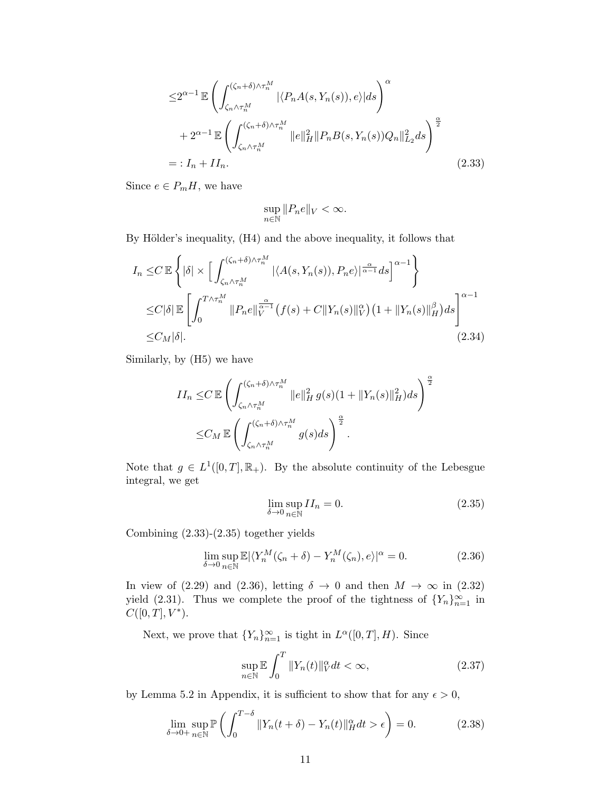$$
\leq 2^{\alpha-1} \mathbb{E} \left( \int_{\zeta_n \wedge \tau_n^M}^{(\zeta_n + \delta) \wedge \tau_n^M} |\langle P_n A(s, Y_n(s)), e \rangle| ds \right)^{\alpha} + 2^{\alpha-1} \mathbb{E} \left( \int_{\zeta_n \wedge \tau_n^M}^{(\zeta_n + \delta) \wedge \tau_n^M} \|e\|_H^2 \|P_n B(s, Y_n(s)) Q_n\|_{L_2}^2 ds \right)^{\frac{\alpha}{2}} =: I_n + II_n.
$$
 (2.33)

Since  $e \in P_m H$ , we have

<span id="page-10-0"></span>
$$
\sup_{n\in\mathbb{N}}||P_ne||_V<\infty.
$$

By Hölder's inequality,  $(H4)$  and the above inequality, it follows that

$$
I_n \leq C \mathbb{E} \left\{ |\delta| \times \left[ \int_{\zeta_n \wedge \tau_n^M}^{(\zeta_n + \delta) \wedge \tau_n^M} |\langle A(s, Y_n(s)), P_n e \rangle|^{\frac{\alpha}{\alpha - 1}} ds \right]^{\alpha - 1} \right\}
$$
  
\n
$$
\leq C |\delta| \mathbb{E} \left[ \int_0^{T \wedge \tau_n^M} \|P_n e\|_{V}^{\frac{\alpha}{\alpha - 1}} (f(s) + C \|Y_n(s)\|_{V}^{\alpha}) (1 + \|Y_n(s)\|_{H}^{\beta}) ds \right]^{\alpha - 1}
$$
  
\n
$$
\leq C_M |\delta|.
$$
\n(2.34)

Similarly, by (H5) we have

$$
II_n \leq C \mathbb{E} \left( \int_{\zeta_n \wedge \tau_n^M}^{(\zeta_n + \delta) \wedge \tau_n^M} \|e\|_H^2 g(s) (1 + \|Y_n(s)\|_H^2) ds \right)^{\frac{\alpha}{2}}
$$
  

$$
\leq C_M \mathbb{E} \left( \int_{\zeta_n \wedge \tau_n^M}^{(\zeta_n + \delta) \wedge \tau_n^M} g(s) ds \right)^{\frac{\alpha}{2}}.
$$

Note that  $g \in L^1([0,T], \mathbb{R}_+)$ . By the absolute continuity of the Lebesgue integral, we get

<span id="page-10-2"></span><span id="page-10-1"></span>
$$
\lim_{\delta \to 0} \sup_{n \in \mathbb{N}} II_n = 0. \tag{2.35}
$$

Combining [\(2.33\)](#page-10-0)-[\(2.35\)](#page-10-1) together yields

$$
\lim_{\delta \to 0} \sup_{n \in \mathbb{N}} \mathbb{E} |\langle Y_n^M(\zeta_n + \delta) - Y_n^M(\zeta_n), e \rangle|^\alpha = 0. \tag{2.36}
$$

In view of [\(2.29\)](#page-9-2) and [\(2.36\)](#page-10-2), letting  $\delta \to 0$  and then  $M \to \infty$  in [\(2.32\)](#page-9-3) yield [\(2.31\)](#page-9-4). Thus we complete the proof of the tightness of  ${Y_n}_{n=1}^{\infty}$  in  $C([0,T], V^*)$ .

Next, we prove that  ${Y_n}_{n=1}^{\infty}$  is tight in  $L^{\alpha}([0,T], H)$ . Since

<span id="page-10-3"></span>
$$
\sup_{n \in \mathbb{N}} \mathbb{E} \int_0^T \|Y_n(t)\|_V^\alpha dt < \infty,\tag{2.37}
$$

by Lemma [5.2](#page-41-0) in Appendix, it is sufficient to show that for any  $\epsilon > 0$ ,

$$
\lim_{\delta \to 0+} \sup_{n \in \mathbb{N}} \mathbb{P}\left(\int_0^{T-\delta} \|Y_n(t+\delta) - Y_n(t)\|_H^{\alpha} dt > \epsilon\right) = 0. \tag{2.38}
$$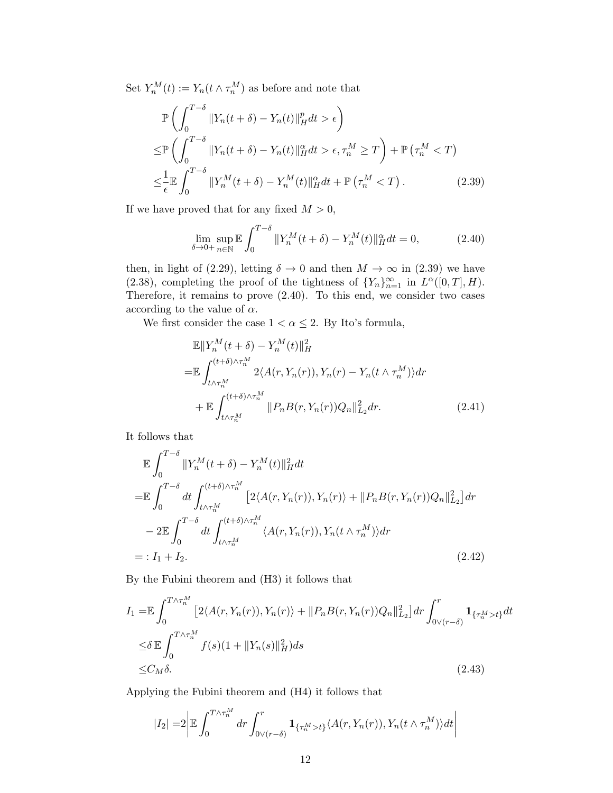Set  $Y_n^M(t) := Y_n(t \wedge \tau_n^M)$  as before and note that

$$
\mathbb{P}\left(\int_{0}^{T-\delta} \|Y_{n}(t+\delta) - Y_{n}(t)\|_{H}^{p} dt > \epsilon\right)
$$
\n
$$
\leq \mathbb{P}\left(\int_{0}^{T-\delta} \|Y_{n}(t+\delta) - Y_{n}(t)\|_{H}^{\alpha} dt > \epsilon, \tau_{n}^{M} \geq T\right) + \mathbb{P}\left(\tau_{n}^{M} < T\right)
$$
\n
$$
\leq \frac{1}{\epsilon} \mathbb{E}\int_{0}^{T-\delta} \|Y_{n}^{M}(t+\delta) - Y_{n}^{M}(t)\|_{H}^{\alpha} dt + \mathbb{P}\left(\tau_{n}^{M} < T\right). \tag{2.39}
$$

If we have proved that for any fixed  $M > 0$ ,

<span id="page-11-1"></span><span id="page-11-0"></span>
$$
\lim_{\delta \to 0+} \sup_{n \in \mathbb{N}} \mathbb{E} \int_0^{T-\delta} \|Y_n^M(t+\delta) - Y_n^M(t)\|_H^{\alpha} dt = 0, \tag{2.40}
$$

then, in light of [\(2.29\)](#page-9-2), letting  $\delta \to 0$  and then  $M \to \infty$  in [\(2.39\)](#page-11-0) we have [\(2.38\)](#page-10-3), completing the proof of the tightness of  ${Y_n}_{n=1}^{\infty}$  in  $L^{\alpha}([0,T], H)$ . Therefore, it remains to prove  $(2.40)$ . To this end, we consider two cases according to the value of  $\alpha$ .

We first consider the case  $1 < \alpha \leq 2$ . By Ito's formula,

$$
\mathbb{E}||Y_n^M(t+\delta) - Y_n^M(t)||_H^2
$$
\n
$$
= \mathbb{E} \int_{t \wedge \tau_n^M}^{(t+\delta)\wedge \tau_n^M} 2\langle A(r, Y_n(r)), Y_n(r) - Y_n(t \wedge \tau_n^M) \rangle dr
$$
\n
$$
+ \mathbb{E} \int_{t \wedge \tau_n^M}^{(t+\delta)\wedge \tau_n^M} ||P_n B(r, Y_n(r)) Q_n||_{L_2}^2 dr. \tag{2.41}
$$

It follows that

$$
\mathbb{E} \int_{0}^{T-\delta} \|Y_{n}^{M}(t+\delta) - Y_{n}^{M}(t)\|_{H}^{2} dt
$$
\n
$$
= \mathbb{E} \int_{0}^{T-\delta} dt \int_{t \wedge \tau_{n}^{M}}^{(t+\delta)\wedge \tau_{n}^{M}} [2\langle A(r, Y_{n}(r)), Y_{n}(r) \rangle + \|P_{n}B(r, Y_{n}(r))Q_{n}\|_{L_{2}}^{2}] dr
$$
\n
$$
- 2 \mathbb{E} \int_{0}^{T-\delta} dt \int_{t \wedge \tau_{n}^{M}}^{(t+\delta)\wedge \tau_{n}^{M}} \langle A(r, Y_{n}(r)), Y_{n}(t \wedge \tau_{n}^{M}) \rangle dr
$$
\n
$$
= : I_{1} + I_{2}.
$$
\n(2.42)

<span id="page-11-2"></span>By the Fubini theorem and (H3) it follows that

$$
I_{1} = \mathbb{E} \int_{0}^{T \wedge \tau_{n}^{M}} \left[ 2 \langle A(r, Y_{n}(r)), Y_{n}(r) \rangle + \| P_{n} B(r, Y_{n}(r)) Q_{n} \|_{L_{2}}^{2} \right] dr \int_{0 \vee (r - \delta)}^{r} \mathbf{1}_{\{\tau_{n}^{M} > t\}} dt
$$
  
\n
$$
\leq \delta \mathbb{E} \int_{0}^{T \wedge \tau_{n}^{M}} f(s) (1 + \| Y_{n}(s) \|_{H}^{2}) ds
$$
  
\n
$$
\leq C_{M} \delta.
$$
\n(2.43)

Applying the Fubini theorem and (H4) it follows that

<span id="page-11-3"></span>
$$
|I_2| = 2 \left| \mathbb{E} \int_0^{T \wedge \tau_n^M} dr \int_{0 \vee (r-\delta)}^r \mathbf{1}_{\{\tau_n^M > t\}} \langle A(r, Y_n(r)), Y_n(t \wedge \tau_n^M) \rangle dt \right|
$$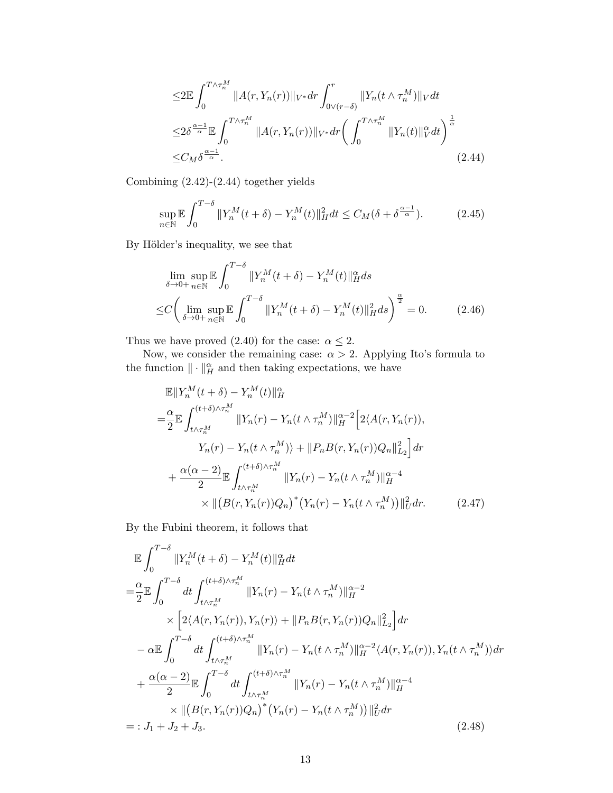<span id="page-12-0"></span>
$$
\leq 2 \mathbb{E} \int_0^{T \wedge \tau_n^M} \|A(r, Y_n(r))\|_{V^*} dr \int_{0 \vee (r-\delta)}^r \|Y_n(t \wedge \tau_n^M)\|_{V} dt
$$
  

$$
\leq 2 \delta^{\frac{\alpha-1}{\alpha}} \mathbb{E} \int_0^{T \wedge \tau_n^M} \|A(r, Y_n(r))\|_{V^*} dr \left( \int_0^{T \wedge \tau_n^M} \|Y_n(t)\|_{V}^\alpha dt \right)^{\frac{1}{\alpha}}
$$
  

$$
\leq C_M \delta^{\frac{\alpha-1}{\alpha}}.
$$
 (2.44)

Combining [\(2.42\)](#page-11-2)-[\(2.44\)](#page-12-0) together yields

$$
\sup_{n\in\mathbb{N}} \mathbb{E} \int_0^{T-\delta} \|Y_n^M(t+\delta) - Y_n^M(t)\|_H^2 dt \le C_M(\delta + \delta^{\frac{\alpha-1}{\alpha}}). \tag{2.45}
$$

By Hölder's inequality, we see that

$$
\lim_{\delta \to 0+} \sup_{n \in \mathbb{N}} \mathbb{E} \int_0^{T-\delta} \|Y_n^M(t+\delta) - Y_n^M(t)\|_H^{\alpha} ds
$$
  
\n
$$
\leq C \bigg( \lim_{\delta \to 0+} \sup_{n \in \mathbb{N}} \mathbb{E} \int_0^{T-\delta} \|Y_n^M(t+\delta) - Y_n^M(t)\|_H^2 ds \bigg)^{\frac{\alpha}{2}} = 0.
$$
 (2.46)

Thus we have proved [\(2.40\)](#page-11-1) for the case:  $\alpha \leq 2$ .

Now, we consider the remaining case:  $\alpha > 2$ . Applying Ito's formula to the function  $\|\cdot\|_H^{\alpha}$  and then taking expectations, we have

$$
\mathbb{E}||Y_n^M(t+\delta) - Y_n^M(t)||_H^{\alpha}
$$
\n
$$
= \frac{\alpha}{2} \mathbb{E} \int_{t \wedge \tau_n^M}^{(t+\delta)\wedge \tau_n^M} ||Y_n(r) - Y_n(t \wedge \tau_n^M)||_H^{\alpha-2} \Big[ 2\langle A(r, Y_n(r)),
$$
\n
$$
Y_n(r) - Y_n(t \wedge \tau_n^M) \rangle + ||P_n B(r, Y_n(r))Q_n||_{L_2}^2 \Big] dr
$$
\n
$$
+ \frac{\alpha(\alpha-2)}{2} \mathbb{E} \int_{t \wedge \tau_n^M}^{(t+\delta)\wedge \tau_n^M} ||Y_n(r) - Y_n(t \wedge \tau_n^M) ||_H^{\alpha-4}
$$
\n
$$
\times ||(B(r, Y_n(r))Q_n)^*(Y_n(r) - Y_n(t \wedge \tau_n^M))||_U^2 dr. \tag{2.47}
$$

By the Fubini theorem, it follows that

<span id="page-12-1"></span>
$$
\mathbb{E} \int_{0}^{T-\delta} ||Y_{n}^{M}(t+\delta) - Y_{n}^{M}(t)||_{H}^{\alpha} dt
$$
\n
$$
= \frac{\alpha}{2} \mathbb{E} \int_{0}^{T-\delta} dt \int_{t \wedge \tau_{n}^{M}}^{(t+\delta) \wedge \tau_{n}^{M}} ||Y_{n}(r) - Y_{n}(t \wedge \tau_{n}^{M})||_{H}^{\alpha-2}
$$
\n
$$
\times \left[2\langle A(r, Y_{n}(r)), Y_{n}(r)\rangle + ||P_{n}B(r, Y_{n}(r))Q_{n}||_{L_{2}}^{2}\right] dr
$$
\n
$$
- \alpha \mathbb{E} \int_{0}^{T-\delta} dt \int_{t \wedge \tau_{n}^{M}}^{(t+\delta) \wedge \tau_{n}^{M}} ||Y_{n}(r) - Y_{n}(t \wedge \tau_{n}^{M})||_{H}^{\alpha-2} \langle A(r, Y_{n}(r)), Y_{n}(t \wedge \tau_{n}^{M})\rangle dr
$$
\n
$$
+ \frac{\alpha(\alpha-2)}{2} \mathbb{E} \int_{0}^{T-\delta} dt \int_{t \wedge \tau_{n}^{M}}^{(t+\delta) \wedge \tau_{n}^{M}} ||Y_{n}(r) - Y_{n}(t \wedge \tau_{n}^{M})||_{H}^{\alpha-4}
$$
\n
$$
\times ||(B(r, Y_{n}(r))Q_{n})^{*}(Y_{n}(r) - Y_{n}(t \wedge \tau_{n}^{M}))||_{U}^{2} dr
$$
\n
$$
=: J_{1} + J_{2} + J_{3}.
$$
\n(2.48)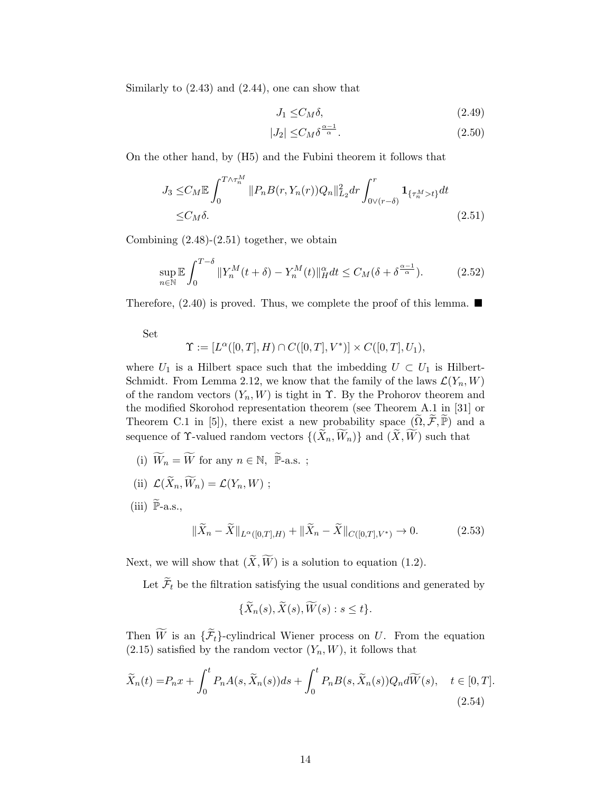Similarly to [\(2.43\)](#page-11-3) and [\(2.44\)](#page-12-0), one can show that

$$
J_1 \leq C_M \delta,\tag{2.49}
$$

<span id="page-13-0"></span>
$$
|J_2| \leq C_M \delta^{\frac{\alpha - 1}{\alpha}}.\tag{2.50}
$$

On the other hand, by (H5) and the Fubini theorem it follows that

$$
J_3 \leq C_M \mathbb{E} \int_0^{T \wedge \tau_n^M} \|P_n B(r, Y_n(r)) Q_n\|_{L_2}^2 dr \int_0^r \mathbf{1}_{\{\tau_n^M > t\}} dt
$$
  
 
$$
\leq C_M \delta.
$$
 (2.51)

Combining [\(2.48\)](#page-12-1)-[\(2.51\)](#page-13-0) together, we obtain

$$
\sup_{n\in\mathbb{N}} \mathbb{E} \int_0^{T-\delta} \|Y_n^M(t+\delta) - Y_n^M(t)\|_H^{\alpha} dt \le C_M(\delta + \delta^{\frac{\alpha-1}{\alpha}}). \tag{2.52}
$$

Therefore,  $(2.40)$  is proved. Thus, we complete the proof of this lemma.  $\blacksquare$ 

Set

$$
\Upsilon := [L^{\alpha}([0,T],H) \cap C([0,T],V^*)] \times C([0,T],U_1),
$$

where  $U_1$  is a Hilbert space such that the imbedding  $U \subset U_1$  is Hilbert-Schmidt. From Lemma [2.12,](#page-9-5) we know that the family of the laws  $\mathcal{L}(Y_n, W)$ of the random vectors  $(Y_n, W)$  is tight in  $\Upsilon$ . By the Prohorov theorem and the modified Skorohod representation theorem (see Theorem A.1 in [\[31\]](#page-44-8) or Theorem C.1 in [\[5\]](#page-42-6)), there exist a new probability space  $(\Omega, \mathcal{F}, \mathbb{P})$  and a sequence of  $\Upsilon$ -valued random vectors  $\{(\widetilde{X}_n, \widetilde{W}_n)\}\$ and  $(\widetilde{X}, \widetilde{W})$  such that

(i)  $\widetilde{W}_n = \widetilde{W}$  for any  $n \in \mathbb{N},~\widetilde{\mathbb{P}}\text{-a.s.}$  ;

(ii) 
$$
\mathcal{L}(\widetilde{X}_n, \widetilde{W}_n) = \mathcal{L}(Y_n, W);
$$

(iii)  $\widetilde{\mathbb{P}}$ -a.s.,

$$
\|\widetilde{X}_n - \widetilde{X}\|_{L^{\alpha}([0,T],H)} + \|\widetilde{X}_n - \widetilde{X}\|_{C([0,T],V^*)} \to 0. \tag{2.53}
$$

Next, we will show that  $(\widetilde{X}, \widetilde{W})$  is a solution to equation [\(1.2\)](#page-1-1).

Let  $\widetilde{\mathcal{F}}_t$  be the filtration satisfying the usual conditions and generated by

<span id="page-13-2"></span><span id="page-13-1"></span>
$$
\{\widetilde{X}_n(s), \widetilde{X}(s), \widetilde{W}(s) : s \le t\}.
$$

Then  $\widetilde{W}$  is an  $\{\widetilde{\mathcal{F}}_t\}$ -cylindrical Wiener process on U. From the equation  $(2.15)$  satisfied by the random vector  $(Y_n, W)$ , it follows that

$$
\widetilde{X}_n(t) = P_n x + \int_0^t P_n A(s, \widetilde{X}_n(s)) ds + \int_0^t P_n B(s, \widetilde{X}_n(s)) Q_n d\widetilde{W}(s), \quad t \in [0, T].
$$
\n(2.54)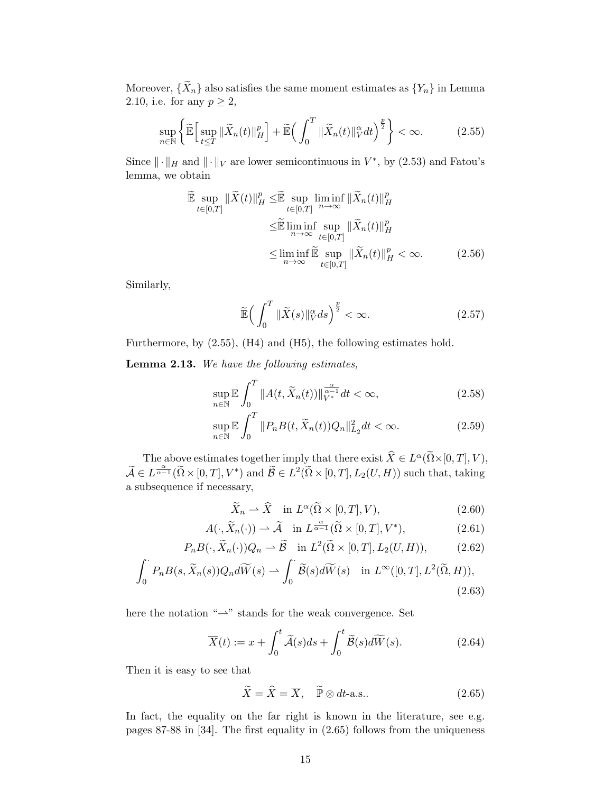Moreover,  $\{\widetilde{X}_n\}$  also satisfies the same moment estimates as  $\{Y_n\}$  in Lemma [2.10,](#page-6-3) i.e. for any  $p \geq 2$ ,

$$
\sup_{n\in\mathbb{N}}\left\{\widetilde{\mathbb{E}}\Big[\sup_{t\leq T}\|\widetilde{X}_n(t)\|_{H}^p\Big]+\widetilde{\mathbb{E}}\Big(\int_0^T\|\widetilde{X}_n(t)\|_{V}^{\alpha}dt\Big)^{\frac{p}{2}}\right\}<\infty.\tag{2.55}
$$

Since  $\|\cdot\|_H$  and  $\|\cdot\|_V$  are lower semicontinuous in  $V^*$ , by [\(2.53\)](#page-13-1) and Fatou's lemma, we obtain

<span id="page-14-0"></span>
$$
\widetilde{\mathbb{E}} \sup_{t \in [0,T]} \|\widetilde{X}(t)\|_{H}^{p} \leq \widetilde{\mathbb{E}} \sup_{t \in [0,T]} \liminf_{n \to \infty} \|\widetilde{X}_{n}(t)\|_{H}^{p}
$$
\n
$$
\leq \widetilde{\mathbb{E}} \liminf_{n \to \infty} \sup_{t \in [0,T]} \|\widetilde{X}_{n}(t)\|_{H}^{p}
$$
\n
$$
\leq \liminf_{n \to \infty} \widetilde{\mathbb{E}} \sup_{t \in [0,T]} \|\widetilde{X}_{n}(t)\|_{H}^{p} < \infty. \tag{2.56}
$$

Similarly,

<span id="page-14-3"></span><span id="page-14-2"></span>
$$
\widetilde{\mathbb{E}}\Big(\int_0^T \|\widetilde{X}(s)\|_V^\alpha ds\Big)^{\frac{p}{2}} < \infty. \tag{2.57}
$$

Furthermore, by [\(2.55\)](#page-14-0), (H4) and (H5), the following estimates hold.

Lemma 2.13. We have the following estimates,

$$
\sup_{n\in\mathbb{N}} \mathbb{E} \int_0^T \|A(t, \widetilde{X}_n(t))\|_{V^*}^{\frac{\alpha}{\alpha-1}} dt < \infty,
$$
\n(2.58)

$$
\sup_{n\in\mathbb{N}} \mathbb{E} \int_0^T \|P_n B(t, \widetilde{X}_n(t)) Q_n\|_{L_2}^2 dt < \infty. \tag{2.59}
$$

The above estimates together imply that there exist  $\widehat{X} \in L^{\alpha}(\widetilde{\Omega} \times [0, T], V)$ ,  $\widetilde{\mathcal{A}} \in L^{\frac{\alpha}{\alpha-1}}(\widetilde{\Omega} \times [0,T], V^*)$  and  $\widetilde{\mathcal{B}} \in L^2(\widetilde{\Omega} \times [0,T], L_2(U,H))$  such that, taking a subsequence if necessary,

<span id="page-14-5"></span><span id="page-14-4"></span>
$$
\widetilde{X}_n \rightharpoonup \widehat{X} \quad \text{in } L^{\alpha}(\widetilde{\Omega} \times [0, T], V), \tag{2.60}
$$

$$
A(\cdot, \widetilde{X}_n(\cdot)) \rightharpoonup \widetilde{A} \quad \text{in } L^{\frac{\alpha}{\alpha-1}}(\widetilde{\Omega} \times [0, T], V^*), \tag{2.61}
$$

$$
P_n B(\cdot, \widetilde{X}_n(\cdot)) Q_n \rightharpoonup \widetilde{B} \quad \text{in } L^2(\widetilde{\Omega} \times [0, T], L_2(U, H)), \tag{2.62}
$$

$$
\int_0^\cdot P_n B(s, \widetilde{X}_n(s)) Q_n d\widetilde{W}(s) \rightharpoonup \int_0^\cdot \widetilde{\mathcal{B}}(s) d\widetilde{W}(s) \quad \text{in } L^\infty([0, T], L^2(\widetilde{\Omega}, H)),
$$
\n(2.63)

here the notation " $\rightarrow$ " stands for the weak convergence. Set

$$
\overline{X}(t) := x + \int_0^t \widetilde{\mathcal{A}}(s)ds + \int_0^t \widetilde{\mathcal{B}}(s)d\widetilde{W}(s).
$$
 (2.64)

Then it is easy to see that

<span id="page-14-6"></span><span id="page-14-1"></span>
$$
\widetilde{X} = \widehat{X} = \overline{X}, \quad \widetilde{\mathbb{P}} \otimes dt\text{-a.s.} \tag{2.65}
$$

In fact, the equality on the far right is known in the literature, see e.g. pages 87-88 in [\[34\]](#page-44-3). The first equality in [\(2.65\)](#page-14-1) follows from the uniqueness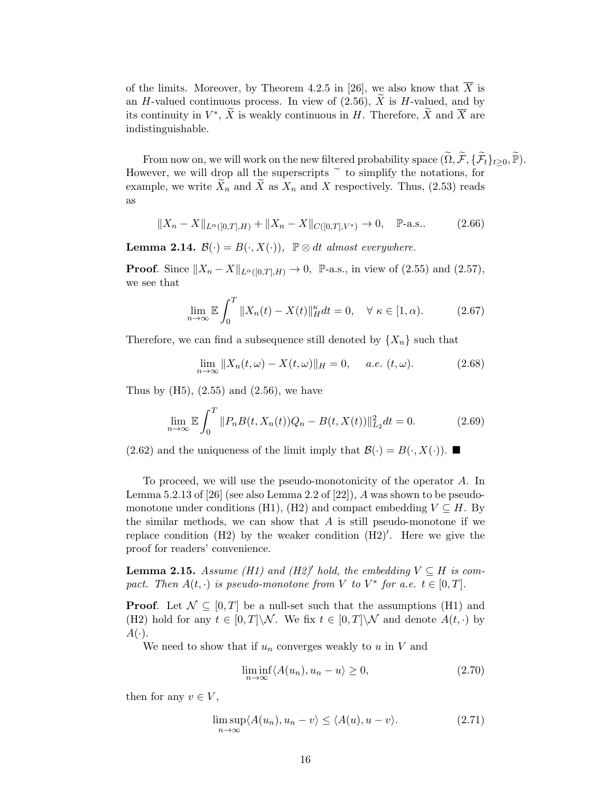of the limits. Moreover, by Theorem 4.2.5 in [\[26\]](#page-43-11), we also know that  $\overline{X}$  is an H-valued continuous process. In view of  $(2.56)$ , X is H-valued, and by its continuity in  $V^*, \tilde{X}$  is weakly continuous in H. Therefore,  $\tilde{X}$  and  $\overline{X}$  are indistinguishable.

From now on, we will work on the new filtered probability space  $(\widetilde{\Omega}, \widetilde{\mathcal{F}}, \{\widetilde{\mathcal{F}}_t\}_{t>0}, \widetilde{\mathbb{P}})$ . However, we will drop all the superscripts  $\tilde{c}$  to simplify the notations, for example, we write  $\tilde{X}_n$  and  $\tilde{X}$  as  $X_n$  and X respectively. Thus, [\(2.53\)](#page-13-1) reads as

$$
||X_n - X||_{L^{\alpha}([0,T],H)} + ||X_n - X||_{C([0,T],V^*)} \to 0, \quad \mathbb{P}\text{-a.s..} \tag{2.66}
$$

<span id="page-15-4"></span>**Lemma 2.14.**  $\mathcal{B}(\cdot) = B(\cdot, X(\cdot)), \ \mathbb{P} \otimes dt$  almost everywhere.

**Proof.** Since  $||X_n - X||_{L^{\alpha}([0,T],H)} \to 0$ , P-a.s., in view of [\(2.55\)](#page-14-0) and [\(2.57\)](#page-14-3), we see that

<span id="page-15-5"></span>
$$
\lim_{n \to \infty} \mathbb{E} \int_0^T \|X_n(t) - X(t)\|_H^\kappa dt = 0, \quad \forall \ \kappa \in [1, \alpha). \tag{2.67}
$$

Therefore, we can find a subsequence still denoted by  $\{X_n\}$  such that

<span id="page-15-7"></span><span id="page-15-6"></span><span id="page-15-2"></span>
$$
\lim_{n \to \infty} ||X_n(t, \omega) - X(t, \omega)||_H = 0, \quad a.e. \ (t, \omega). \tag{2.68}
$$

Thus by  $(H5)$ ,  $(2.55)$  and  $(2.56)$ , we have

$$
\lim_{n \to \infty} \mathbb{E} \int_0^T \|P_n B(t, X_n(t))Q_n - B(t, X(t))\|_{L_2}^2 dt = 0.
$$
 (2.69)

[\(2.62\)](#page-14-4) and the uniqueness of the limit imply that  $\mathcal{B}(\cdot) = B(\cdot, X(\cdot))$ .

To proceed, we will use the pseudo-monotonicity of the operator A. In Lemma  $5.2.13$  of [\[26\]](#page-43-11) (see also Lemma  $2.2$  of [\[22\]](#page-43-10)), A was shown to be pseudomonotone under conditions (H1), (H2) and compact embedding  $V \subseteq H$ . By the similar methods, we can show that  $A$  is still pseudo-monotone if we replace condition (H2) by the weaker condition (H2)′ . Here we give the proof for readers' convenience.

<span id="page-15-3"></span>**Lemma 2.15.** Assume (H1) and (H2)<sup> $\prime$ </sup> hold, the embedding  $V \subseteq H$  is compact. Then  $A(t, \cdot)$  is pseudo-monotone from V to  $V^*$  for a.e.  $t \in [0, T]$ .

**Proof.** Let  $\mathcal{N} \subseteq [0, T]$  be a null-set such that the assumptions (H1) and (H2) hold for any  $t \in [0,T]\setminus\mathcal{N}$ . We fix  $t \in [0,T]\setminus\mathcal{N}$  and denote  $A(t, \cdot)$  by  $A(\cdot).$ 

We need to show that if  $u_n$  converges weakly to u in V and

<span id="page-15-1"></span><span id="page-15-0"></span>
$$
\liminf_{n \to \infty} \langle A(u_n), u_n - u \rangle \ge 0,
$$
\n(2.70)

then for any  $v \in V$ ,

$$
\limsup_{n \to \infty} \langle A(u_n), u_n - v \rangle \le \langle A(u), u - v \rangle. \tag{2.71}
$$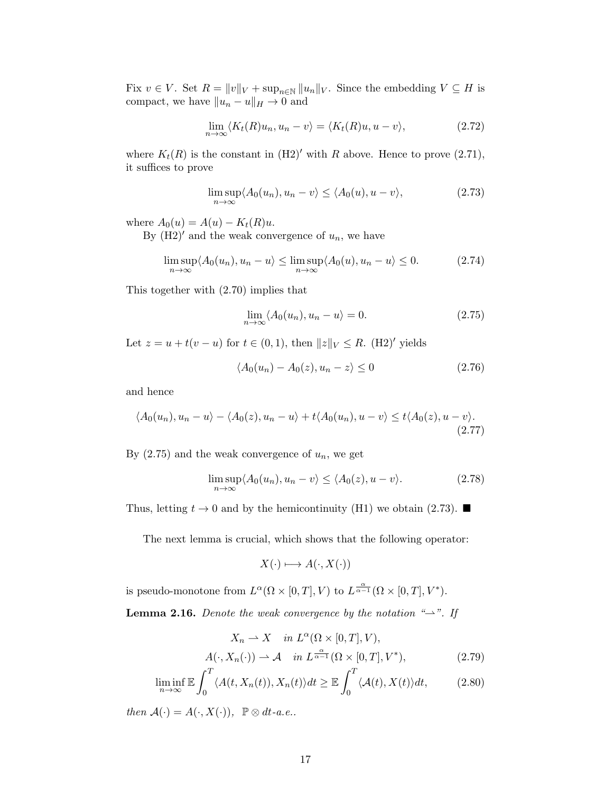Fix  $v \in V$ . Set  $R = ||v||_V + \sup_{n \in \mathbb{N}} ||u_n||_V$ . Since the embedding  $V \subseteq H$  is compact, we have  $||u_n - u||_H \to 0$  and

$$
\lim_{n \to \infty} \langle K_t(R)u_n, u_n - v \rangle = \langle K_t(R)u, u - v \rangle, \tag{2.72}
$$

where  $K_t(R)$  is the constant in  $(H2)'$  with R above. Hence to prove  $(2.71)$ , it suffices to prove

<span id="page-16-1"></span>
$$
\limsup_{n \to \infty} \langle A_0(u_n), u_n - v \rangle \le \langle A_0(u), u - v \rangle,
$$
\n(2.73)

where  $A_0(u) = A(u) - K_t(R)u$ .

By  $(H2)'$  and the weak convergence of  $u_n$ , we have

$$
\limsup_{n \to \infty} \langle A_0(u_n), u_n - u \rangle \le \limsup_{n \to \infty} \langle A_0(u), u_n - u \rangle \le 0.
$$
 (2.74)

This together with [\(2.70\)](#page-15-1) implies that

<span id="page-16-0"></span>
$$
\lim_{n \to \infty} \langle A_0(u_n), u_n - u \rangle = 0. \tag{2.75}
$$

Let  $z = u + t(v - u)$  for  $t \in (0, 1)$ , then  $||z||_V \leq R$ . (H2)' yields

$$
\langle A_0(u_n) - A_0(z), u_n - z \rangle \le 0 \tag{2.76}
$$

and hence

$$
\langle A_0(u_n), u_n - u \rangle - \langle A_0(z), u_n - u \rangle + t \langle A_0(u_n), u - v \rangle \le t \langle A_0(z), u - v \rangle.
$$
\n(2.77)

By  $(2.75)$  and the weak convergence of  $u_n$ , we get

$$
\limsup_{n \to \infty} \langle A_0(u_n), u_n - v \rangle \le \langle A_0(z), u - v \rangle. \tag{2.78}
$$

Thus, letting  $t \to 0$  and by the hemicontinuity (H1) we obtain [\(2.73\)](#page-16-1).

The next lemma is crucial, which shows that the following operator:

<span id="page-16-2"></span>
$$
X(\cdot) \longmapsto A(\cdot, X(\cdot))
$$

is pseudo-monotone from  $L^{\alpha}(\Omega \times [0,T], V)$  to  $L^{\frac{\alpha}{\alpha-1}}(\Omega \times [0,T], V^*)$ .

<span id="page-16-3"></span>**Lemma 2.16.** Denote the weak convergence by the notation " $\rightarrow$ ". If

$$
X_n \rightharpoonup X \quad in \ L^{\alpha}(\Omega \times [0, T], V),
$$
  

$$
A(\cdot, X_n(\cdot)) \rightharpoonup \mathcal{A} \quad in \ L^{\frac{\alpha}{\alpha - 1}}(\Omega \times [0, T], V^*),
$$
 (2.79)

$$
\liminf_{n \to \infty} \mathbb{E} \int_0^T \langle A(t, X_n(t)), X_n(t) \rangle dt \ge \mathbb{E} \int_0^T \langle A(t), X(t) \rangle dt, \tag{2.80}
$$

then  $\mathcal{A}(\cdot) = A(\cdot, X(\cdot)), \mathbb{P} \otimes dt$ -a.e..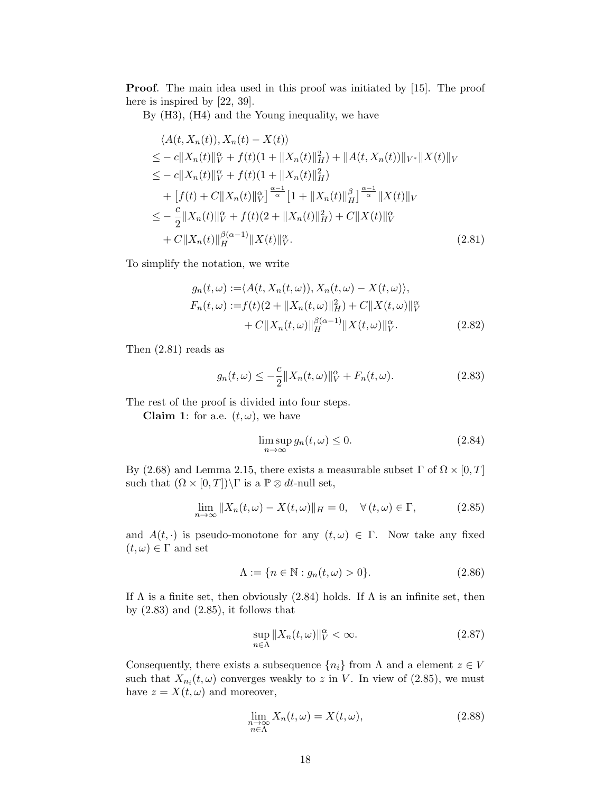Proof. The main idea used in this proof was initiated by [\[15\]](#page-43-13). The proof here is inspired by [\[22,](#page-43-10) [39\]](#page-44-9).

By (H3), (H4) and the Young inequality, we have

$$
\langle A(t, X_n(t)), X_n(t) - X(t) \rangle
$$
  
\n
$$
\leq -c \|X_n(t)\|_{V}^{\alpha} + f(t)(1 + \|X_n(t)\|_{H}^2) + \|A(t, X_n(t))\|_{V^*} \|X(t)\|_{V}
$$
  
\n
$$
\leq -c \|X_n(t)\|_{V}^{\alpha} + f(t)(1 + \|X_n(t)\|_{H}^2)
$$
  
\n
$$
+ [f(t) + C \|X_n(t)\|_{V}^{\alpha}]^{\frac{\alpha-1}{\alpha}} [1 + \|X_n(t)\|_{H}^{\beta}]^{\frac{\alpha-1}{\alpha}} \|X(t)\|_{V}
$$
  
\n
$$
\leq -\frac{c}{2} \|X_n(t)\|_{V}^{\alpha} + f(t)(2 + \|X_n(t)\|_{H}^2) + C \|X(t)\|_{V}^{\alpha}
$$
  
\n
$$
+ C \|X_n(t)\|_{H}^{\beta(\alpha-1)} \|X(t)\|_{V}^{\alpha}.
$$
\n(2.81)

To simplify the notation, we write

<span id="page-17-0"></span>
$$
g_n(t,\omega) := \langle A(t, X_n(t,\omega)), X_n(t,\omega) - X(t,\omega) \rangle,
$$
  
\n
$$
F_n(t,\omega) := f(t)(2 + \|X_n(t,\omega)\|_H^2) + C \|X(t,\omega)\|_V^{\alpha}
$$
  
\n
$$
+ C \|X_n(t,\omega)\|_H^{\beta(\alpha-1)} \|X(t,\omega)\|_V^{\alpha}.
$$
\n(2.82)

Then [\(2.81\)](#page-17-0) reads as

$$
g_n(t,\omega) \le -\frac{c}{2} \|X_n(t,\omega)\|_V^{\alpha} + F_n(t,\omega). \tag{2.83}
$$

The rest of the proof is divided into four steps.

**Claim 1:** for a.e.  $(t, \omega)$ , we have

<span id="page-17-3"></span><span id="page-17-2"></span><span id="page-17-1"></span>
$$
\limsup_{n \to \infty} g_n(t, \omega) \le 0. \tag{2.84}
$$

By [\(2.68\)](#page-15-2) and Lemma [2.15,](#page-15-3) there exists a measurable subset  $\Gamma$  of  $\Omega \times [0, T]$ such that  $(\Omega \times [0, T]) \backslash \Gamma$  is a  $\mathbb{P} \otimes dt$ -null set,

$$
\lim_{n \to \infty} \|X_n(t, \omega) - X(t, \omega)\|_H = 0, \quad \forall (t, \omega) \in \Gamma,
$$
\n(2.85)

and  $A(t, \cdot)$  is pseudo-monotone for any  $(t, \omega) \in \Gamma$ . Now take any fixed  $(t, \omega) \in \Gamma$  and set

$$
\Lambda := \{ n \in \mathbb{N} : g_n(t, \omega) > 0 \}. \tag{2.86}
$$

If  $\Lambda$  is a finite set, then obviously [\(2.84\)](#page-17-1) holds. If  $\Lambda$  is an infinite set, then by  $(2.83)$  and  $(2.85)$ , it follows that

$$
\sup_{n \in \Lambda} \|X_n(t, \omega)\|_V^{\alpha} < \infty. \tag{2.87}
$$

Consequently, there exists a subsequence  $\{n_i\}$  from  $\Lambda$  and a element  $z \in V$ such that  $X_{n_i}(t,\omega)$  converges weakly to z in V. In view of [\(2.85\)](#page-17-3), we must have  $z = X(t, \omega)$  and moreover,

$$
\lim_{\substack{n \to \infty \\ n \in \Lambda}} X_n(t, \omega) = X(t, \omega), \tag{2.88}
$$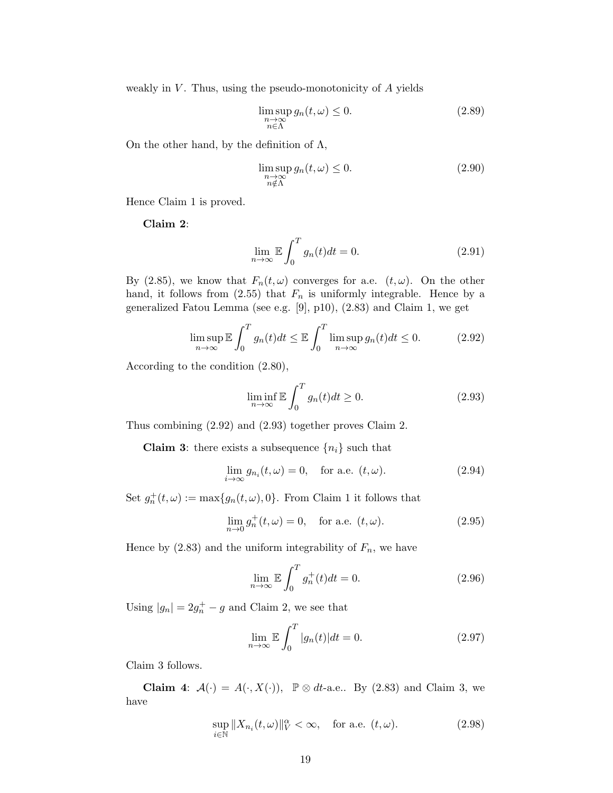weakly in  $V$ . Thus, using the pseudo-monotonicity of  $A$  yields

$$
\limsup_{\substack{n \to \infty \\ n \in \Lambda}} g_n(t, \omega) \le 0. \tag{2.89}
$$

On the other hand, by the definition of  $\Lambda$ ,

$$
\limsup_{\substack{n \to \infty \\ n \notin \Lambda}} g_n(t, \omega) \le 0. \tag{2.90}
$$

Hence Claim 1 is proved.

Claim 2:

$$
\lim_{n \to \infty} \mathbb{E} \int_0^T g_n(t) dt = 0.
$$
\n(2.91)

By [\(2.85\)](#page-17-3), we know that  $F_n(t,\omega)$  converges for a.e.  $(t,\omega)$ . On the other hand, it follows from [\(2.55\)](#page-14-0) that  $F_n$  is uniformly integrable. Hence by a generalized Fatou Lemma (see e.g. [\[9\]](#page-42-7), p10), [\(2.83\)](#page-17-2) and Claim 1, we get

$$
\limsup_{n \to \infty} \mathbb{E} \int_0^T g_n(t) dt \le \mathbb{E} \int_0^T \limsup_{n \to \infty} g_n(t) dt \le 0.
$$
 (2.92)

According to the condition [\(2.80\)](#page-16-2),

<span id="page-18-1"></span><span id="page-18-0"></span>
$$
\liminf_{n \to \infty} \mathbb{E} \int_0^T g_n(t) dt \ge 0.
$$
\n(2.93)

Thus combining [\(2.92\)](#page-18-0) and [\(2.93\)](#page-18-1) together proves Claim 2.

**Claim 3:** there exists a subsequence  $\{n_i\}$  such that

$$
\lim_{i \to \infty} g_{n_i}(t,\omega) = 0, \quad \text{for a.e. } (t,\omega). \tag{2.94}
$$

Set  $g_n^+(t, \omega) := \max\{g_n(t, \omega), 0\}$ . From Claim 1 it follows that

$$
\lim_{n \to 0} g_n^+(t, \omega) = 0, \text{ for a.e. } (t, \omega). \tag{2.95}
$$

Hence by  $(2.83)$  and the uniform integrability of  $F_n$ , we have

$$
\lim_{n \to \infty} \mathbb{E} \int_0^T g_n^+(t) dt = 0.
$$
\n(2.96)

Using  $|g_n| = 2g_n^+ - g$  and Claim 2, we see that

<span id="page-18-2"></span>
$$
\lim_{n \to \infty} \mathbb{E} \int_0^T |g_n(t)| dt = 0.
$$
\n(2.97)

Claim 3 follows.

Claim 4:  $\mathcal{A}(\cdot) = A(\cdot, X(\cdot))$ ,  $\mathbb{P} \otimes dt$ -a.e.. By [\(2.83\)](#page-17-2) and Claim 3, we have

$$
\sup_{i \in \mathbb{N}} \|X_{n_i}(t, \omega)\|_V^{\alpha} < \infty, \quad \text{for a.e. } (t, \omega). \tag{2.98}
$$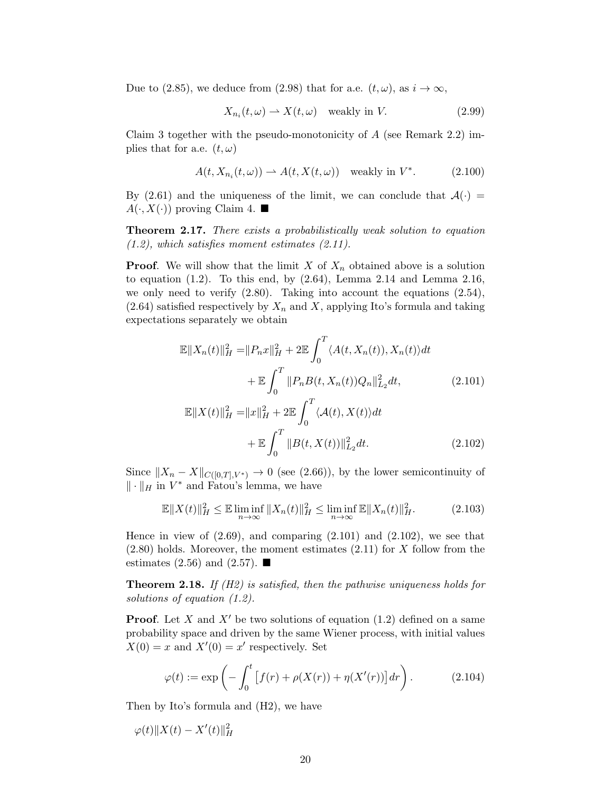Due to [\(2.85\)](#page-17-3), we deduce from [\(2.98\)](#page-18-2) that for a.e.  $(t, \omega)$ , as  $i \to \infty$ ,

$$
X_{n_i}(t,\omega) \rightharpoonup X(t,\omega) \quad \text{weakly in } V. \tag{2.99}
$$

Claim 3 together with the pseudo-monotonicity of  $A$  (see Remark [2.2\)](#page-3-3) implies that for a.e.  $(t, \omega)$ 

$$
A(t, X_{n_i}(t, \omega)) \rightharpoonup A(t, X(t, \omega)) \quad \text{weakly in } V^*.
$$
 (2.100)

By [\(2.61\)](#page-14-5) and the uniqueness of the limit, we can conclude that  $\mathcal{A}(\cdot)$  =  $A(\cdot, X(\cdot))$  proving Claim 4.

<span id="page-19-2"></span>Theorem 2.17. There exists a probabilistically weak solution to equation  $(1.2)$ , which satisfies moment estimates  $(2.11)$ .

**Proof.** We will show that the limit X of  $X_n$  obtained above is a solution to equation  $(1.2)$ . To this end, by  $(2.64)$ , Lemma [2.14](#page-15-4) and Lemma [2.16,](#page-16-3) we only need to verify [\(2.80\)](#page-16-2). Taking into account the equations [\(2.54\)](#page-13-2),  $(2.64)$  satisfied respectively by  $X_n$  and X, applying Ito's formula and taking expectations separately we obtain

$$
\mathbb{E}||X_n(t)||_H^2 = ||P_n x||_H^2 + 2\mathbb{E} \int_0^T \langle A(t, X_n(t)), X_n(t) \rangle dt \n+ \mathbb{E} \int_0^T ||P_n B(t, X_n(t))Q_n||_{L_2}^2 dt,
$$
\n(2.101)

<span id="page-19-1"></span><span id="page-19-0"></span>
$$
\mathbb{E}||X(t)||_{H}^{2} = ||x||_{H}^{2} + 2\mathbb{E}\int_{0}^{T} \langle A(t), X(t) \rangle dt
$$

$$
+ \mathbb{E}\int_{0}^{T} ||B(t, X(t))||_{L_{2}}^{2} dt. \qquad (2.102)
$$

Since  $||X_n - X||_{C([0,T],V^*)} \to 0$  (see [\(2.66\)](#page-15-5)), by the lower semicontinuity of  $\|\cdot\|_H$  in  $V^*$  and Fatou's lemma, we have

$$
\mathbb{E}||X(t)||_{H}^{2} \leq \mathbb{E}\liminf_{n\to\infty}||X_{n}(t)||_{H}^{2} \leq \liminf_{n\to\infty} \mathbb{E}||X_{n}(t)||_{H}^{2}.
$$
 (2.103)

Hence in view of  $(2.69)$ , and comparing  $(2.101)$  and  $(2.102)$ , we see that  $(2.80)$  holds. Moreover, the moment estimates  $(2.11)$  for X follow from the estimates [\(2.56\)](#page-14-2) and [\(2.57\)](#page-14-3).  $\blacksquare$ 

<span id="page-19-3"></span>**Theorem 2.18.** If  $(H2)$  is satisfied, then the pathwise uniqueness holds for solutions of equation [\(1.2\)](#page-1-1).

**Proof.** Let X and  $X'$  be two solutions of equation [\(1.2\)](#page-1-1) defined on a same probability space and driven by the same Wiener process, with initial values  $X(0) = x$  and  $X'(0) = x'$  respectively. Set

$$
\varphi(t) := \exp\left(-\int_0^t \left[f(r) + \rho(X(r)) + \eta(X'(r))\right] dr\right). \tag{2.104}
$$

Then by Ito's formula and (H2), we have

$$
\varphi(t) \| X(t) - X'(t) \|_H^2
$$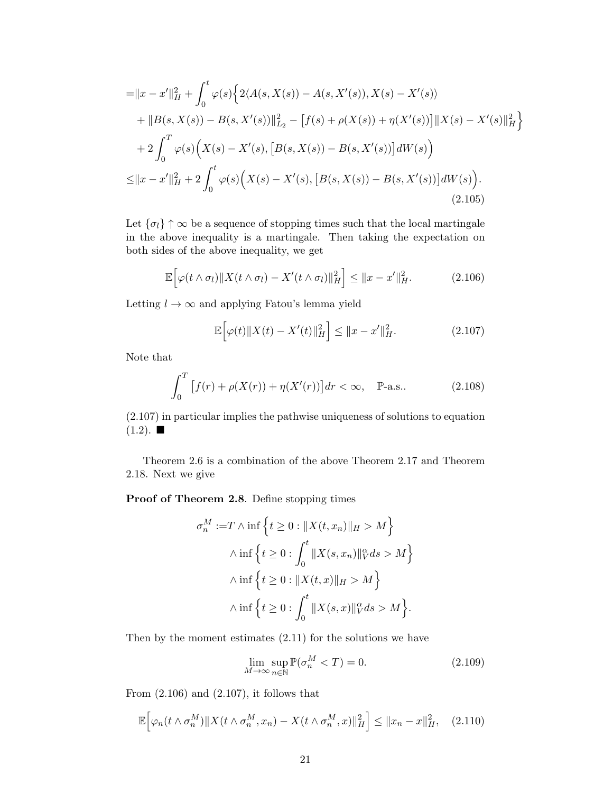$$
= ||x - x'||_H^2 + \int_0^t \varphi(s) \Big\{ 2\langle A(s, X(s)) - A(s, X'(s)), X(s) - X'(s) \rangle + ||B(s, X(s)) - B(s, X'(s))||_{L_2}^2 - [f(s) + \rho(X(s)) + \eta(X'(s))] ||X(s) - X'(s)||_H^2 \Big\} + 2 \int_0^T \varphi(s) \Big(X(s) - X'(s), [B(s, X(s)) - B(s, X'(s))] dW(s) \Big) \le ||x - x'||_H^2 + 2 \int_0^t \varphi(s) \Big(X(s) - X'(s), [B(s, X(s)) - B(s, X'(s))] dW(s) \Big).
$$
\n(2.105)

Let  $\{\sigma_l\}\uparrow\infty$  be a sequence of stopping times such that the local martingale in the above inequality is a martingale. Then taking the expectation on both sides of the above inequality, we get

$$
\mathbb{E}\Big[\varphi(t\wedge\sigma_l)\|X(t\wedge\sigma_l)-X'(t\wedge\sigma_l)\|_H^2\Big]\leq\|x-x'\|_H^2.\tag{2.106}
$$

Letting  $l \to \infty$  and applying Fatou's lemma yield

<span id="page-20-3"></span><span id="page-20-1"></span><span id="page-20-0"></span>
$$
\mathbb{E}\Big[\varphi(t)\|X(t) - X'(t)\|_{H}^{2}\Big] \le \|x - x'\|_{H}^{2}.
$$
\n(2.107)

Note that

$$
\int_{0}^{T} \left[ f(r) + \rho(X(r)) + \eta(X'(r)) \right] dr < \infty, \quad \mathbb{P}\text{-a.s..} \tag{2.108}
$$

[\(2.107\)](#page-20-0) in particular implies the pathwise uniqueness of solutions to equation  $(1.2)$ .  $\blacksquare$ 

Theorem [2.6](#page-5-0) is a combination of the above Theorem [2.17](#page-19-2) and Theorem [2.18.](#page-19-3) Next we give

Proof of Theorem [2.8](#page-5-2). Define stopping times

$$
\sigma_n^M := T \wedge \inf \left\{ t \ge 0 : ||X(t, x_n)||_H > M \right\}
$$

$$
\wedge \inf \left\{ t \ge 0 : \int_0^t ||X(s, x_n)||_V^\alpha ds > M \right\}
$$

$$
\wedge \inf \left\{ t \ge 0 : ||X(t, x)||_H > M \right\}
$$

$$
\wedge \inf \left\{ t \ge 0 : \int_0^t ||X(s, x)||_V^\alpha ds > M \right\}.
$$

Then by the moment estimates [\(2.11\)](#page-5-1) for the solutions we have

<span id="page-20-2"></span>
$$
\lim_{M \to \infty} \sup_{n \in \mathbb{N}} \mathbb{P}(\sigma_n^M < T) = 0. \tag{2.109}
$$

From  $(2.106)$  and  $(2.107)$ , it follows that

$$
\mathbb{E}\Big[\varphi_n(t\wedge\sigma_n^M)\|X(t\wedge\sigma_n^M,x_n)-X(t\wedge\sigma_n^M,x)\|_H^2\Big]\leq\|x_n-x\|_H^2,\quad(2.110)
$$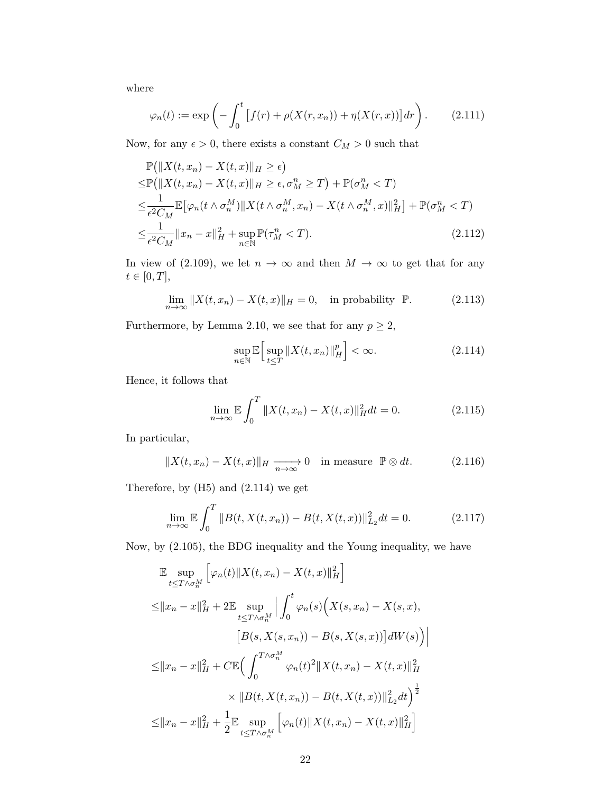where

$$
\varphi_n(t) := \exp\left(-\int_0^t \left[f(r) + \rho(X(r, x_n)) + \eta(X(r, x))\right] dr\right). \tag{2.111}
$$

Now, for any  $\epsilon > 0$ , there exists a constant  $C_M > 0$  such that

$$
\mathbb{P}\left(\|X(t, x_n) - X(t, x)\|_{H} \geq \epsilon\right)
$$
\n
$$
\leq \mathbb{P}\left(\|X(t, x_n) - X(t, x)\|_{H} \geq \epsilon, \sigma_M^n \geq T\right) + \mathbb{P}(\sigma_M^n < T)
$$
\n
$$
\leq \frac{1}{\epsilon^2 C_M} \mathbb{E}\left[\varphi_n(t \wedge \sigma_n^M) \|X(t \wedge \sigma_n^M, x_n) - X(t \wedge \sigma_n^M, x)\|_{H}^2\right] + \mathbb{P}(\sigma_M^n < T)
$$
\n
$$
\leq \frac{1}{\epsilon^2 C_M} \|x_n - x\|_{H}^2 + \sup_{n \in \mathbb{N}} \mathbb{P}(\tau_M^n < T). \tag{2.112}
$$

In view of [\(2.109\)](#page-20-2), we let  $n \to \infty$  and then  $M \to \infty$  to get that for any  $t\in [0,T],$ 

$$
\lim_{n \to \infty} \|X(t, x_n) - X(t, x)\|_{H} = 0, \quad \text{in probability } \mathbb{P}.
$$
 (2.113)

Furthermore, by Lemma [2.10,](#page-6-3) we see that for any  $p \geq 2$ ,

<span id="page-21-2"></span><span id="page-21-0"></span>
$$
\sup_{n \in \mathbb{N}} \mathbb{E} \Big[ \sup_{t \le T} \|X(t, x_n)\|_{H}^{p} \Big] < \infty. \tag{2.114}
$$

Hence, it follows that

<span id="page-21-1"></span>
$$
\lim_{n \to \infty} \mathbb{E} \int_0^T \|X(t, x_n) - X(t, x)\|_H^2 dt = 0.
$$
 (2.115)

In particular,

$$
||X(t, x_n) - X(t, x)||_H \xrightarrow[n \to \infty]{} 0 \quad \text{in measure } \mathbb{P} \otimes dt. \tag{2.116}
$$

Therefore, by (H5) and [\(2.114\)](#page-21-0) we get

$$
\lim_{n \to \infty} \mathbb{E} \int_0^T \|B(t, X(t, x_n)) - B(t, X(t, x))\|_{L_2}^2 dt = 0.
$$
 (2.117)

Now, by [\(2.105\)](#page-20-3), the BDG inequality and the Young inequality, we have

E sup t≤T ∧σMn h φn(t)∥X(t, xn) − X(t, x)∥ 2 H i ≤∥x<sup>n</sup> − x∥ 2 <sup>H</sup> + 2E sup t≤T ∧σMn Z <sup>t</sup> 0 φn(s) X(s, xn) − X(s, x), -B(s, X(s, xn)) − B(s, X(s, x)) dW(s) ≤∥x<sup>n</sup> − x∥ 2 <sup>H</sup> + CE <sup>Z</sup> <sup>T</sup> <sup>∧</sup>σMn 0 φn(t) 2 ∥X(t, xn) − X(t, x)∥ 2 H × ∥B(t, X(t, xn)) − B(t, X(t, x))∥ 2 L<sup>2</sup> dt <sup>1</sup> 2 ≤∥x<sup>n</sup> − x∥ 2 <sup>H</sup> + 1 2 E sup t≤T ∧σMn h φn(t)∥X(t, xn) − X(t, x)∥ 2 H i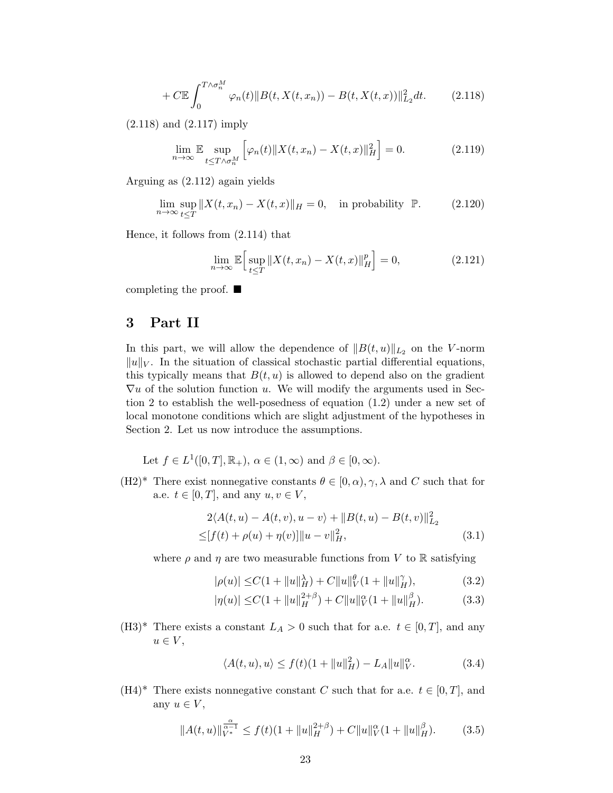$$
+ C \mathbb{E} \int_0^{T \wedge \sigma_n^M} \varphi_n(t) \| B(t, X(t, x_n)) - B(t, X(t, x)) \|_{L_2}^2 dt. \tag{2.118}
$$

[\(2.118\)](#page-22-1) and [\(2.117\)](#page-21-1) imply

<span id="page-22-1"></span>
$$
\lim_{n \to \infty} \mathbb{E} \sup_{t \le T \wedge \sigma_n^M} \left[ \varphi_n(t) \| X(t, x_n) - X(t, x) \|_H^2 \right] = 0. \tag{2.119}
$$

Arguing as [\(2.112\)](#page-21-2) again yields

$$
\lim_{n \to \infty} \sup_{t \le T} ||X(t, x_n) - X(t, x)||_H = 0, \quad \text{in probability } \mathbb{P}.
$$
 (2.120)

Hence, it follows from [\(2.114\)](#page-21-0) that

$$
\lim_{n \to \infty} \mathbb{E} \Big[ \sup_{t \le T} \| X(t, x_n) - X(t, x) \|_{H}^{p} \Big] = 0,
$$
\n(2.121)

completing the proof. ■

# <span id="page-22-0"></span>3 Part II

In this part, we will allow the dependence of  $||B(t, u)||_{L_2}$  on the V-norm  $||u||_V$ . In the situation of classical stochastic partial differential equations, this typically means that  $B(t, u)$  is allowed to depend also on the gradient  $\nabla u$  of the solution function u. We will modify the arguments used in Section [2](#page-3-0) to establish the well-posedness of equation [\(1.2\)](#page-1-1) under a new set of local monotone conditions which are slight adjustment of the hypotheses in Section [2.](#page-3-0) Let us now introduce the assumptions.

Let 
$$
f \in L^1([0,T], \mathbb{R}_+), \alpha \in (1, \infty)
$$
 and  $\beta \in [0, \infty)$ .

 $(H2)^*$  There exist nonnegative constants  $\theta \in [0, \alpha), \gamma, \lambda$  and C such that for a.e.  $t \in [0, T]$ , and any  $u, v \in V$ ,

$$
2\langle A(t, u) - A(t, v), u - v \rangle + ||B(t, u) - B(t, v)||_{L_2}^2
$$
  
\n
$$
\leq [f(t) + \rho(u) + \eta(v)] ||u - v||_H^2,
$$
\n(3.1)

where  $\rho$  and  $\eta$  are two measurable functions from V to R satisfying

<span id="page-22-4"></span><span id="page-22-3"></span><span id="page-22-2"></span>
$$
|\rho(u)| \le C(1 + \|u\|_H^{\lambda}) + C \|u\|_V^{\theta} (1 + \|u\|_H^{\gamma}), \tag{3.2}
$$

$$
|\eta(u)| \le C(1 + \|u\|_H^{2+\beta}) + C \|u\|_V^{\alpha}(1 + \|u\|_H^{\beta}).
$$
 (3.3)

(H3)<sup>\*</sup> There exists a constant  $L_A > 0$  such that for a.e.  $t \in [0, T]$ , and any  $u \in V$ ,

$$
\langle A(t, u), u \rangle \le f(t)(1 + \|u\|_H^2) - L_A \|u\|_V^\alpha. \tag{3.4}
$$

(H4)<sup>\*</sup> There exists nonnegative constant C such that for a.e.  $t \in [0, T]$ , and any  $u \in V$ ,

$$
||A(t, u)||_{V^*}^{\frac{\alpha}{\alpha - 1}} \le f(t)(1 + ||u||_H^{2 + \beta}) + C||u||_V^{\alpha}(1 + ||u||_H^{\beta}). \tag{3.5}
$$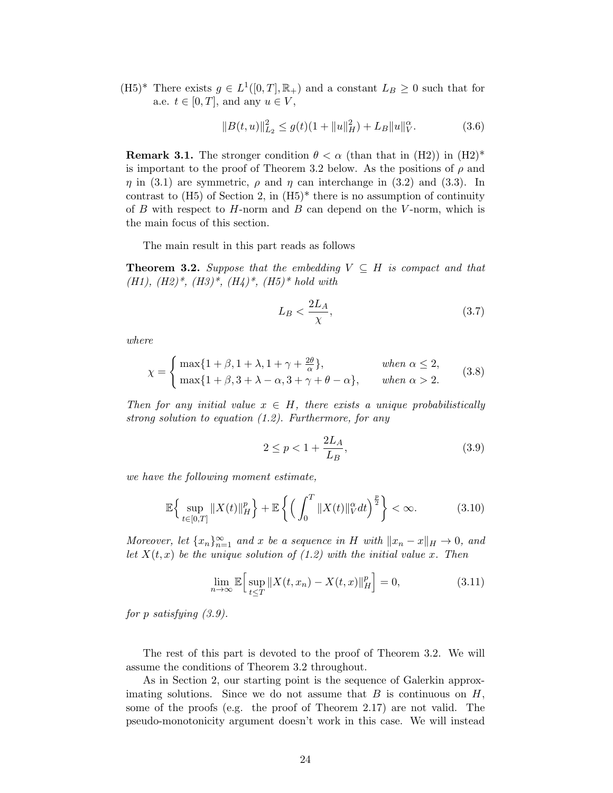(H5)<sup>\*</sup> There exists  $g \in L^1([0,T], \mathbb{R}_+)$  and a constant  $L_B \geq 0$  such that for a.e.  $t \in [0, T]$ , and any  $u \in V$ ,

$$
||B(t, u)||_{L_2}^2 \le g(t)(1 + ||u||_H^2) + L_B ||u||_V^\alpha.
$$
 (3.6)

**Remark 3.1.** The stronger condition  $\theta < \alpha$  (than that in  $(H2)$ ) in  $(H2)^*$ is important to the proof of Theorem [3.2](#page-23-0) below. As the positions of  $\rho$  and  $\eta$  in [\(3.1\)](#page-22-2) are symmetric,  $\rho$  and  $\eta$  can interchange in [\(3.2\)](#page-22-3) and [\(3.3\)](#page-22-4). In contrast to  $(H5)$  of Section 2, in  $(H5)^*$  there is no assumption of continuity of  $B$  with respect to  $H$ -norm and  $B$  can depend on the  $V$ -norm, which is the main focus of this section.

The main result in this part reads as follows

<span id="page-23-0"></span>**Theorem 3.2.** Suppose that the embedding  $V \subseteq H$  is compact and that (H1),  $(H2)^*, (H3)^*, (H4)^*, (H5)^*$  hold with

<span id="page-23-2"></span>
$$
L_B < \frac{2L_A}{\chi},\tag{3.7}
$$

where

$$
\chi = \begin{cases} \max\{1+\beta, 1+\lambda, 1+\gamma+\frac{2\theta}{\alpha}\}, & \text{when } \alpha \le 2, \\ \max\{1+\beta, 3+\lambda-\alpha, 3+\gamma+\theta-\alpha\}, & \text{when } \alpha > 2. \end{cases}
$$
(3.8)

Then for any initial value  $x \in H$ , there exists a unique probabilistically strong solution to equation [\(1.2\)](#page-1-1). Furthermore, for any

<span id="page-23-1"></span>
$$
2 \le p < 1 + \frac{2L_A}{L_B},\tag{3.9}
$$

we have the following moment estimate,

$$
\mathbb{E}\Big\{\sup_{t\in[0,T]}\|X(t)\|_{H}^{p}\Big\}+\mathbb{E}\left\{\Big(\int_{0}^{T}\|X(t)\|_{V}^{\alpha}dt\Big)^{\frac{p}{2}}\right\}<\infty.\tag{3.10}
$$

Moreover, let  $\{x_n\}_{n=1}^{\infty}$  and x be a sequence in H with  $||x_n - x||_H \to 0$ , and let  $X(t, x)$  be the unique solution of  $(1.2)$  with the initial value x. Then

$$
\lim_{n \to \infty} \mathbb{E} \Big[ \sup_{t \le T} \| X(t, x_n) - X(t, x) \|_{H}^{p} \Big] = 0,
$$
\n(3.11)

for p satisfying [\(3.9\)](#page-23-1).

The rest of this part is devoted to the proof of Theorem [3.2.](#page-23-0) We will assume the conditions of Theorem [3.2](#page-23-0) throughout.

As in Section [2,](#page-3-0) our starting point is the sequence of Galerkin approximating solutions. Since we do not assume that  $B$  is continuous on  $H$ , some of the proofs (e.g. the proof of Theorem [2.17\)](#page-19-2) are not valid. The pseudo-monotonicity argument doesn't work in this case. We will instead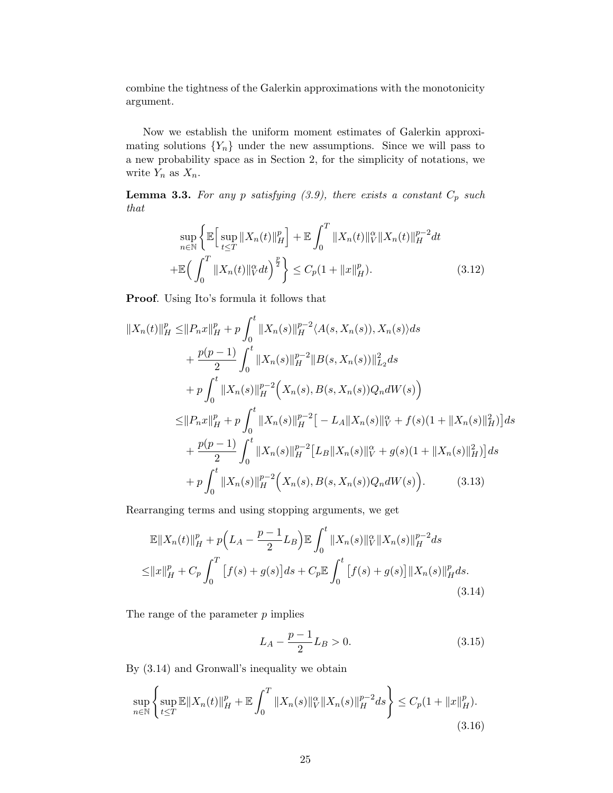combine the tightness of the Galerkin approximations with the monotonicity argument.

Now we establish the uniform moment estimates of Galerkin approximating solutions  ${Y_n}$  under the new assumptions. Since we will pass to a new probability space as in Section [2,](#page-3-0) for the simplicity of notations, we write  $Y_n$  as  $X_n$ .

<span id="page-24-4"></span>**Lemma 3.3.** For any p satisfying  $(3.9)$ , there exists a constant  $C_p$  such that

<span id="page-24-3"></span>
$$
\sup_{n \in \mathbb{N}} \left\{ \mathbb{E} \Big[ \sup_{t \le T} \|X_n(t)\|_H^p \Big] + \mathbb{E} \int_0^T \|X_n(t)\|_V^\alpha \|X_n(t)\|_H^{p-2} dt \right\}
$$
  
+
$$
\mathbb{E} \Big( \int_0^T \|X_n(t)\|_V^\alpha dt \Big)^{\frac{p}{2}} \Big\} \le C_p (1 + \|x\|_H^p). \tag{3.12}
$$

Proof. Using Ito's formula it follows that

$$
||X_n(t)||_H^p \le ||P_n x||_H^p + p \int_0^t ||X_n(s)||_H^{p-2} \langle A(s, X_n(s)), X_n(s) \rangle ds
$$
  
+  $\frac{p(p-1)}{2} \int_0^t ||X_n(s)||_H^{p-2} ||B(s, X_n(s))||_{L_2}^2 ds$   
+  $p \int_0^t ||X_n(s)||_H^{p-2} (X_n(s), B(s, X_n(s))Q_n dW(s))$   
 $\le ||P_n x||_H^p + p \int_0^t ||X_n(s)||_H^{p-2} [-L_A ||X_n(s)||_V^{\alpha} + f(s)(1 + ||X_n(s)||_H^2) ] ds$   
+  $\frac{p(p-1)}{2} \int_0^t ||X_n(s)||_H^{p-2} [L_B ||X_n(s)||_V^{\alpha} + g(s)(1 + ||X_n(s)||_H^2) ] ds$   
+  $p \int_0^t ||X_n(s)||_H^{p-2} (X_n(s), B(s, X_n(s))Q_n dW(s)).$  (3.13)

Rearranging terms and using stopping arguments, we get

$$
\mathbb{E}||X_n(t)||_H^p + p(L_A - \frac{p-1}{2}L_B) \mathbb{E} \int_0^t ||X_n(s)||_V^\alpha ||X_n(s)||_H^{p-2} ds
$$
  
\n
$$
\leq ||x||_H^p + C_p \int_0^T [f(s) + g(s)] ds + C_p \mathbb{E} \int_0^t [f(s) + g(s)] ||X_n(s)||_H^p ds.
$$
\n(3.14)

The range of the parameter  $p$  implies

<span id="page-24-2"></span><span id="page-24-1"></span><span id="page-24-0"></span>
$$
L_A - \frac{p-1}{2}L_B > 0.
$$
\n(3.15)

By [\(3.14\)](#page-24-0) and Gronwall's inequality we obtain

$$
\sup_{n \in \mathbb{N}} \left\{ \sup_{t \le T} \mathbb{E} \|X_n(t)\|_H^p + \mathbb{E} \int_0^T \|X_n(s)\|_V^\alpha \|X_n(s)\|_H^{p-2} ds \right\} \le C_p (1 + \|x\|_H^p). \tag{3.16}
$$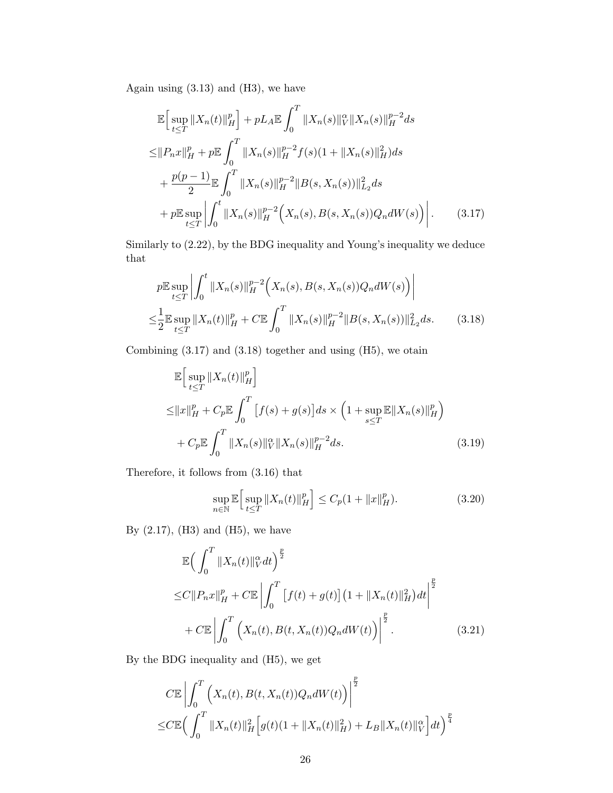Again using  $(3.13)$  and  $(H3)$ , we have

$$
\mathbb{E}\Big[\sup_{t\leq T}||X_n(t)||_H^p\Big] + pL_A \mathbb{E}\int_0^T ||X_n(s)||_V^{\alpha}||X_n(s)||_H^{p-2}ds
$$
  
\n
$$
\leq ||P_nx||_H^p + p\mathbb{E}\int_0^T ||X_n(s)||_H^{p-2}f(s)(1+||X_n(s)||_H^2)ds
$$
  
\n
$$
+ \frac{p(p-1)}{2}\mathbb{E}\int_0^T ||X_n(s)||_H^{p-2}||B(s,X_n(s))||_{L_2}^2ds
$$
  
\n
$$
+ p\mathbb{E}\sup_{t\leq T} \Big|\int_0^t ||X_n(s)||_H^{p-2}\Big(X_n(s),B(s,X_n(s))Q_n dW(s)\Big)\Big|.
$$
 (3.17)

Similarly to [\(2.22\)](#page-8-0), by the BDG inequality and Young's inequality we deduce that

<span id="page-25-0"></span>
$$
p\mathbb{E}\sup_{t\leq T} \left| \int_0^t \|X_n(s)\|_H^{p-2}\left(X_n(s), B(s, X_n(s))Q_n dW(s)\right) \right|
$$
  

$$
\leq \frac{1}{2} \mathbb{E}\sup_{t\leq T} \|X_n(t)\|_H^p + C \mathbb{E}\int_0^T \|X_n(s)\|_H^{p-2} \|B(s, X_n(s))\|_{L_2}^2 ds.
$$
 (3.18)

Combining  $(3.17)$  and  $(3.18)$  together and using  $(H5)$ , we otain

<span id="page-25-1"></span>
$$
\mathbb{E}\Big[\sup_{t\leq T} \|X_n(t)\|_{H}^p\Big] \leq \|x\|_{H}^p + C_p \mathbb{E}\int_0^T \Big[f(s) + g(s)\Big]ds \times \Big(1 + \sup_{s\leq T} \mathbb{E}\|X_n(s)\|_{H}^p\Big) \quad + C_p \mathbb{E}\int_0^T \|X_n(s)\|_{V}^\alpha \|X_n(s)\|_{H}^{p-2}ds.
$$
\n(3.19)

Therefore, it follows from [\(3.16\)](#page-24-2) that

<span id="page-25-3"></span><span id="page-25-2"></span>
$$
\sup_{n \in \mathbb{N}} \mathbb{E} \Big[ \sup_{t \le T} \|X_n(t)\|_H^p \Big] \le C_p (1 + \|x\|_H^p). \tag{3.20}
$$

By  $(2.17)$ ,  $(H3)$  and  $(H5)$ , we have

$$
\mathbb{E}\left(\int_{0}^{T} \|X_{n}(t)\|_{V}^{\alpha}dt\right)^{\frac{p}{2}}\n\leq C\|P_{n}x\|_{H}^{p} + C\mathbb{E}\left|\int_{0}^{T} \left[f(t) + g(t)\right](1 + \|X_{n}(t)\|_{H}^{2})dt\right|^{\frac{p}{2}}\n+ C\mathbb{E}\left|\int_{0}^{T} \left(X_{n}(t), B(t, X_{n}(t))Q_{n}dW(t)\right)\right|^{\frac{p}{2}}.
$$
\n(3.21)

By the BDG inequality and (H5), we get

$$
C\mathbb{E}\left|\int_{0}^{T}\left(X_{n}(t),B(t,X_{n}(t))Q_{n}dW(t)\right)\right|^{\frac{p}{2}}\n\leq C\mathbb{E}\left(\int_{0}^{T}\|X_{n}(t)\|_{H}^{2}\left[g(t)(1+\|X_{n}(t)\|_{H}^{2})+L_{B}\|X_{n}(t)\|_{V}^{\alpha}\right]dt\right)^{\frac{p}{4}}
$$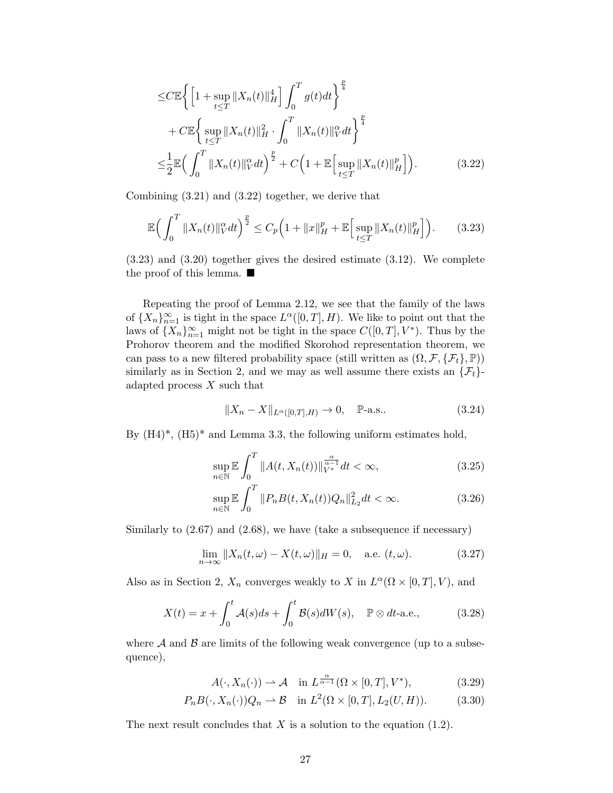<span id="page-26-0"></span>
$$
\leq C \mathbb{E} \Biggl\{ \Biggl[ 1 + \sup_{t \leq T} \|X_n(t)\|_H^4 \Biggr] \int_0^T g(t) dt \Biggr\}^{\frac{p}{4}} \n+ C \mathbb{E} \Biggl\{ \sup_{t \leq T} \|X_n(t)\|_H^2 \cdot \int_0^T \|X_n(t)\|_V^\alpha dt \Biggr\}^{\frac{p}{4}} \n\leq \frac{1}{2} \mathbb{E} \Biggl( \int_0^T \|X_n(t)\|_V^\alpha dt \Biggr)^{\frac{p}{2}} + C \Biggl( 1 + \mathbb{E} \Biggl[ \sup_{t \leq T} \|X_n(t)\|_H^p \Biggr] \Biggr). \tag{3.22}
$$

Combining [\(3.21\)](#page-25-2) and [\(3.22\)](#page-26-0) together, we derive that

$$
\mathbb{E}\Big(\int_0^T \|X_n(t)\|_V^\alpha dt\Big)^{\frac{p}{2}} \le C_p \Big(1 + \|x\|_H^p + \mathbb{E}\Big[\sup_{t\le T} \|X_n(t)\|_H^p\Big]\Big). \tag{3.23}
$$

[\(3.23\)](#page-26-1) and [\(3.20\)](#page-25-3) together gives the desired estimate [\(3.12\)](#page-24-3). We complete the proof of this lemma. ■

Repeating the proof of Lemma [2.12,](#page-9-5) we see that the family of the laws of  ${X_n}_{n=1}^{\infty}$  is tight in the space  $L^{\alpha}([0,T], H)$ . We like to point out that the laws of  ${X_n}_{n=1}^{\infty}$  might not be tight in the space  $C([0,T], V^*)$ . Thus by the Prohorov theorem and the modified Skorohod representation theorem, we can pass to a new filtered probability space (still written as  $(\Omega, \mathcal{F}, \{\mathcal{F}_t\}, \mathbb{P})$ ) similarly as in Section 2, and we may as well assume there exists an  $\{\mathcal{F}_t\}$ adapted process  $X$  such that

<span id="page-26-1"></span>
$$
||X_n - X||_{L^{\alpha}([0,T],H)} \to 0, \quad \mathbb{P}\text{-a.s..} \tag{3.24}
$$

By  $(H4)^*, (H5)^*$  and Lemma [3.3,](#page-24-4) the following uniform estimates hold,

$$
\sup_{n \in \mathbb{N}} \mathbb{E} \int_0^T \|A(t, X_n(t))\|_{V^*}^{\frac{\alpha}{\alpha - 1}} dt < \infty,\tag{3.25}
$$

<span id="page-26-2"></span>
$$
\sup_{n \in \mathbb{N}} \mathbb{E} \int_0^T \|P_n B(t, X_n(t)) Q_n\|_{L_2}^2 dt < \infty. \tag{3.26}
$$

Similarly to  $(2.67)$  and  $(2.68)$ , we have (take a subsequence if necessary)

$$
\lim_{n \to \infty} \|X_n(t, \omega) - X(t, \omega)\|_H = 0, \quad \text{a.e. } (t, \omega). \tag{3.27}
$$

Also as in Section [2,](#page-3-0)  $X_n$  converges weakly to X in  $L^{\alpha}(\Omega \times [0,T], V)$ , and

$$
X(t) = x + \int_0^t \mathcal{A}(s)ds + \int_0^t \mathcal{B}(s)dW(s), \quad \mathbb{P} \otimes dt\text{-a.e.,}
$$
 (3.28)

where  $A$  and  $B$  are limits of the following weak convergence (up to a subsequence),

<span id="page-26-5"></span><span id="page-26-4"></span><span id="page-26-3"></span>
$$
A(\cdot, X_n(\cdot)) \rightharpoonup \mathcal{A} \quad \text{in } L^{\frac{\alpha}{\alpha-1}}(\Omega \times [0, T], V^*), \tag{3.29}
$$

$$
P_n B(\cdot, X_n(\cdot)) Q_n \rightharpoonup \mathcal{B} \quad \text{in } L^2(\Omega \times [0, T], L_2(U, H)). \tag{3.30}
$$

The next result concludes that  $X$  is a solution to the equation [\(1.2\)](#page-1-1).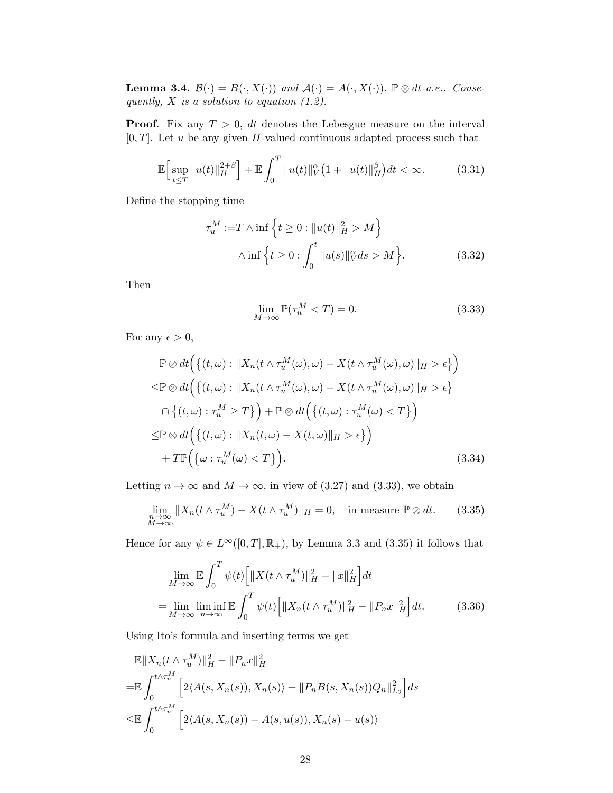<span id="page-27-4"></span>**Lemma 3.4.**  $\mathcal{B}(\cdot) = B(\cdot, X(\cdot))$  and  $\mathcal{A}(\cdot) = A(\cdot, X(\cdot))$ ,  $\mathbb{P} \otimes dt$ -a.e.. Consequently,  $X$  is a solution to equation  $(1.2)$ .

**Proof.** Fix any  $T > 0$ , dt denotes the Lebesgue measure on the interval  $[0, T]$ . Let u be any given H-valued continuous adapted process such that

$$
\mathbb{E}\Big[\sup_{t\leq T} \|u(t)\|_{H}^{2+\beta}\Big] + \mathbb{E}\int_{0}^{T} \|u(t)\|_{V}^{\alpha}\big(1 + \|u(t)\|_{H}^{\beta}\big)dt < \infty.
$$
 (3.31)

Define the stopping time

$$
\tau_u^M := T \wedge \inf \left\{ t \ge 0 : ||u(t)||_H^2 > M \right\}
$$

$$
\wedge \inf \left\{ t \ge 0 : \int_0^t ||u(s)||_V^\alpha ds > M \right\}.
$$
(3.32)

Then

<span id="page-27-2"></span><span id="page-27-1"></span><span id="page-27-0"></span>
$$
\lim_{M \to \infty} \mathbb{P}(\tau_u^M < T) = 0. \tag{3.33}
$$

For any  $\epsilon > 0$ ,

$$
\mathbb{P} \otimes dt \Big( \big\{ (t,\omega) : \|X_n(t \wedge \tau_u^M(\omega), \omega) - X(t \wedge \tau_u^M(\omega), \omega) \|_{H} > \epsilon \big\} \Big)
$$
  

$$
\leq \mathbb{P} \otimes dt \Big( \big\{ (t,\omega) : \|X_n(t \wedge \tau_u^M(\omega), \omega) - X(t \wedge \tau_u^M(\omega), \omega) \|_{H} > \epsilon \big\}
$$
  

$$
\cap \big\{ (t,\omega) : \tau_u^M \geq T \big\} \Big) + \mathbb{P} \otimes dt \Big( \big\{ (t,\omega) : \tau_u^M(\omega) < T \big\} \Big)
$$
  

$$
\leq \mathbb{P} \otimes dt \Big( \big\{ (t,\omega) : \|X_n(t,\omega) - X(t,\omega)\|_{H} > \epsilon \big\} \Big)
$$
  

$$
+ T \mathbb{P} \Big( \big\{ \omega : \tau_u^M(\omega) < T \big\} \Big). \tag{3.34}
$$

Letting  $n \to \infty$  and  $M \to \infty$ , in view of [\(3.27\)](#page-26-2) and [\(3.33\)](#page-27-0), we obtain

$$
\lim_{\substack{n \to \infty \\ M \to \infty}} \|X_n(t \wedge \tau_u^M) - X(t \wedge \tau_u^M)\|_H = 0, \quad \text{in measure } \mathbb{P} \otimes dt. \tag{3.35}
$$

Hence for any  $\psi \in L^{\infty}([0,T], \mathbb{R}_+)$ , by Lemma [3.3](#page-24-4) and [\(3.35\)](#page-27-1) it follows that

<span id="page-27-3"></span>
$$
\lim_{M \to \infty} \mathbb{E} \int_0^T \psi(t) \left[ \|X(t \wedge \tau_u^M)\|_H^2 - \|x\|_H^2 \right] dt
$$
\n
$$
= \lim_{M \to \infty} \liminf_{n \to \infty} \mathbb{E} \int_0^T \psi(t) \left[ \|X_n(t \wedge \tau_u^M)\|_H^2 - \|P_n x\|_H^2 \right] dt. \tag{3.36}
$$

Using Ito's formula and inserting terms we get

$$
\mathbb{E}||X_n(t \wedge \tau_u^M)||_H^2 - ||P_nx||_H^2
$$
  
=  $\mathbb{E} \int_0^{t \wedge \tau_u^M} \left[2\langle A(s, X_n(s)), X_n(s) \rangle + ||P_nB(s, X_n(s))Q_n||_{L_2}^2\right] ds$   
 $\leq \mathbb{E} \int_0^{t \wedge \tau_u^M} \left[2\langle A(s, X_n(s)) - A(s, u(s)), X_n(s) - u(s) \rangle\right]$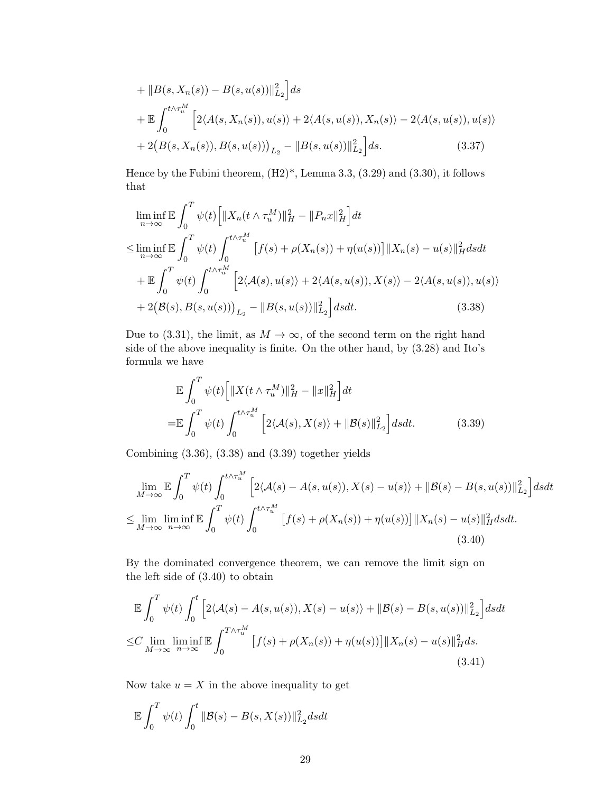$$
+ \|B(s, X_n(s)) - B(s, u(s))\|_{L_2}^2 ds
$$
  
+ 
$$
\mathbb{E} \int_0^{t \wedge \tau_u^M} \left[2\langle A(s, X_n(s)), u(s) \rangle + 2\langle A(s, u(s)), X_n(s) \rangle - 2\langle A(s, u(s)), u(s) \rangle \right]
$$
  
+ 
$$
2\big(B(s, X_n(s)), B(s, u(s))\big)_{L_2} - \|B(s, u(s))\|_{L_2}^2\big] ds.
$$
 (3.37)

Hence by the Fubini theorem,  $(H2)^*$ , Lemma [3.3,](#page-24-4)  $(3.29)$  and  $(3.30)$ , it follows that

$$
\liminf_{n \to \infty} \mathbb{E} \int_0^T \psi(t) \Big[ \|X_n(t \wedge \tau_u^M)\|_H^2 - \|P_n x\|_H^2 \Big] dt
$$
  
\n
$$
\leq \liminf_{n \to \infty} \mathbb{E} \int_0^T \psi(t) \int_0^{t \wedge \tau_u^M} [f(s) + \rho(X_n(s)) + \eta(u(s))] \|X_n(s) - u(s)\|_H^2 ds dt
$$
  
\n
$$
+ \mathbb{E} \int_0^T \psi(t) \int_0^{t \wedge \tau_u^M} \Big[ 2\langle A(s), u(s) \rangle + 2\langle A(s, u(s)), X(s) \rangle - 2\langle A(s, u(s)), u(s) \rangle
$$
  
\n
$$
+ 2\big(\mathcal{B}(s), \mathcal{B}(s, u(s))\big)_{L_2} - \|B(s, u(s))\|_{L_2}^2 \Big] ds dt.
$$
\n(3.38)

Due to [\(3.31\)](#page-27-2), the limit, as  $M \to \infty$ , of the second term on the right hand side of the above inequality is finite. On the other hand, by [\(3.28\)](#page-26-5) and Ito's formula we have

<span id="page-28-2"></span><span id="page-28-1"></span><span id="page-28-0"></span>
$$
\mathbb{E} \int_0^T \psi(t) \left[ \|X(t \wedge \tau_u^M)\|_H^2 - \|x\|_H^2 \right] dt
$$
  
= 
$$
\mathbb{E} \int_0^T \psi(t) \int_0^{t \wedge \tau_u^M} \left[ 2\langle \mathcal{A}(s), X(s) \rangle + \| \mathcal{B}(s) \|_{L_2}^2 \right] ds dt.
$$
 (3.39)

Combining [\(3.36\)](#page-27-3), [\(3.38\)](#page-28-0) and [\(3.39\)](#page-28-1) together yields

$$
\lim_{M \to \infty} \mathbb{E} \int_0^T \psi(t) \int_0^{t \wedge \tau_u^M} \left[ 2 \langle \mathcal{A}(s) - A(s, u(s)), X(s) - u(s) \rangle + \| \mathcal{B}(s) - B(s, u(s)) \|_{L_2}^2 \right] ds dt
$$
  
\n
$$
\leq \lim_{M \to \infty} \liminf_{n \to \infty} \mathbb{E} \int_0^T \psi(t) \int_0^{t \wedge \tau_u^M} \left[ f(s) + \rho(X_n(s)) + \eta(u(s)) \right] \| X_n(s) - u(s) \|_H^2 ds dt.
$$
\n(3.40)

By the dominated convergence theorem, we can remove the limit sign on the left side of [\(3.40\)](#page-28-2) to obtain

$$
\mathbb{E}\int_0^T \psi(t) \int_0^t \left[2\langle \mathcal{A}(s) - A(s, u(s)), X(s) - u(s)\rangle + \|\mathcal{B}(s) - B(s, u(s))\|_{L_2}^2\right] ds dt
$$
  
\n
$$
\leq C \lim_{M \to \infty} \liminf_{n \to \infty} \mathbb{E}\int_0^{T \wedge \tau_u^M} \left[f(s) + \rho(X_n(s)) + \eta(u(s))\right] \|X_n(s) - u(s)\|_H^2 ds.
$$
\n(3.41)

Now take  $u = X$  in the above inequality to get

<span id="page-28-3"></span>
$$
\mathbb{E}\int_0^T \psi(t) \int_0^t \|\mathcal{B}(s) - B(s, X(s))\|_{L_2}^2 dsdt
$$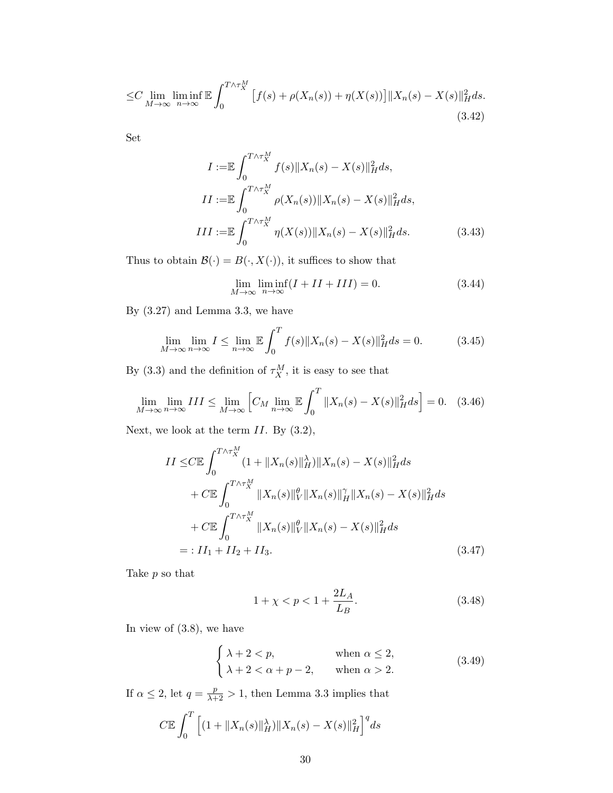$$
\leq C \lim_{M \to \infty} \liminf_{n \to \infty} \mathbb{E} \int_0^{T \wedge \tau_X^M} \left[ f(s) + \rho(X_n(s)) + \eta(X(s)) \right] \lVert X_n(s) - X(s) \rVert_H^2 ds. \tag{3.42}
$$

Set

$$
I := \mathbb{E} \int_0^{T \wedge \tau_X^M} f(s) \|X_n(s) - X(s)\|_H^2 ds,
$$
  
\n
$$
II := \mathbb{E} \int_0^{T \wedge \tau_X^M} \rho(X_n(s)) \|X_n(s) - X(s)\|_H^2 ds,
$$
  
\n
$$
III := \mathbb{E} \int_0^{T \wedge \tau_X^M} \eta(X(s)) \|X_n(s) - X(s)\|_H^2 ds.
$$
\n(3.43)

Thus to obtain  $\mathcal{B}(\cdot)=B(\cdot,X(\cdot)),$  it suffices to show that

<span id="page-29-2"></span>
$$
\lim_{M \to \infty} \liminf_{n \to \infty} (I + II + III) = 0.
$$
\n(3.44)

By [\(3.27\)](#page-26-2) and Lemma [3.3,](#page-24-4) we have

$$
\lim_{M \to \infty} \lim_{n \to \infty} I \le \lim_{n \to \infty} \mathbb{E} \int_0^T f(s) \|X_n(s) - X(s)\|_H^2 ds = 0.
$$
 (3.45)

By [\(3.3\)](#page-22-4) and the definition of  $\tau_X^M$ , it is easy to see that

$$
\lim_{M \to \infty} \lim_{n \to \infty} III \le \lim_{M \to \infty} \left[ C_M \lim_{n \to \infty} \mathbb{E} \int_0^T \|X_n(s) - X(s)\|_H^2 ds \right] = 0. \quad (3.46)
$$

Next, we look at the term  $II$ . By  $(3.2)$ ,

$$
II \leq C \mathbb{E} \int_0^{T \wedge \tau_X^M} (1 + \|X_n(s)\|_H^{\lambda}) \|X_n(s) - X(s)\|_H^2 ds
$$
  
+ 
$$
C \mathbb{E} \int_0^{T \wedge \tau_X^M} \|X_n(s)\|_V^{\theta} \|X_n(s)\|_H^{\gamma} \|X_n(s) - X(s)\|_H^2 ds
$$
  
+ 
$$
C \mathbb{E} \int_0^{T \wedge \tau_X^M} \|X_n(s)\|_V^{\theta} \|X_n(s) - X(s)\|_H^2 ds
$$
  
= : 
$$
II_1 + II_2 + II_3.
$$
 (3.47)

Take p so that

<span id="page-29-1"></span><span id="page-29-0"></span>
$$
1 + \chi < p < 1 + \frac{2L_A}{L_B}.\tag{3.48}
$$

In view of [\(3.8\)](#page-23-2), we have

$$
\begin{cases} \lambda + 2 < p, \\ \lambda + 2 < \alpha + p - 2, \end{cases} \quad \text{when } \alpha \le 2,
$$
\n
$$
\text{when } \alpha > 2.
$$
\n
$$
(3.49)
$$

If  $\alpha \leq 2$ , let  $q = \frac{p}{\lambda + 2} > 1$ , then Lemma [3.3](#page-24-4) implies that

$$
C \mathbb{E} \int_0^T \left[ (1 + \|X_n(s)\|_H^{\lambda}) \|X_n(s) - X(s)\|_H^2 \right]^q ds
$$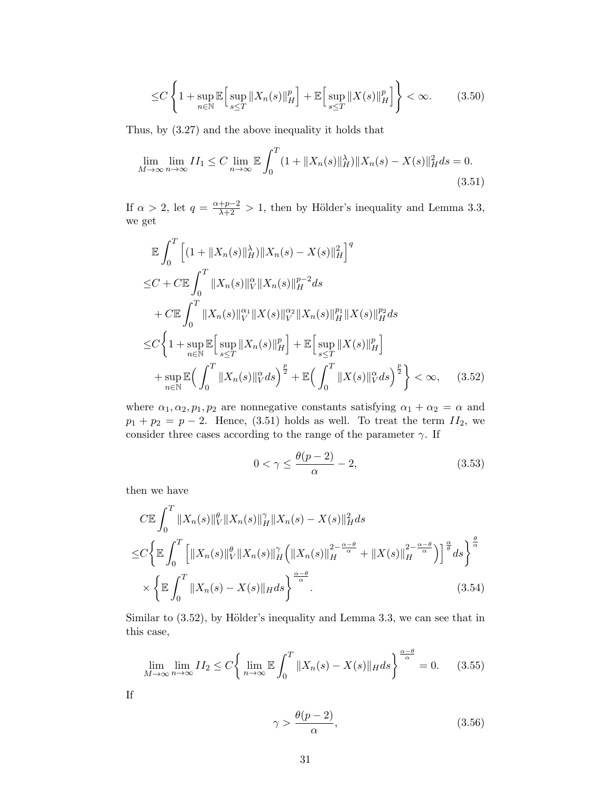<span id="page-30-2"></span><span id="page-30-0"></span>
$$
\leq C \left\{ 1 + \sup_{n \in \mathbb{N}} \mathbb{E} \left[ \sup_{s \leq T} \|X_n(s)\|_{H}^p \right] + \mathbb{E} \left[ \sup_{s \leq T} \|X(s)\|_{H}^p \right] \right\} < \infty. \tag{3.50}
$$

Thus, by [\(3.27\)](#page-26-2) and the above inequality it holds that

$$
\lim_{M \to \infty} \lim_{n \to \infty} II_1 \le C \lim_{n \to \infty} \mathbb{E} \int_0^T (1 + \|X_n(s)\|_H^{\lambda}) \|X_n(s) - X(s)\|_H^2 ds = 0.
$$
\n(3.51)

If  $\alpha > 2$ , let  $q = \frac{\alpha + p - 2}{\lambda + 2} > 1$ , then by Hölder's inequality and Lemma [3.3,](#page-24-4) we get

$$
\mathbb{E} \int_{0}^{T} \left[ (1 + \|X_{n}(s)\|_{H}^{\lambda}) \|X_{n}(s) - X(s)\|_{H}^{2} \right]^{q}
$$
\n
$$
\leq C + C \mathbb{E} \int_{0}^{T} \|X_{n}(s)\|_{V}^{\alpha} \|X_{n}(s)\|_{H}^{p-2} ds
$$
\n
$$
+ C \mathbb{E} \int_{0}^{T} \|X_{n}(s)\|_{V}^{\alpha} \|X(s)\|_{V}^{\alpha} \|X(s)\|_{H}^{p} \|X(s)\|_{H}^{p} ds
$$
\n
$$
\leq C \left\{ 1 + \sup_{n \in \mathbb{N}} \mathbb{E} \left[ \sup_{s \leq T} \|X_{n}(s)\|_{H}^{p} \right] + \mathbb{E} \left[ \sup_{s \leq T} \|X(s)\|_{H}^{p} \right] + \sup_{n \in \mathbb{N}} \mathbb{E} \left( \int_{0}^{T} \|X_{n}(s)\|_{V}^{\alpha} ds \right)^{\frac{p}{2}} + \mathbb{E} \left( \int_{0}^{T} \|X(s)\|_{V}^{\alpha} ds \right)^{\frac{p}{2}} \right\} < \infty, \quad (3.52)
$$

where  $\alpha_1, \alpha_2, p_1, p_2$  are nonnegative constants satisfying  $\alpha_1 + \alpha_2 = \alpha$  and  $p_1 + p_2 = p - 2$ . Hence, [\(3.51\)](#page-30-0) holds as well. To treat the term  $II_2$ , we consider three cases according to the range of the parameter  $\gamma$ . If

<span id="page-30-1"></span>
$$
0 < \gamma \le \frac{\theta(p-2)}{\alpha} - 2,\tag{3.53}
$$

then we have

$$
C\mathbb{E} \int_0^T \|X_n(s)\|_V^{\theta} \|X_n(s)\|_H^{\gamma} \|X_n(s) - X(s)\|_H^2 ds
$$
  
\n
$$
\leq C \bigg\{ \mathbb{E} \int_0^T \Big[ \|X_n(s)\|_V^{\theta} \|X_n(s)\|_H^{\gamma} \Big( \|X_n(s)\|_H^{2 - \frac{\alpha - \theta}{\alpha}} + \|X(s)\|_H^{2 - \frac{\alpha - \theta}{\alpha}} \Big) \Big]^{\frac{\alpha}{\theta}} ds \bigg\}^{\frac{\theta}{\alpha}}
$$
  
\n
$$
\times \bigg\{ \mathbb{E} \int_0^T \|X_n(s) - X(s)\|_H ds \bigg\}^{\frac{\alpha - \theta}{\alpha}} . \tag{3.54}
$$

Similar to  $(3.52)$ , by Hölder's inequality and Lemma [3.3,](#page-24-4) we can see that in this case,

$$
\lim_{M \to \infty} \lim_{n \to \infty} II_2 \le C \left\{ \lim_{n \to \infty} \mathbb{E} \int_0^T \|X_n(s) - X(s)\|_H ds \right\}^{\frac{\alpha - \theta}{\alpha}} = 0. \quad (3.55)
$$

If

<span id="page-30-3"></span>
$$
\gamma > \frac{\theta(p-2)}{\alpha},\tag{3.56}
$$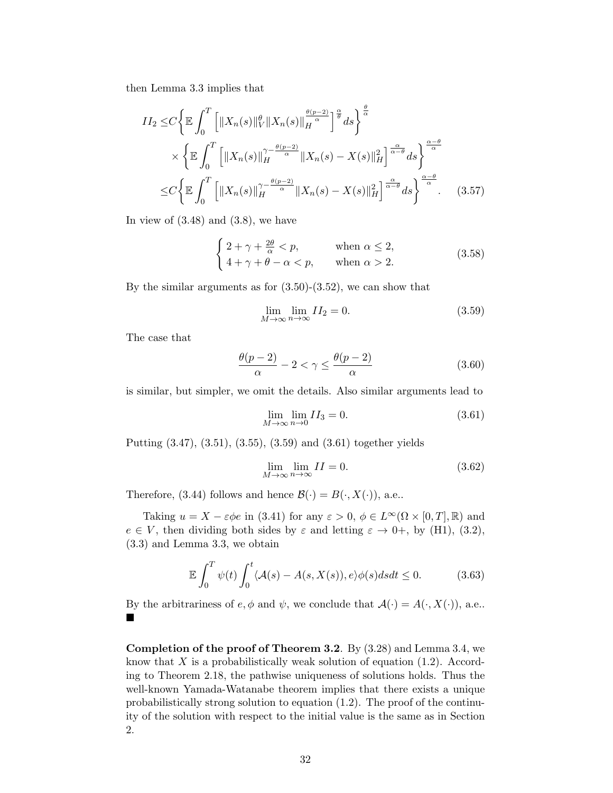then Lemma [3.3](#page-24-4) implies that

$$
II_2 \leq C \left\{ \mathbb{E} \int_0^T \left[ \|X_n(s)\|_V^{\theta} \|X_n(s)\|_H^{\frac{\theta(p-2)}{\alpha}} \right]^{\frac{\alpha}{\theta}} ds \right\}^{\frac{\theta}{\alpha}}
$$
  
\$\times \left\{ \mathbb{E} \int\_0^T \left[ \|X\_n(s)\|\_H^{\gamma - \frac{\theta(p-2)}{\alpha}} \|X\_n(s) - X(s)\|\_H^2 \right]^{\frac{\alpha}{\alpha - \theta}} ds \right\}^{\frac{\alpha - \theta}{\alpha}}\$  
\$\leq C \left\{ \mathbb{E} \int\_0^T \left[ \|X\_n(s)\|\_H^{\gamma - \frac{\theta(p-2)}{\alpha}} \|X\_n(s) - X(s)\|\_H^2 \right]^{\frac{\alpha}{\alpha - \theta}} ds \right\}^{\frac{\alpha - \theta}{\alpha}}\$. (3.57)

In view of  $(3.48)$  and  $(3.8)$ , we have

$$
\begin{cases} 2 + \gamma + \frac{2\theta}{\alpha} < p, \\ 4 + \gamma + \theta - \alpha < p, \end{cases} \quad \text{when } \alpha \le 2,
$$
\n
$$
\text{(3.58)}
$$

By the similar arguments as for  $(3.50)-(3.52)$  $(3.50)-(3.52)$ , we can show that

<span id="page-31-0"></span>
$$
\lim_{M \to \infty} \lim_{n \to \infty} II_2 = 0. \tag{3.59}
$$

The case that

$$
\frac{\theta(p-2)}{\alpha} - 2 < \gamma \le \frac{\theta(p-2)}{\alpha} \tag{3.60}
$$

is similar, but simpler, we omit the details. Also similar arguments lead to

<span id="page-31-1"></span>
$$
\lim_{M \to \infty} \lim_{n \to 0} II_3 = 0. \tag{3.61}
$$

Putting [\(3.47\)](#page-29-1), [\(3.51\)](#page-30-0), [\(3.55\)](#page-30-3), [\(3.59\)](#page-31-0) and [\(3.61\)](#page-31-1) together yields

$$
\lim_{M \to \infty} \lim_{n \to \infty} II = 0. \tag{3.62}
$$

Therefore, [\(3.44\)](#page-29-2) follows and hence  $\mathcal{B}(\cdot) = B(\cdot, X(\cdot))$ , a.e..

Taking  $u = X - \varepsilon \phi e$  in [\(3.41\)](#page-28-3) for any  $\varepsilon > 0$ ,  $\phi \in L^{\infty}(\Omega \times [0, T], \mathbb{R})$  and  $e \in V$ , then dividing both sides by  $\varepsilon$  and letting  $\varepsilon \to 0^+$ , by (H1), [\(3.2\)](#page-22-3), [\(3.3\)](#page-22-4) and Lemma [3.3,](#page-24-4) we obtain

$$
\mathbb{E}\int_0^T \psi(t) \int_0^t \langle A(s) - A(s, X(s)), e \rangle \phi(s) ds dt \le 0.
$$
 (3.63)

By the arbitrariness of  $e, \phi$  and  $\psi$ , we conclude that  $\mathcal{A}(\cdot) = A(\cdot, X(\cdot))$ , a.e.. ■

Completion of the proof of Theorem [3.2](#page-23-0). By [\(3.28\)](#page-26-5) and Lemma [3.4,](#page-27-4) we know that  $X$  is a probabilistically weak solution of equation [\(1.2\)](#page-1-1). According to Theorem [2.18,](#page-19-3) the pathwise uniqueness of solutions holds. Thus the well-known Yamada-Watanabe theorem implies that there exists a unique probabilistically strong solution to equation [\(1.2\)](#page-1-1). The proof of the continuity of the solution with respect to the initial value is the same as in Section [2.](#page-3-0)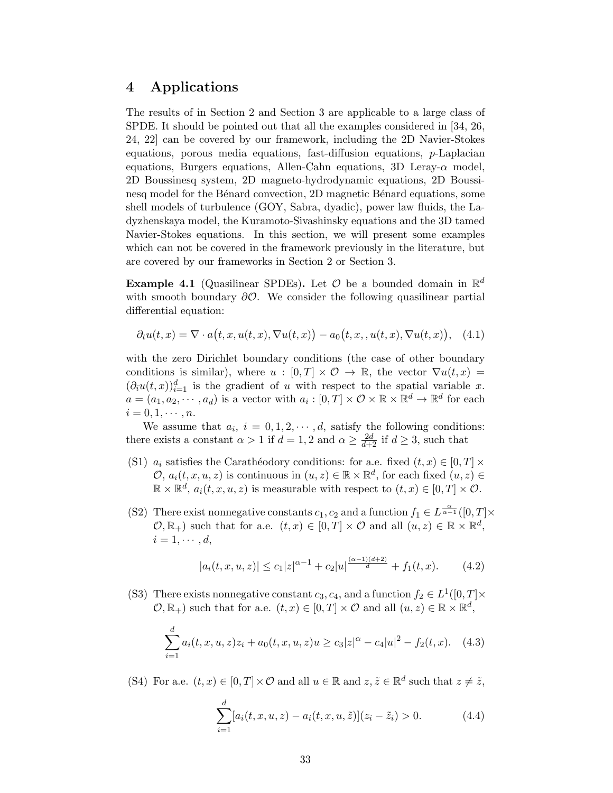# <span id="page-32-0"></span>4 Applications

The results of in Section 2 and Section 3 are applicable to a large class of SPDE. It should be pointed out that all the examples considered in [\[34,](#page-44-3) [26,](#page-43-11) [24,](#page-43-9) [22\]](#page-43-10) can be covered by our framework, including the 2D Navier-Stokes equations, porous media equations, fast-diffusion equations, p-Laplacian equations, Burgers equations, Allen-Cahn equations, 3D Leray- $\alpha$  model, 2D Boussinesq system, 2D magneto-hydrodynamic equations, 2D Boussinesq model for the Bénard convection, 2D magnetic Bénard equations, some shell models of turbulence (GOY, Sabra, dyadic), power law fluids, the Ladyzhenskaya model, the Kuramoto-Sivashinsky equations and the 3D tamed Navier-Stokes equations. In this section, we will present some examples which can not be covered in the framework previously in the literature, but are covered by our frameworks in Section [2](#page-3-0) or Section [3.](#page-22-0)

<span id="page-32-2"></span>**Example 4.1** (Quasilinear SPDEs). Let  $\mathcal{O}$  be a bounded domain in  $\mathbb{R}^d$ with smooth boundary  $\partial O$ . We consider the following quasilinear partial differential equation:

<span id="page-32-1"></span>
$$
\partial_t u(t,x) = \nabla \cdot a(t,x,u(t,x),\nabla u(t,x)) - a_0(t,x,,u(t,x),\nabla u(t,x)), \quad (4.1)
$$

with the zero Dirichlet boundary conditions (the case of other boundary conditions is similar), where  $u : [0, T] \times \mathcal{O} \rightarrow \mathbb{R}$ , the vector  $\nabla u(t, x) =$  $(\partial_i u(t,x))_{i=1}^d$  is the gradient of u with respect to the spatial variable x.  $a = (a_1, a_2, \dots, a_d)$  is a vector with  $a_i : [0, T] \times \mathcal{O} \times \mathbb{R} \times \mathbb{R}^d \to \mathbb{R}^d$  for each  $i=0,1,\cdots,n$ .

We assume that  $a_i$ ,  $i = 0, 1, 2, \dots, d$ , satisfy the following conditions: there exists a constant  $\alpha > 1$  if  $d = 1, 2$  and  $\alpha \geq \frac{2d}{d+2}$  if  $d \geq 3$ , such that

- (S1)  $a_i$  satisfies the Carathéodory conditions: for a.e. fixed  $(t, x) \in [0, T] \times$  $\mathcal{O}, a_i(t, x, u, z)$  is continuous in  $(u, z) \in \mathbb{R} \times \mathbb{R}^d$ , for each fixed  $(u, z) \in$  $\mathbb{R} \times \mathbb{R}^d$ ,  $a_i(t, x, u, z)$  is measurable with respect to  $(t, x) \in [0, T] \times \mathcal{O}$ .
- (S2) There exist nonnegative constants  $c_1, c_2$  and a function  $f_1 \in L^{\frac{\alpha}{\alpha-1}}([0, T] \times$  $(\mathcal{O}, \mathbb{R}_+)$  such that for a.e.  $(t, x) \in [0, T] \times \mathcal{O}$  and all  $(u, z) \in \mathbb{R} \times \mathbb{R}^d$ ,  $i = 1, \cdots, d,$

$$
|a_i(t, x, u, z)| \le c_1 |z|^{\alpha - 1} + c_2 |u|^{\frac{(\alpha - 1)(d + 2)}{d}} + f_1(t, x). \tag{4.2}
$$

(S3) There exists nonnegative constant  $c_3, c_4$ , and a function  $f_2 \in L^1([0, T] \times$  $(\mathcal{O}, \mathbb{R}_+)$  such that for a.e.  $(t, x) \in [0, T] \times \mathcal{O}$  and all  $(u, z) \in \mathbb{R} \times \mathbb{R}^d$ ,

$$
\sum_{i=1}^{d} a_i(t, x, u, z)z_i + a_0(t, x, u, z)u \ge c_3|z|^{\alpha} - c_4|u|^2 - f_2(t, x). \tag{4.3}
$$

(S4) For a.e.  $(t, x) \in [0, T] \times \mathcal{O}$  and all  $u \in \mathbb{R}$  and  $z, \tilde{z} \in \mathbb{R}^d$  such that  $z \neq \tilde{z}$ ,

$$
\sum_{i=1}^{d} [a_i(t, x, u, z) - a_i(t, x, u, \tilde{z})](z_i - \tilde{z}_i) > 0.
$$
 (4.4)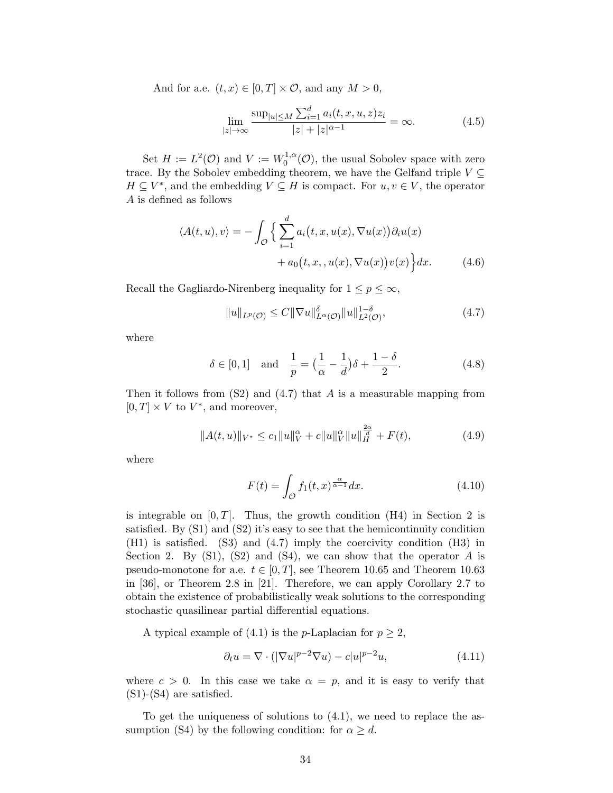And for a.e.  $(t, x) \in [0, T] \times \mathcal{O}$ , and any  $M > 0$ ,

$$
\lim_{|z| \to \infty} \frac{\sup_{|u| \le M} \sum_{i=1}^d a_i(t, x, u, z) z_i}{|z| + |z|^{\alpha - 1}} = \infty.
$$
 (4.5)

Set  $H := L^2(\mathcal{O})$  and  $V := W_0^{1,\alpha}$  $0^{1,\alpha}(\mathcal{O})$ , the usual Sobolev space with zero trace. By the Sobolev embedding theorem, we have the Gelfand triple  $V \subseteq$  $H \subseteq V^*$ , and the embedding  $V \subseteq H$  is compact. For  $u, v \in V$ , the operator A is defined as follows

$$
\langle A(t, u), v \rangle = -\int_{\mathcal{O}} \Big\{ \sum_{i=1}^{d} a_i(t, x, u(x), \nabla u(x)) \partial_i u(x) + a_0(t, x, u(x), \nabla u(x)) v(x) \Big\} dx.
$$
 (4.6)

Recall the Gagliardo-Nirenberg inequality for  $1 \leq p \leq \infty$ ,

<span id="page-33-0"></span>
$$
||u||_{L^{p}(\mathcal{O})} \leq C||\nabla u||_{L^{\alpha}(\mathcal{O})}^{\delta}||u||_{L^{2}(\mathcal{O})}^{1-\delta}, \qquad (4.7)
$$

where

$$
\delta \in [0, 1]
$$
 and  $\frac{1}{p} = (\frac{1}{\alpha} - \frac{1}{d})\delta + \frac{1 - \delta}{2}.$  (4.8)

Then it follows from  $(S2)$  and  $(4.7)$  that A is a measurable mapping from  $[0, T] \times V$  to  $V^*$ , and moreover,

$$
||A(t, u)||_{V^*} \le c_1 ||u||_V^{\alpha} + c ||u||_V^{\alpha} ||u||_H^{\frac{2\alpha}{d}} + F(t),
$$
\n(4.9)

where

$$
F(t) = \int_{\mathcal{O}} f_1(t, x)^{\frac{\alpha}{\alpha - 1}} dx.
$$
 (4.10)

is integrable on  $[0, T]$ . Thus, the growth condition (H4) in Section [2](#page-3-0) is satisfied. By (S1) and (S2) it's easy to see that the hemicontinuity condition (H1) is satisfied. (S3) and [\(4.7\)](#page-33-0) imply the coercivity condition (H3) in Section [2.](#page-3-0) By  $(S1)$ ,  $(S2)$  and  $(S4)$ , we can show that the operator A is pseudo-monotone for a.e.  $t \in [0, T]$ , see Theorem 10.65 and Theorem 10.63 in [\[36\]](#page-44-10), or Theorem 2.8 in [\[21\]](#page-43-1). Therefore, we can apply Corollary [2.7](#page-5-3) to obtain the existence of probabilistically weak solutions to the corresponding stochastic quasilinear partial differential equations.

A typical example of [\(4.1\)](#page-32-1) is the *p*-Laplacian for  $p \geq 2$ ,

$$
\partial_t u = \nabla \cdot (|\nabla u|^{p-2} \nabla u) - c|u|^{p-2}u,\tag{4.11}
$$

where  $c > 0$ . In this case we take  $\alpha = p$ , and it is easy to verify that (S1)-(S4) are satisfied.

To get the uniqueness of solutions to [\(4.1\)](#page-32-1), we need to replace the assumption (S4) by the following condition: for  $\alpha \geq d$ .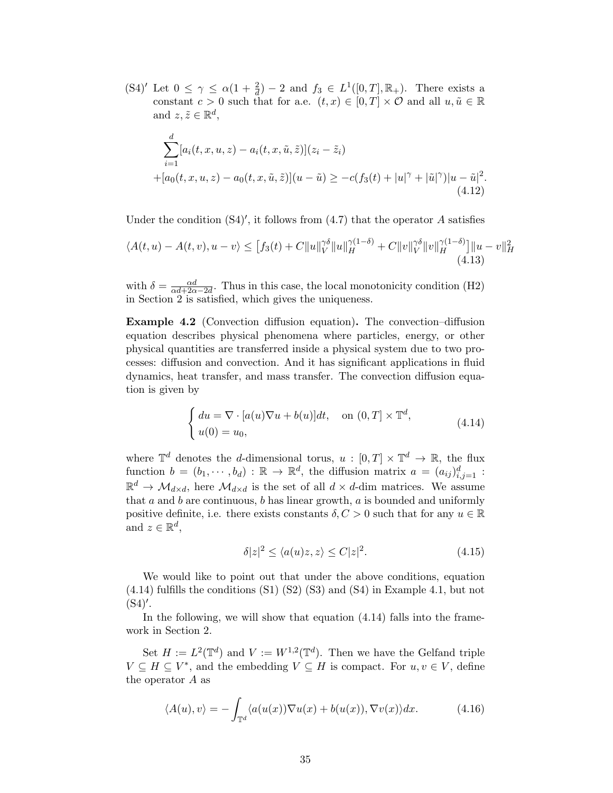(S4)' Let  $0 \leq \gamma \leq \alpha(1 + \frac{2}{d}) - 2$  and  $f_3 \in L^1([0, T], \mathbb{R}_+)$ . There exists a constant  $c > 0$  such that for a.e.  $(t, x) \in [0, T] \times \mathcal{O}$  and all  $u, \tilde{u} \in \mathbb{R}$ and  $z, \tilde{z} \in \mathbb{R}^d$ ,

$$
\sum_{i=1}^{d} [a_i(t, x, u, z) - a_i(t, x, \tilde{u}, \tilde{z})](z_i - \tilde{z}_i)
$$
  
+ 
$$
[a_0(t, x, u, z) - a_0(t, x, \tilde{u}, \tilde{z})](u - \tilde{u}) \geq -c(f_3(t) + |u|^\gamma + |\tilde{u}|^\gamma)|u - \tilde{u}|^2.
$$
  
(4.12)

Under the condition  $(S4)'$ , it follows from  $(4.7)$  that the operator A satisfies

$$
\langle A(t, u) - A(t, v), u - v \rangle \le [f_3(t) + C \|u\|_V^{\gamma \delta} \|u\|_H^{\gamma (1 - \delta)} + C \|v\|_V^{\gamma \delta} \|v\|_H^{\gamma (1 - \delta)}] \|u - v\|_H^2
$$
\n(4.13)

with  $\delta = \frac{\alpha d}{\alpha d + 2\alpha - 2d}$ . Thus in this case, the local monotonicity condition (H2) in Section [2](#page-3-0) is satisfied, which gives the uniqueness.

Example 4.2 (Convection diffusion equation). The convection–diffusion equation describes physical phenomena where particles, energy, or other physical quantities are transferred inside a physical system due to two processes: diffusion and convection. And it has significant applications in fluid dynamics, heat transfer, and mass transfer. The convection diffusion equation is given by

$$
\begin{cases} du = \nabla \cdot [a(u)\nabla u + b(u)]dt, & \text{on } (0,T] \times \mathbb{T}^d, \\ u(0) = u_0, & \end{cases}
$$
(4.14)

where  $\mathbb{T}^d$  denotes the *d*-dimensional torus,  $u : [0, T] \times \mathbb{T}^d \to \mathbb{R}$ , the flux function  $b = (b_1, \dots, b_d) : \mathbb{R} \to \mathbb{R}^d$ , the diffusion matrix  $a = (a_{ij})_{i,j=1}^d$ :  $\mathbb{R}^d \to \mathcal{M}_{d \times d}$ , here  $\mathcal{M}_{d \times d}$  is the set of all  $d \times d$ -dim matrices. We assume that  $a$  and  $b$  are continuous,  $b$  has linear growth,  $a$  is bounded and uniformly positive definite, i.e. there exists constants  $\delta, C > 0$  such that for any  $u \in \mathbb{R}$ and  $z \in \mathbb{R}^d$ ,

<span id="page-34-0"></span>
$$
\delta |z|^2 \le \langle a(u)z, z \rangle \le C|z|^2. \tag{4.15}
$$

We would like to point out that under the above conditions, equation [\(4.14\)](#page-34-0) fulfills the conditions (S1) (S2) (S3) and (S4) in Example [4.1,](#page-32-2) but not  $(S4)$ '.

In the following, we will show that equation [\(4.14\)](#page-34-0) falls into the framework in Section [2.](#page-3-0)

Set  $H := L^2(\mathbb{T}^d)$  and  $V := W^{1,2}(\mathbb{T}^d)$ . Then we have the Gelfand triple  $V \subseteq H \subseteq V^*$ , and the embedding  $V \subseteq H$  is compact. For  $u, v \in V$ , define the operator A as

$$
\langle A(u), v \rangle = -\int_{\mathbb{T}^d} \langle a(u(x)) \nabla u(x) + b(u(x)), \nabla v(x) \rangle dx. \tag{4.16}
$$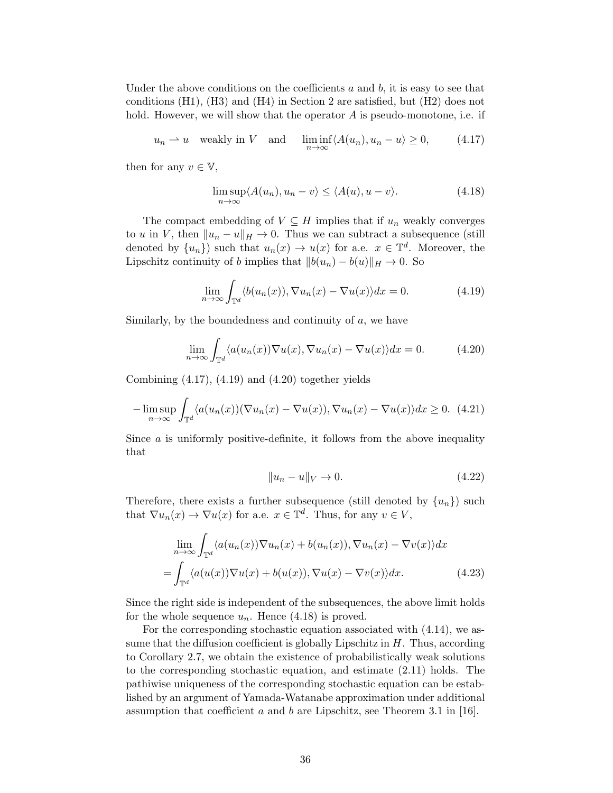Under the above conditions on the coefficients  $a$  and  $b$ , it is easy to see that conditions  $(H1)$ ,  $(H3)$  and  $(H4)$  in Section [2](#page-3-0) are satisfied, but  $(H2)$  does not hold. However, we will show that the operator  $A$  is pseudo-monotone, i.e. if

$$
u_n \rightharpoonup u
$$
 weakly in V and  $\liminf_{n \to \infty} \langle A(u_n), u_n - u \rangle \ge 0,$  (4.17)

then for any  $v \in \mathbb{V}$ ,

<span id="page-35-3"></span><span id="page-35-0"></span>
$$
\limsup_{n \to \infty} \langle A(u_n), u_n - v \rangle \le \langle A(u), u - v \rangle. \tag{4.18}
$$

The compact embedding of  $V \subseteq H$  implies that if  $u_n$  weakly converges to u in V, then  $||u_n - u||_H \to 0$ . Thus we can subtract a subsequence (still denoted by  $\{u_n\}$  such that  $u_n(x) \to u(x)$  for a.e.  $x \in \mathbb{T}^d$ . Moreover, the Lipschitz continuity of b implies that  $||b(u_n) - b(u)||_H \to 0$ . So

<span id="page-35-1"></span>
$$
\lim_{n \to \infty} \int_{\mathbb{T}^d} \langle b(u_n(x)), \nabla u_n(x) - \nabla u(x) \rangle dx = 0.
$$
 (4.19)

Similarly, by the boundedness and continuity of  $a$ , we have

$$
\lim_{n \to \infty} \int_{\mathbb{T}^d} \langle a(u_n(x)) \nabla u(x), \nabla u_n(x) - \nabla u(x) \rangle dx = 0.
$$
 (4.20)

Combining  $(4.17)$ ,  $(4.19)$  and  $(4.20)$  together yields

$$
-\limsup_{n\to\infty}\int_{\mathbb{T}^d} \langle a(u_n(x))(\nabla u_n(x)-\nabla u(x)), \nabla u_n(x)-\nabla u(x)\rangle dx \ge 0.
$$
 (4.21)

Since  $\alpha$  is uniformly positive-definite, it follows from the above inequality that

<span id="page-35-2"></span>
$$
||u_n - u||_V \to 0. \tag{4.22}
$$

Therefore, there exists a further subsequence (still denoted by  $\{u_n\}$ ) such that  $\nabla u_n(x) \to \nabla u(x)$  for a.e.  $x \in \mathbb{T}^d$ . Thus, for any  $v \in V$ ,

$$
\lim_{n \to \infty} \int_{\mathbb{T}^d} \langle a(u_n(x)) \nabla u_n(x) + b(u_n(x)), \nabla u_n(x) - \nabla v(x) \rangle dx
$$

$$
= \int_{\mathbb{T}^d} \langle a(u(x)) \nabla u(x) + b(u(x)), \nabla u(x) - \nabla v(x) \rangle dx. \tag{4.23}
$$

Since the right side is independent of the subsequences, the above limit holds for the whole sequence  $u_n$ . Hence  $(4.18)$  is proved.

For the corresponding stochastic equation associated with [\(4.14\)](#page-34-0), we assume that the diffusion coefficient is globally Lipschitz in  $H$ . Thus, according to Corollary [2.7,](#page-5-3) we obtain the existence of probabilistically weak solutions to the corresponding stochastic equation, and estimate [\(2.11\)](#page-5-1) holds. The pathiwise uniqueness of the corresponding stochastic equation can be established by an argument of Yamada-Watanabe approximation under additional assumption that coefficient a and b are Lipschitz, see Theorem 3.1 in [\[16\]](#page-43-14).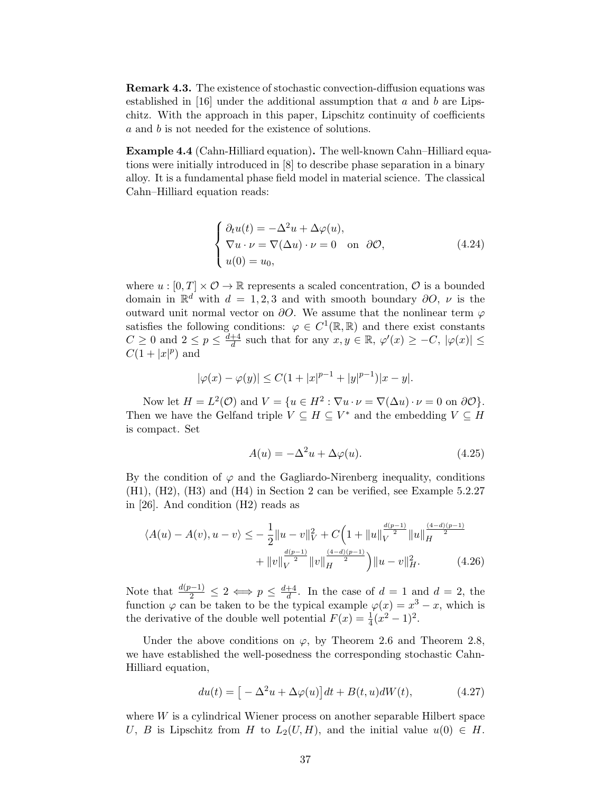Remark 4.3. The existence of stochastic convection-diffusion equations was established in [\[16\]](#page-43-14) under the additional assumption that a and b are Lipschitz. With the approach in this paper, Lipschitz continuity of coefficients a and b is not needed for the existence of solutions.

Example 4.4 (Cahn-Hilliard equation). The well-known Cahn–Hilliard equations were initially introduced in [\[8\]](#page-42-8) to describe phase separation in a binary alloy. It is a fundamental phase field model in material science. The classical Cahn–Hilliard equation reads:

$$
\begin{cases}\n\partial_t u(t) = -\Delta^2 u + \Delta \varphi(u), \\
\nabla u \cdot \nu = \nabla(\Delta u) \cdot \nu = 0 \text{ on } \partial \mathcal{O}, \\
u(0) = u_0,\n\end{cases}
$$
\n(4.24)

where  $u : [0, T] \times \mathcal{O} \to \mathbb{R}$  represents a scaled concentration,  $\mathcal{O}$  is a bounded domain in  $\mathbb{R}^d$  with  $d = 1, 2, 3$  and with smooth boundary  $\partial O$ ,  $\nu$  is the outward unit normal vector on  $\partial O$ . We assume that the nonlinear term  $\varphi$ satisfies the following conditions:  $\varphi \in C^1(\mathbb{R}, \mathbb{R})$  and there exist constants  $C \geq 0$  and  $2 \leq p \leq \frac{d+4}{d}$  $\frac{d+4}{d}$  such that for any  $x, y \in \mathbb{R}$ ,  $\varphi'(x) \geq -C$ ,  $|\varphi(x)| \leq$  $C(1+|x|^p)$  and

$$
|\varphi(x) - \varphi(y)| \le C(1 + |x|^{p-1} + |y|^{p-1})|x - y|.
$$

Now let  $H = L^2(\mathcal{O})$  and  $V = \{u \in H^2 : \nabla u \cdot \nu = \nabla(\Delta u) \cdot \nu = 0 \text{ on } \partial \mathcal{O}\}.$ Then we have the Gelfand triple  $V \subseteq H \subseteq V^*$  and the embedding  $V \subseteq H$ is compact. Set

$$
A(u) = -\Delta^2 u + \Delta \varphi(u). \tag{4.25}
$$

By the condition of  $\varphi$  and the Gagliardo-Nirenberg inequality, conditions (H1), (H2), (H3) and (H4) in Section [2](#page-3-0) can be verified, see Example 5.2.27 in [\[26\]](#page-43-11). And condition (H2) reads as

$$
\langle A(u) - A(v), u - v \rangle \leq -\frac{1}{2} \|u - v\|_{V}^{2} + C \Big( 1 + \|u\|_{V}^{\frac{d(p-1)}{2}} \|u\|_{H}^{\frac{(4-d)(p-1)}{2}} + \|v\|_{V}^{\frac{d(p-1)}{2}} \|v\|_{H}^{\frac{(4-d)(p-1)}{2}} \Big) \|u - v\|_{H}^{2}.
$$
 (4.26)

Note that  $\frac{d(p-1)}{2} \leq 2 \iff p \leq \frac{d+4}{d}$  $\frac{d+4}{d}$ . In the case of  $d=1$  and  $d=2$ , the function  $\varphi$  can be taken to be the typical example  $\varphi(x) = x^3 - x$ , which is the derivative of the double well potential  $F(x) = \frac{1}{4}(x^2 - 1)^2$ .

Under the above conditions on  $\varphi$ , by Theorem [2.6](#page-5-0) and Theorem [2.8,](#page-5-2) we have established the well-posedness the corresponding stochastic Cahn-Hilliard equation,

$$
du(t) = \left[ -\Delta^2 u + \Delta \varphi(u) \right] dt + B(t, u) dW(t), \tag{4.27}
$$

where W is a cylindrical Wiener process on another separable Hilbert space U, B is Lipschitz from H to  $L_2(U, H)$ , and the initial value  $u(0) \in H$ .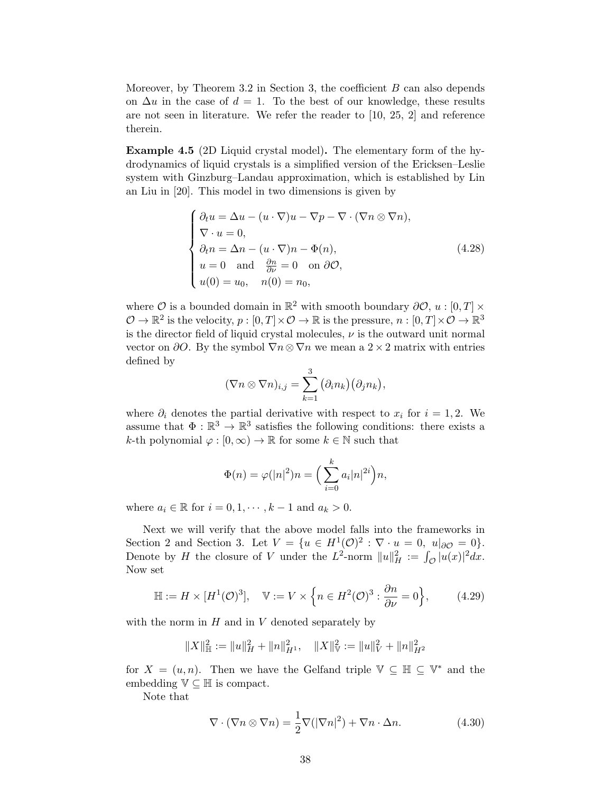Moreover, by Theorem [3.2](#page-23-0) in Section [3,](#page-22-0) the coefficient  $B$  can also depends on  $\Delta u$  in the case of  $d = 1$ . To the best of our knowledge, these results are not seen in literature. We refer the reader to [\[10,](#page-42-9) [25,](#page-43-4) [2\]](#page-42-10) and reference therein.

Example 4.5 (2D Liquid crystal model). The elementary form of the hydrodynamics of liquid crystals is a simplified version of the Ericksen–Leslie system with Ginzburg–Landau approximation, which is established by Lin an Liu in [\[20\]](#page-43-15). This model in two dimensions is given by

$$
\begin{cases}\n\partial_t u = \Delta u - (u \cdot \nabla)u - \nabla p - \nabla \cdot (\nabla n \otimes \nabla n), \\
\nabla \cdot u = 0, \\
\partial_t n = \Delta n - (u \cdot \nabla)n - \Phi(n), \\
u = 0 \text{ and } \frac{\partial n}{\partial \nu} = 0 \text{ on } \partial \mathcal{O}, \\
u(0) = u_0, \quad n(0) = n_0,\n\end{cases} (4.28)
$$

where  $\mathcal O$  is a bounded domain in  $\mathbb R^2$  with smooth boundary  $\partial \mathcal O, u : [0, T] \times$  $\mathcal{O} \to \mathbb{R}^2$  is the velocity,  $p : [0, T] \times \mathcal{O} \to \mathbb{R}$  is the pressure,  $n : [0, T] \times \mathcal{O} \to \mathbb{R}^3$ is the director field of liquid crystal molecules,  $\nu$  is the outward unit normal vector on  $\partial O$ . By the symbol  $\nabla n \otimes \nabla n$  we mean a 2 × 2 matrix with entries defined by

<span id="page-37-1"></span>
$$
(\nabla n \otimes \nabla n)_{i,j} = \sum_{k=1}^3 (\partial_i n_k) (\partial_j n_k),
$$

where  $\partial_i$  denotes the partial derivative with respect to  $x_i$  for  $i = 1, 2$ . We assume that  $\Phi : \mathbb{R}^3 \to \mathbb{R}^3$  satisfies the following conditions: there exists a k-th polynomial  $\varphi : [0, \infty) \to \mathbb{R}$  for some  $k \in \mathbb{N}$  such that

$$
\Phi(n) = \varphi(|n|^2)n = \left(\sum_{i=0}^k a_i |n|^{2i}\right)n,
$$

where  $a_i \in \mathbb{R}$  for  $i = 0, 1, \dots, k - 1$  and  $a_k > 0$ .

Next we will verify that the above model falls into the frameworks in Section [2](#page-3-0) and Section [3.](#page-22-0) Let  $V = \{u \in H^1(\mathcal{O})^2 : \nabla \cdot u = 0, u|_{\partial \mathcal{O}} = 0\}.$ Denote by H the closure of V under the  $L^2$ -norm  $||u||_H^2 := \int_{\mathcal{O}} |u(x)|^2 dx$ . Now set

$$
\mathbb{H} := H \times [H^1(\mathcal{O})^3], \quad \mathbb{V} := V \times \left\{ n \in H^2(\mathcal{O})^3 : \frac{\partial n}{\partial \nu} = 0 \right\},\tag{4.29}
$$

with the norm in  $H$  and in  $V$  denoted separately by

$$
||X||_{\mathbb{H}}^{2} := ||u||_{H}^{2} + ||n||_{H^{1}}^{2}, \quad ||X||_{\mathbb{V}}^{2} := ||u||_{V}^{2} + ||n||_{H^{2}}^{2}
$$

for  $X = (u, n)$ . Then we have the Gelfand triple  $\mathbb{V} \subseteq \mathbb{H} \subseteq \mathbb{V}^*$  and the embedding  $\mathbb{V} \subseteq \mathbb{H}$  is compact.

Note that

<span id="page-37-0"></span>
$$
\nabla \cdot (\nabla n \otimes \nabla n) = \frac{1}{2} \nabla (|\nabla n|^2) + \nabla n \cdot \Delta n.
$$
 (4.30)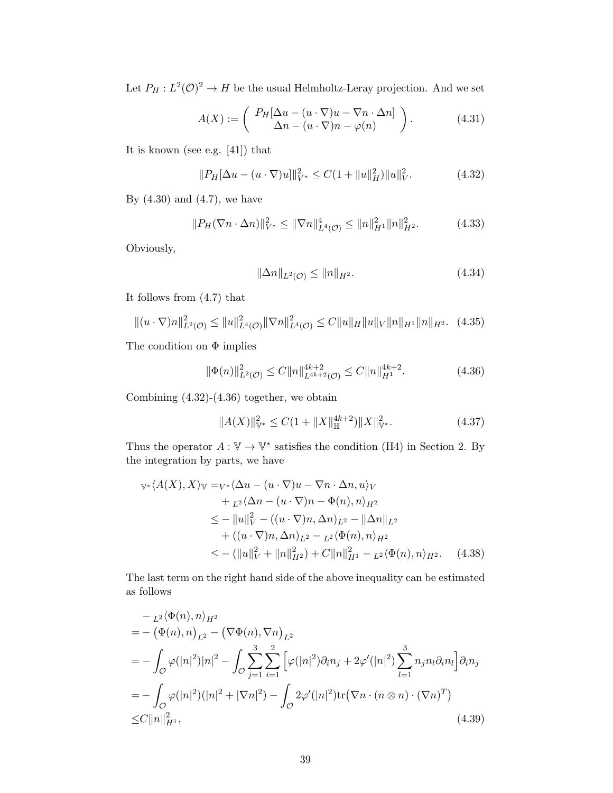Let  $P_H: L^2(\mathcal{O})^2 \to H$  be the usual Helmholtz-Leray projection. And we set

$$
A(X) := \left( \begin{array}{c} P_H[\Delta u - (u \cdot \nabla)u - \nabla n \cdot \Delta n] \\ \Delta n - (u \cdot \nabla)n - \varphi(n) \end{array} \right). \tag{4.31}
$$

It is known (see e.g. [\[41\]](#page-44-11)) that

$$
||P_H[\Delta u - (u \cdot \nabla)u]||_{V^*}^2 \le C(1 + ||u||_H^2) ||u||_V^2.
$$
 (4.32)

By  $(4.30)$  and  $(4.7)$ , we have

$$
||P_H(\nabla n \cdot \Delta n)||_{V^*}^2 \le ||\nabla n||_{L^4(\mathcal{O})}^4 \le ||n||_{H^1}^2 ||n||_{H^2}^2. \tag{4.33}
$$

Obviously,

<span id="page-38-1"></span><span id="page-38-0"></span>
$$
\|\Delta n\|_{L^2(\mathcal{O})} \le \|n\|_{H^2}.\tag{4.34}
$$

It follows from [\(4.7\)](#page-33-0) that

$$
\|(u \cdot \nabla) n\|_{L^2(\mathcal{O})}^2 \le \|u\|_{L^4(\mathcal{O})}^2 \|\nabla n\|_{L^4(\mathcal{O})}^2 \le C \|u\|_H \|u\|_V \|n\|_{H^1} \|n\|_{H^2}.
$$
 (4.35)

The condition on  $\Phi$  implies

$$
\|\Phi(n)\|_{L^2(\mathcal{O})}^2 \le C \|n\|_{L^{4k+2}(\mathcal{O})}^{4k+2} \le C \|n\|_{H^1}^{4k+2}.
$$
 (4.36)

Combining [\(4.32\)](#page-38-0)-[\(4.36\)](#page-38-1) together, we obtain

<span id="page-38-2"></span>
$$
||A(X)||_{\mathbb{V}^*}^2 \le C(1 + ||X||_{\mathbb{H}}^{4k+2}) ||X||_{\mathbb{V}^*}^2.
$$
 (4.37)

Thus the operator  $A: \mathbb{V} \to \mathbb{V}^*$  satisfies the condition (H4) in Section [2.](#page-3-0) By the integration by parts, we have

$$
\begin{split} \mathbb{V}^*\langle A(X), X \rangle_{\mathbb{V}} &=_{V^*}\langle \Delta u - (u \cdot \nabla)u - \nabla n \cdot \Delta n, u \rangle_V \\ &+_{L^2}\langle \Delta n - (u \cdot \nabla)n - \Phi(n), n \rangle_{H^2} \\ &\leq -\|u\|_V^2 - ((u \cdot \nabla)n, \Delta n)_{L^2} - \|\Delta n\|_{L^2} \\ &+ ((u \cdot \nabla)n, \Delta n)_{L^2} - L^2 \langle \Phi(n), n \rangle_{H^2} \\ &\leq -(\|u\|_V^2 + \|n\|_{H^2}^2) + C\|n\|_{H^1}^2 - L^2 \langle \Phi(n), n \rangle_{H^2}. \end{split} \tag{4.38}
$$

The last term on the right hand side of the above inequality can be estimated as follows

<span id="page-38-3"></span>
$$
- {}_{L^{2}}\langle \Phi(n), n \rangle_{H^{2}}
$$
  
= - (\Phi(n), n)<sub>L^{2}</sub> - (\nabla \Phi(n), \nabla n)<sub>L^{2}</sub>  
= - \int\_{\mathcal{O}} \varphi(|n|^{2})|n|^{2} - \int\_{\mathcal{O}} \sum\_{j=1}^{3} \sum\_{i=1}^{2} [\varphi(|n|^{2})\partial\_{i}n\_{j} + 2\varphi'(|n|^{2}) \sum\_{l=1}^{3} n\_{j}n\_{l}\partial\_{i}n\_{l}] \partial\_{i}n\_{j}  
= - \int\_{\mathcal{O}} \varphi(|n|^{2})(|n|^{2} + |\nabla n|^{2}) - \int\_{\mathcal{O}} 2\varphi'(|n|^{2}) \text{tr}(\nabla n \cdot (n \otimes n) \cdot (\nabla n)^{T})  
\leq C ||n||\_{H^{1}}^{2}, \qquad (4.39)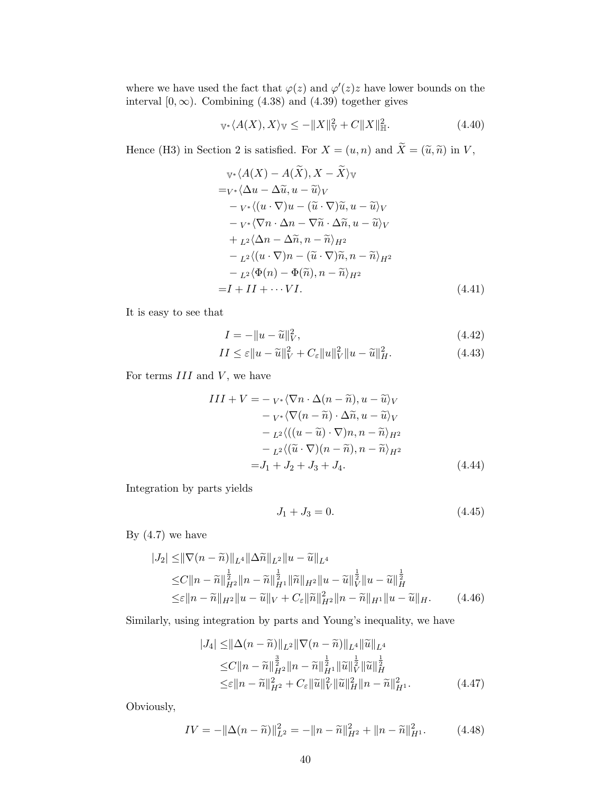where we have used the fact that  $\varphi(z)$  and  $\varphi'(z)z$  have lower bounds on the interval  $[0, \infty)$ . Combining [\(4.38\)](#page-38-2) and [\(4.39\)](#page-38-3) together gives

$$
\mathbb{V}^*\langle A(X), X \rangle_{\mathbb{V}} \le -\|X\|_{\mathbb{V}}^2 + C\|X\|_{\mathbb{H}}^2. \tag{4.40}
$$

Hence (H3) in Section [2](#page-3-0) is satisfied. For  $X = (u, n)$  and  $\widetilde{X} = (\widetilde{u}, \widetilde{n})$  in  $V$ ,

$$
\begin{aligned}\n& \mathbb{V}^* \langle A(X) - A(X), X - X \rangle \mathbb{V} \\
&= \mathbb{V}^* \langle \Delta u - \Delta \widetilde{u}, u - \widetilde{u} \rangle \mathbb{V} \\
&\quad - \mathbb{V}^* \langle (u \cdot \nabla)u - (\widetilde{u} \cdot \nabla) \widetilde{u}, u - \widetilde{u} \rangle \mathbb{V} \\
&\quad - \mathbb{V}^* \langle \nabla n \cdot \Delta n - \nabla \widetilde{n} \cdot \Delta \widetilde{n}, u - \widetilde{u} \rangle \mathbb{V} \\
&\quad + \mathbb{L}^2 \langle \Delta n - \Delta \widetilde{n}, n - \widetilde{n} \rangle_{H^2} \\
&\quad - \mathbb{L}^2 \langle (u \cdot \nabla) n - (\widetilde{u} \cdot \nabla) \widetilde{n}, n - \widetilde{n} \rangle_{H^2} \\
&\quad - \mathbb{L}^2 \langle \Phi(n) - \Phi(\widetilde{n}), n - \widetilde{n} \rangle_{H^2} \\
&= I + II + \cdots \mathbb{V}I.\n\end{aligned}
$$
\n(4.41)

It is easy to see that

<span id="page-39-0"></span>
$$
I = -\|u - \widetilde{u}\|_V^2, \tag{4.42}
$$

$$
II \le \varepsilon ||u - \widetilde{u}||_V^2 + C_{\varepsilon} ||u||_V^2 ||u - \widetilde{u}||_H^2.
$$
\n(4.43)

For terms  $III$  and  $V$ , we have

$$
III + V = -\,v \cdot \langle \nabla n \cdot \Delta(n - \tilde{n}), u - \tilde{u} \rangle_V - v \cdot \langle \nabla(n - \tilde{n}) \cdot \Delta \tilde{n}, u - \tilde{u} \rangle_V - \frac{L^2}{(u - \tilde{u}) \cdot \nabla)n, n - \tilde{n} \rangle_{H^2} - \frac{L^2}{(\tilde{u} \cdot \nabla)(n - \tilde{n}), n - \tilde{n} \rangle_{H^2} } = J_1 + J_2 + J_3 + J_4.
$$
 (4.44)

Integration by parts yields

$$
J_1 + J_3 = 0.\t\t(4.45)
$$

By  $(4.7)$  we have

$$
|J_2| \leq ||\nabla (n - \tilde{n})||_{L^4} ||\Delta \tilde{n}||_{L^2} ||u - \tilde{u}||_{L^4}
$$
  
\n
$$
\leq C ||n - \tilde{n}||_{H^2}^{\frac{1}{2}} ||n - \tilde{n}||_{H^1}^{\frac{1}{2}} ||\tilde{n}||_{H^2} ||u - \tilde{u}||_{V}^{\frac{1}{2}} ||u - \tilde{u}||_{H}^{\frac{1}{2}}
$$
  
\n
$$
\leq \varepsilon ||n - \tilde{n}||_{H^2} ||u - \tilde{u}||_{V} + C_{\varepsilon} ||\tilde{n}||_{H^2}^2 ||n - \tilde{n}||_{H^1} ||u - \tilde{u}||_{H}.
$$
 (4.46)

Similarly, using integration by parts and Young's inequality, we have

$$
|J_4| \leq ||\Delta(n - \tilde{n})||_{L^2} ||\nabla(n - \tilde{n})||_{L^4} ||\tilde{u}||_{L^4}
$$
  
\n
$$
\leq C ||n - \tilde{n}||_{H^2}^{\frac{3}{2}} ||n - \tilde{n}||_{H^1}^{\frac{1}{2}} ||\tilde{u}||_{V}^{\frac{1}{2}} ||\tilde{u}||_{H}^{\frac{1}{2}}
$$
  
\n
$$
\leq \varepsilon ||n - \tilde{n}||_{H^2}^2 + C_{\varepsilon} ||\tilde{u}||_{V}^2 ||\tilde{u}||_{H}^2 ||n - \tilde{n}||_{H^1}^2. \tag{4.47}
$$

Obviously,

$$
IV = -\|\Delta(n - \tilde{n})\|_{L^2}^2 = -\|n - \tilde{n}\|_{H^2}^2 + \|n - \tilde{n}\|_{H^1}^2. \tag{4.48}
$$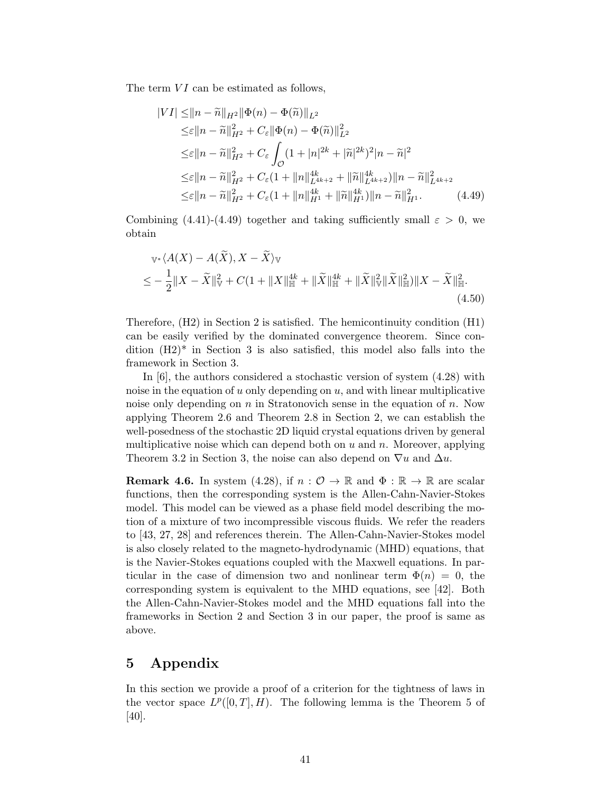The term  $VI$  can be estimated as follows,

<span id="page-40-1"></span>
$$
|VI| \leq ||n - \widetilde{n}||_{H^2} ||\Phi(n) - \Phi(\widetilde{n})||_{L^2}
$$
  
\n
$$
\leq \varepsilon ||n - \widetilde{n}||_{H^2}^2 + C_{\varepsilon} ||\Phi(n) - \Phi(\widetilde{n})||_{L^2}^2
$$
  
\n
$$
\leq \varepsilon ||n - \widetilde{n}||_{H^2}^2 + C_{\varepsilon} \int_{\mathcal{O}} (1 + |n|^{2k} + |\widetilde{n}|^{2k})^2 |n - \widetilde{n}|^2
$$
  
\n
$$
\leq \varepsilon ||n - \widetilde{n}||_{H^2}^2 + C_{\varepsilon} (1 + ||n||_{L^{4k+2}}^{4k} + ||\widetilde{n}||_{L^{4k+2}}^{4k}) ||n - \widetilde{n}||_{L^{4k+2}}^2
$$
  
\n
$$
\leq \varepsilon ||n - \widetilde{n}||_{H^2}^2 + C_{\varepsilon} (1 + ||n||_{H^1}^{4k} + ||\widetilde{n}||_{H^1}^{4k}) ||n - \widetilde{n}||_{H^1}^2. \tag{4.49}
$$

Combining [\(4.41\)](#page-39-0)-[\(4.49\)](#page-40-1) together and taking sufficiently small  $\varepsilon > 0$ , we obtain

$$
\begin{split} \mathbb{V}^* \langle A(X) - A(\widetilde{X}), X - \widetilde{X} \rangle \mathbb{V} \\ \leq &- \frac{1}{2} \| X - \widetilde{X} \|_{\mathbb{V}}^2 + C(1 + \| X \|_{\mathbb{H}}^{4k} + \| \widetilde{X} \|_{\mathbb{H}}^{4k} + \| \widetilde{X} \|_{\mathbb{V}}^2 \| \widetilde{X} \|_{\mathbb{H}}^2) \| X - \widetilde{X} \|_{\mathbb{H}}^2. \end{split} \tag{4.50}
$$

Therefore, (H2) in Section [2](#page-3-0) is satisfied. The hemicontinuity condition (H1) can be easily verified by the dominated convergence theorem. Since condition  $(H2)^*$  in Section [3](#page-22-0) is also satisfied, this model also falls into the framework in Section [3.](#page-22-0)

In [\[6\]](#page-42-11), the authors considered a stochastic version of system [\(4.28\)](#page-37-1) with noise in the equation of  $u$  only depending on  $u$ , and with linear multiplicative noise only depending on  $n$  in Stratonovich sense in the equation of  $n$ . Now applying Theorem [2.6](#page-5-0) and Theorem [2.8](#page-5-2) in Section [2,](#page-3-0) we can establish the well-posedness of the stochastic 2D liquid crystal equations driven by general multiplicative noise which can depend both on  $u$  and  $n$ . Moreover, applying Theorem [3.2](#page-23-0) in Section [3,](#page-22-0) the noise can also depend on  $\nabla u$  and  $\Delta u$ .

**Remark 4.6.** In system [\(4.28\)](#page-37-1), if  $n : \mathcal{O} \to \mathbb{R}$  and  $\Phi : \mathbb{R} \to \mathbb{R}$  are scalar functions, then the corresponding system is the Allen-Cahn-Navier-Stokes model. This model can be viewed as a phase field model describing the motion of a mixture of two incompressible viscous fluids. We refer the readers to [\[43,](#page-44-12) [27,](#page-43-16) [28\]](#page-43-17) and references therein. The Allen-Cahn-Navier-Stokes model is also closely related to the magneto-hydrodynamic (MHD) equations, that is the Navier-Stokes equations coupled with the Maxwell equations. In particular in the case of dimension two and nonlinear term  $\Phi(n) = 0$ , the corresponding system is equivalent to the MHD equations, see [\[42\]](#page-44-13). Both the Allen-Cahn-Navier-Stokes model and the MHD equations fall into the frameworks in Section [2](#page-3-0) and Section [3](#page-22-0) in our paper, the proof is same as above.

## <span id="page-40-0"></span>5 Appendix

In this section we provide a proof of a criterion for the tightness of laws in the vector space  $L^p([0,T], H)$ . The following lemma is the Theorem 5 of [\[40\]](#page-44-14).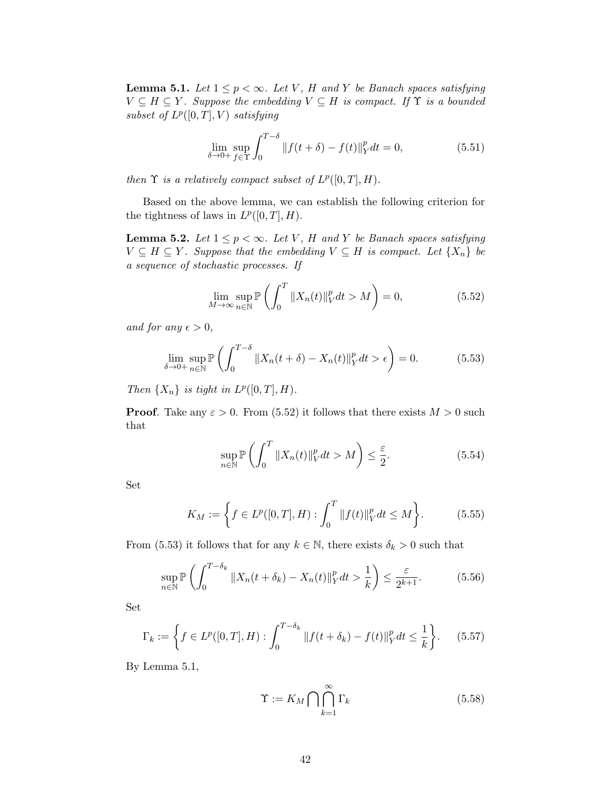<span id="page-41-3"></span>**Lemma 5.1.** Let  $1 \leq p < \infty$ . Let V, H and Y be Banach spaces satisfying  $V \subseteq H \subseteq Y$ . Suppose the embedding  $V \subseteq H$  is compact. If  $\Upsilon$  is a bounded subset of  $L^p([0,T],V)$  satisfying

$$
\lim_{\delta \to 0+} \sup_{f \in \Upsilon} \int_0^{T-\delta} ||f(t+\delta) - f(t)||_Y^p dt = 0,
$$
\n(5.51)

then  $\Upsilon$  is a relatively compact subset of  $L^p([0,T], H)$ .

Based on the above lemma, we can establish the following criterion for the tightness of laws in  $L^p([0,T], H)$ .

<span id="page-41-0"></span>**Lemma 5.2.** Let  $1 \leq p < \infty$ . Let V, H and Y be Banach spaces satisfying  $V \subseteq H \subseteq Y$ . Suppose that the embedding  $V \subseteq H$  is compact. Let  $\{X_n\}$  be a sequence of stochastic processes. If

<span id="page-41-1"></span>
$$
\lim_{M \to \infty} \sup_{n \in \mathbb{N}} \mathbb{P}\left(\int_0^T \|X_n(t)\|_V^p dt > M\right) = 0,\tag{5.52}
$$

and for any  $\epsilon > 0$ ,

$$
\lim_{\delta \to 0+} \sup_{n \in \mathbb{N}} \mathbb{P}\left(\int_0^{T-\delta} \|X_n(t+\delta) - X_n(t)\|_Y^p dt > \epsilon\right) = 0.
$$
 (5.53)

Then  $\{X_n\}$  is tight in  $L^p([0,T], H)$ .

**Proof.** Take any  $\varepsilon > 0$ . From [\(5.52\)](#page-41-1) it follows that there exists  $M > 0$  such that

<span id="page-41-4"></span><span id="page-41-2"></span>
$$
\sup_{n \in \mathbb{N}} \mathbb{P}\left(\int_0^T \|X_n(t)\|_V^p dt > M\right) \le \frac{\varepsilon}{2}.
$$
\n(5.54)

Set

$$
K_M := \left\{ f \in L^p([0, T], H) : \int_0^T \|f(t)\|_V^p dt \le M \right\}.
$$
 (5.55)

From [\(5.53\)](#page-41-2) it follows that for any  $k \in \mathbb{N}$ , there exists  $\delta_k > 0$  such that

$$
\sup_{n\in\mathbb{N}}\mathbb{P}\left(\int_{0}^{T-\delta_{k}}\|X_{n}(t+\delta_{k})-X_{n}(t)\|_{Y}^{p}dt>\frac{1}{k}\right)\leq\frac{\varepsilon}{2^{k+1}}.\tag{5.56}
$$

Set

$$
\Gamma_k := \left\{ f \in L^p([0,T],H) : \int_0^{T-\delta_k} ||f(t+\delta_k) - f(t)||_Y^p dt \le \frac{1}{k} \right\}.
$$
 (5.57)

By Lemma [5.1,](#page-41-3)

<span id="page-41-5"></span>
$$
\Upsilon := K_M \bigcap \bigcap_{k=1}^{\infty} \Gamma_k \tag{5.58}
$$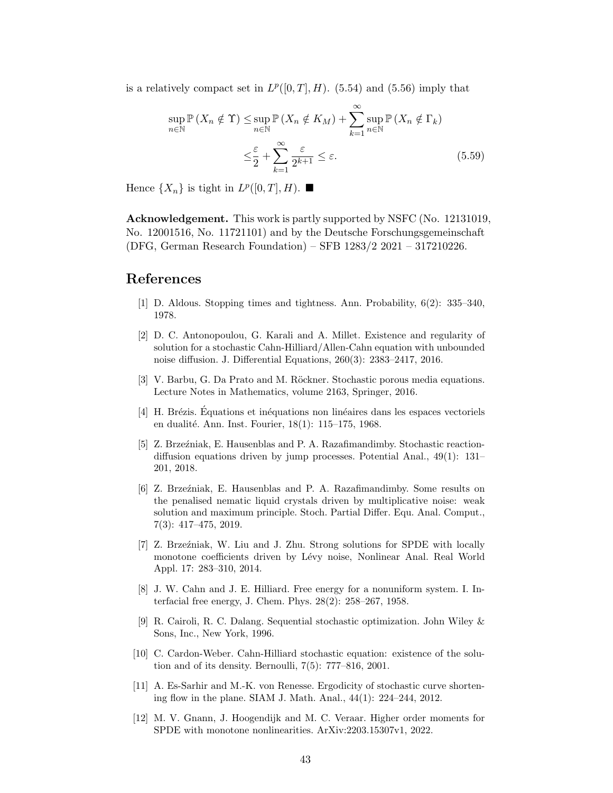is a relatively compact set in  $L^p([0,T], H)$ . [\(5.54\)](#page-41-4) and [\(5.56\)](#page-41-5) imply that

$$
\sup_{n \in \mathbb{N}} \mathbb{P}\left(X_n \notin \Upsilon\right) \leq \sup_{n \in \mathbb{N}} \mathbb{P}\left(X_n \notin K_M\right) + \sum_{k=1}^{\infty} \sup_{n \in \mathbb{N}} \mathbb{P}\left(X_n \notin \Gamma_k\right) \leq \frac{\varepsilon}{2} + \sum_{k=1}^{\infty} \frac{\varepsilon}{2^{k+1}} \leq \varepsilon.
$$
\n(5.59)

Hence  $\{X_n\}$  is tight in  $L^p([0,T], H)$ .

Acknowledgement. This work is partly supported by NSFC (No. 12131019, No. 12001516, No. 11721101) and by the Deutsche Forschungsgemeinschaft (DFG, German Research Foundation) – SFB 1283/2 2021 – 317210226.

### References

n∈N

- <span id="page-42-5"></span>[1] D. Aldous. Stopping times and tightness. Ann. Probability, 6(2): 335–340, 1978.
- <span id="page-42-10"></span>[2] D. C. Antonopoulou, G. Karali and A. Millet. Existence and regularity of solution for a stochastic Cahn-Hilliard/Allen-Cahn equation with unbounded noise diffusion. J. Differential Equations, 260(3): 2383–2417, 2016.
- <span id="page-42-3"></span>[3] V. Barbu, G. Da Prato and M. Röckner. Stochastic porous media equations. Lecture Notes in Mathematics, volume 2163, Springer, 2016.
- <span id="page-42-4"></span>[4] H. Brézis. Équations et inéquations non linéaires dans les espaces vectoriels en dualité. Ann. Inst. Fourier, 18(1): 115–175, 1968.
- <span id="page-42-6"></span>[5] Z. Brzeźniak, E. Hausenblas and P. A. Razafimandimby. Stochastic reactiondiffusion equations driven by jump processes. Potential Anal., 49(1): 131– 201, 2018.
- <span id="page-42-11"></span>[6] Z. Brze´zniak, E. Hausenblas and P. A. Razafimandimby. Some results on the penalised nematic liquid crystals driven by multiplicative noise: weak solution and maximum principle. Stoch. Partial Differ. Equ. Anal. Comput., 7(3): 417–475, 2019.
- <span id="page-42-2"></span>[7] Z. Brzeźniak, W. Liu and J. Zhu. Strong solutions for SPDE with locally monotone coefficients driven by Lévy noise, Nonlinear Anal. Real World Appl. 17: 283–310, 2014.
- <span id="page-42-8"></span>[8] J. W. Cahn and J. E. Hilliard. Free energy for a nonuniform system. I. Interfacial free energy, J. Chem. Phys. 28(2): 258–267, 1958.
- <span id="page-42-7"></span>[9] R. Cairoli, R. C. Dalang. Sequential stochastic optimization. John Wiley & Sons, Inc., New York, 1996.
- <span id="page-42-9"></span>[10] C. Cardon-Weber. Cahn-Hilliard stochastic equation: existence of the solution and of its density. Bernoulli, 7(5): 777–816, 2001.
- <span id="page-42-0"></span>[11] A. Es-Sarhir and M.-K. von Renesse. Ergodicity of stochastic curve shortening flow in the plane. SIAM J. Math. Anal., 44(1): 224–244, 2012.
- <span id="page-42-1"></span>[12] M. V. Gnann, J. Hoogendijk and M. C. Veraar. Higher order moments for SPDE with monotone nonlinearities. ArXiv:2203.15307v1, 2022.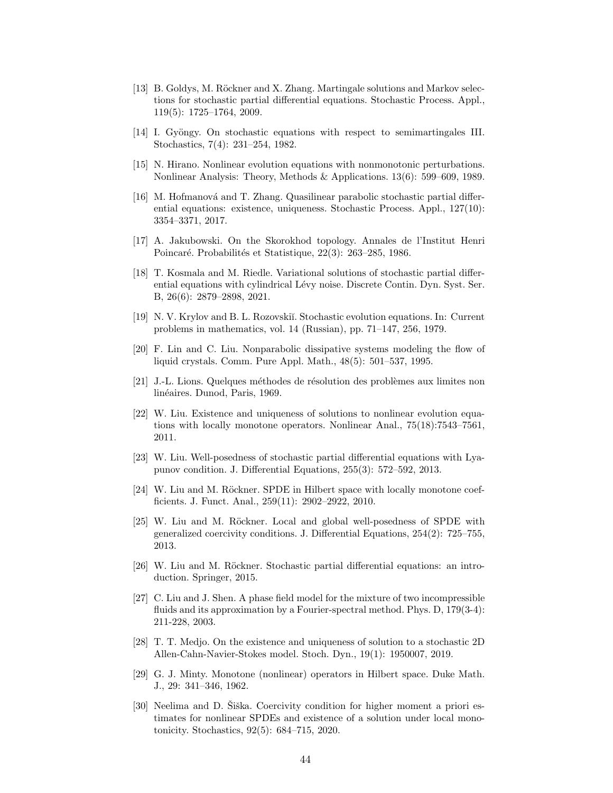- <span id="page-43-8"></span>[13] B. Goldys, M. Röckner and X. Zhang. Martingale solutions and Markov selections for stochastic partial differential equations. Stochastic Process. Appl., 119(5): 1725–1764, 2009.
- <span id="page-43-3"></span>[14] I. Gyöngy. On stochastic equations with respect to semimartingales III. Stochastics, 7(4): 231–254, 1982.
- <span id="page-43-13"></span>[15] N. Hirano. Nonlinear evolution equations with nonmonotonic perturbations. Nonlinear Analysis: Theory, Methods & Applications. 13(6): 599–609, 1989.
- <span id="page-43-14"></span>[16] M. Hofmanová and T. Zhang. Quasilinear parabolic stochastic partial differential equations: existence, uniqueness. Stochastic Process. Appl., 127(10): 3354–3371, 2017.
- <span id="page-43-12"></span>[17] A. Jakubowski. On the Skorokhod topology. Annales de l'Institut Henri Poincaré. Probabilités et Statistique, 22(3): 263–285, 1986.
- <span id="page-43-7"></span>[18] T. Kosmala and M. Riedle. Variational solutions of stochastic partial differential equations with cylindrical Lévy noise. Discrete Contin. Dyn. Syst. Ser. B, 26(6): 2879–2898, 2021.
- <span id="page-43-2"></span>[19] N. V. Krylov and B. L. Rozovski˘ı. Stochastic evolution equations. In: Current problems in mathematics, vol. 14 (Russian), pp. 71–147, 256, 1979.
- <span id="page-43-15"></span>[20] F. Lin and C. Liu. Nonparabolic dissipative systems modeling the flow of liquid crystals. Comm. Pure Appl. Math., 48(5): 501–537, 1995.
- <span id="page-43-1"></span>[21] J.-L. Lions. Quelques m´ethodes de r´esolution des probl`emes aux limites non linéaires. Dunod, Paris, 1969.
- <span id="page-43-10"></span>[22] W. Liu. Existence and uniqueness of solutions to nonlinear evolution equations with locally monotone operators. Nonlinear Anal., 75(18):7543–7561, 2011.
- <span id="page-43-5"></span>[23] W. Liu. Well-posedness of stochastic partial differential equations with Lyapunov condition. J. Differential Equations, 255(3): 572–592, 2013.
- <span id="page-43-9"></span>[24] W. Liu and M. Röckner. SPDE in Hilbert space with locally monotone coefficients. J. Funct. Anal., 259(11): 2902–2922, 2010.
- <span id="page-43-4"></span>[25] W. Liu and M. Röckner. Local and global well-posedness of SPDE with generalized coercivity conditions. J. Differential Equations, 254(2): 725–755, 2013.
- <span id="page-43-11"></span>[26] W. Liu and M. Röckner. Stochastic partial differential equations: an introduction. Springer, 2015.
- <span id="page-43-16"></span>[27] C. Liu and J. Shen. A phase field model for the mixture of two incompressible fluids and its approximation by a Fourier-spectral method. Phys. D, 179(3-4): 211-228, 2003.
- <span id="page-43-17"></span>[28] T. T. Medjo. On the existence and uniqueness of solution to a stochastic 2D Allen-Cahn-Navier-Stokes model. Stoch. Dyn., 19(1): 1950007, 2019.
- <span id="page-43-0"></span>[29] G. J. Minty. Monotone (nonlinear) operators in Hilbert space. Duke Math. J., 29: 341–346, 1962.
- <span id="page-43-6"></span>[30] Neelima and D. Siška. Coercivity condition for higher moment a priori estimates for nonlinear SPDEs and existence of a solution under local monotonicity. Stochastics, 92(5): 684–715, 2020.